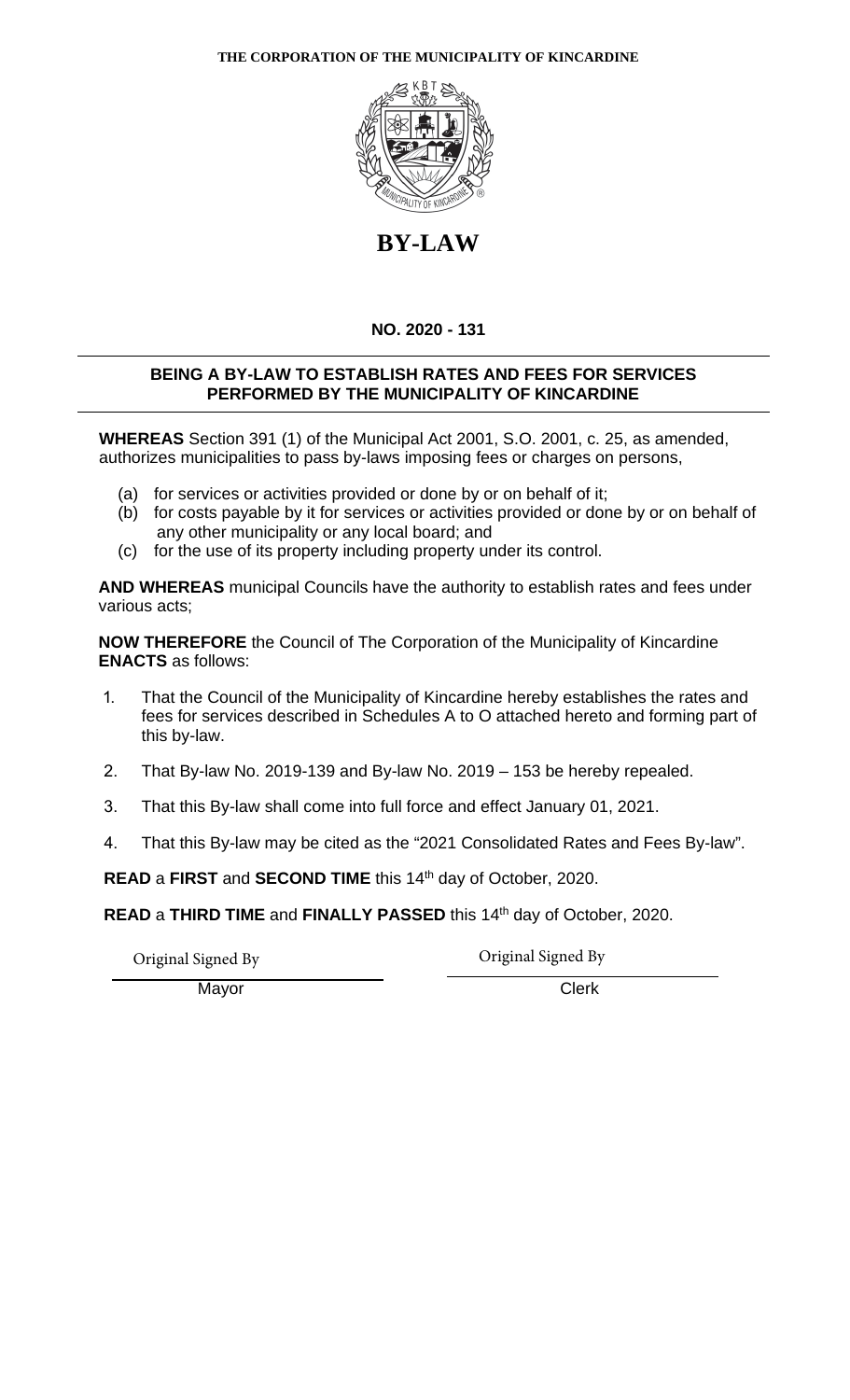# **THE CORPORATION OF THE MUNICIPALITY OF KINCARDINE**



# **BY-LAW**

# **NO. 2020 - 131**

# **BEING A BY-LAW TO ESTABLISH RATES AND FEES FOR SERVICES PERFORMED BY THE MUNICIPALITY OF KINCARDINE**

**WHEREAS** Section 391 (1) of the Municipal Act 2001, S.O. 2001, c. 25, as amended, authorizes municipalities to pass by-laws imposing fees or charges on persons,

- (a) for services or activities provided or done by or on behalf of it;
- (b) for costs payable by it for services or activities provided or done by or on behalf of any other municipality or any local board; and
- (c) for the use of its property including property under its control.

**AND WHEREAS** municipal Councils have the authority to establish rates and fees under various acts;

**NOW THEREFORE** the Council of The Corporation of the Municipality of Kincardine **ENACTS** as follows:

- 1. That the Council of the Municipality of Kincardine hereby establishes the rates and fees for services described in Schedules A to O attached hereto and forming part of this by-law.
- 2. That By-law No. 2019-139 and By-law No. 2019 153 be hereby repealed.
- 3. That this By-law shall come into full force and effect January 01, 2021.
- 4. That this By-law may be cited as the "2021 Consolidated Rates and Fees By-law".

**READ** a **FIRST** and **SECOND TIME** this 14th day of October, 2020.

**READ** a **THIRD TIME** and **FINALLY PASSED** this 14th day of October, 2020.

Original Signed By Original Signed By

Mayor Clerk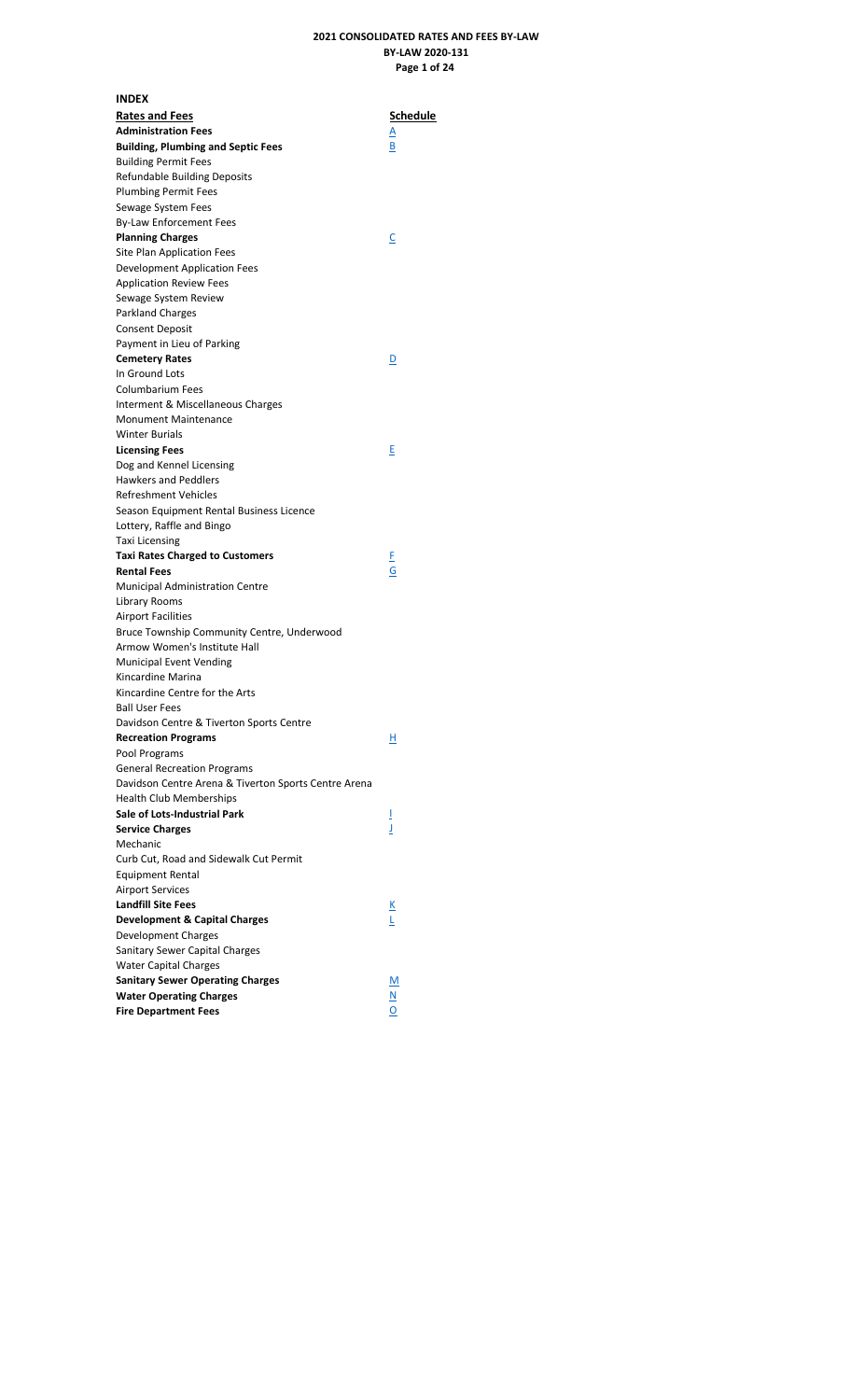# **2021 CONSOLIDATED RATES AND FEES BY-LAW BY-LAW 2020-131 Page 1 of 24**

<span id="page-1-0"></span>

| <b>INDEX</b>                                                                               |                          |
|--------------------------------------------------------------------------------------------|--------------------------|
| <b>Rates and Fees</b>                                                                      | Schedule                 |
| <b>Administration Fees</b>                                                                 | <u>A</u>                 |
| <b>Building, Plumbing and Septic Fees</b>                                                  | В                        |
| <b>Building Permit Fees</b>                                                                |                          |
| <b>Refundable Building Deposits</b>                                                        |                          |
| <b>Plumbing Permit Fees</b>                                                                |                          |
| Sewage System Fees                                                                         |                          |
| By-Law Enforcement Fees                                                                    |                          |
| <b>Planning Charges</b>                                                                    | <u>C</u>                 |
| Site Plan Application Fees                                                                 |                          |
| Development Application Fees                                                               |                          |
| <b>Application Review Fees</b>                                                             |                          |
| Sewage System Review                                                                       |                          |
| Parkland Charges                                                                           |                          |
| <b>Consent Deposit</b>                                                                     |                          |
| Payment in Lieu of Parking                                                                 |                          |
| <b>Cemetery Rates</b>                                                                      | <u>D</u>                 |
| In Ground Lots                                                                             |                          |
| <b>Columbarium Fees</b>                                                                    |                          |
| Interment & Miscellaneous Charges                                                          |                          |
| Monument Maintenance                                                                       |                          |
| <b>Winter Burials</b>                                                                      |                          |
| <b>Licensing Fees</b>                                                                      | Е                        |
| Dog and Kennel Licensing                                                                   |                          |
| <b>Hawkers and Peddlers</b>                                                                |                          |
| <b>Refreshment Vehicles</b>                                                                |                          |
| Season Equipment Rental Business Licence                                                   |                          |
| Lottery, Raffle and Bingo                                                                  |                          |
| <b>Taxi Licensing</b>                                                                      |                          |
| <b>Taxi Rates Charged to Customers</b>                                                     |                          |
| <b>Rental Fees</b>                                                                         | E<br>Ġ                   |
| <b>Municipal Administration Centre</b>                                                     |                          |
| Library Rooms                                                                              |                          |
| <b>Airport Facilities</b>                                                                  |                          |
| Bruce Township Community Centre, Underwood                                                 |                          |
| Armow Women's Institute Hall                                                               |                          |
| <b>Municipal Event Vending</b>                                                             |                          |
| Kincardine Marina                                                                          |                          |
| Kincardine Centre for the Arts                                                             |                          |
| <b>Ball User Fees</b>                                                                      |                          |
| Davidson Centre & Tiverton Sports Centre                                                   |                          |
| <b>Recreation Programs</b>                                                                 | н                        |
| Pool Programs                                                                              |                          |
|                                                                                            |                          |
| <b>General Recreation Programs</b><br>Davidson Centre Arena & Tiverton Sports Centre Arena |                          |
|                                                                                            |                          |
| <b>Health Club Memberships</b><br><b>Sale of Lots-Industrial Park</b>                      |                          |
| <b>Service Charges</b>                                                                     | Ī<br>J                   |
| Mechanic                                                                                   |                          |
|                                                                                            |                          |
| Curb Cut, Road and Sidewalk Cut Permit                                                     |                          |
| Equipment Rental                                                                           |                          |
| <b>Airport Services</b>                                                                    |                          |
| <b>Landfill Site Fees</b>                                                                  | <u>к</u>                 |
| <b>Development &amp; Capital Charges</b>                                                   | L                        |
| Development Charges                                                                        |                          |
| Sanitary Sewer Capital Charges                                                             |                          |
| <b>Water Capital Charges</b>                                                               |                          |
| <b>Sanitary Sewer Operating Charges</b>                                                    | <u>М</u>                 |
| <b>Water Operating Charges</b>                                                             | $\underline{\mathsf{N}}$ |
| <b>Fire Department Fees</b>                                                                | O                        |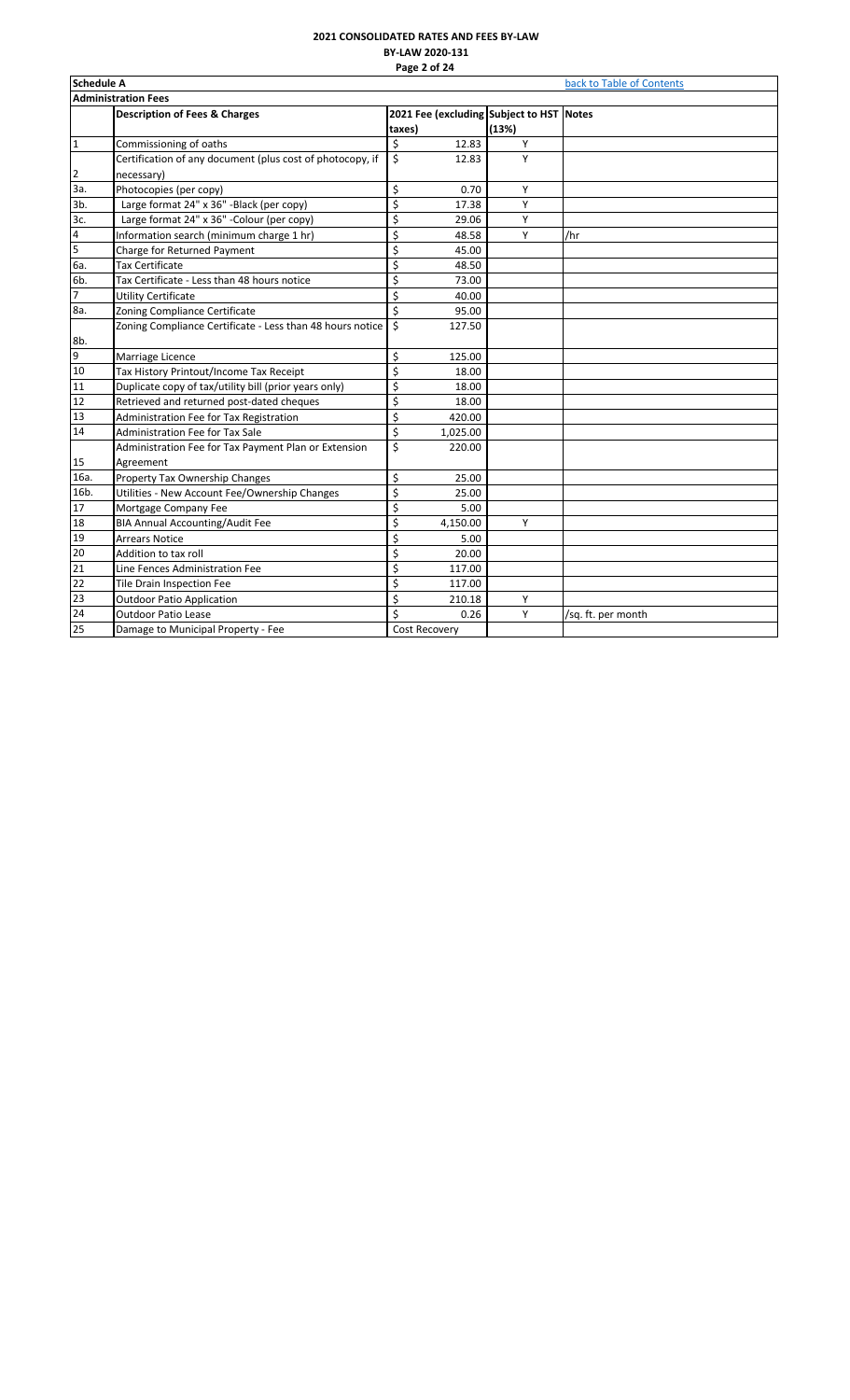# **2021 CONSOLIDATED RATES AND FEES BY-LAW BY-LAW 2020-131 Page 2 of 24**

<span id="page-2-0"></span>

| <b>Schedule A</b> |                                                           | back to Table of Contents                |       |                    |  |  |  |  |  |
|-------------------|-----------------------------------------------------------|------------------------------------------|-------|--------------------|--|--|--|--|--|
|                   | <b>Administration Fees</b>                                |                                          |       |                    |  |  |  |  |  |
|                   | <b>Description of Fees &amp; Charges</b>                  | 2021 Fee (excluding Subject to HST Notes |       |                    |  |  |  |  |  |
|                   |                                                           | taxes)                                   | (13%) |                    |  |  |  |  |  |
| $\mathbf{1}$      | Commissioning of oaths                                    | \$<br>12.83                              | Υ     |                    |  |  |  |  |  |
|                   | Certification of any document (plus cost of photocopy, if | \$<br>12.83                              | Y     |                    |  |  |  |  |  |
| 2                 | necessary)                                                |                                          |       |                    |  |  |  |  |  |
| За.               | Photocopies (per copy)                                    | \$<br>0.70                               | Υ     |                    |  |  |  |  |  |
| 3b.               | Large format 24" x 36" -Black (per copy)                  | \$<br>17.38                              | Υ     |                    |  |  |  |  |  |
| 3c.               | Large format 24" x 36" - Colour (per copy)                | \$<br>29.06                              | Υ     |                    |  |  |  |  |  |
| 4                 | Information search (minimum charge 1 hr)                  | \$<br>48.58                              | Y     | /hr                |  |  |  |  |  |
| $\overline{5}$    | Charge for Returned Payment                               | \$<br>45.00                              |       |                    |  |  |  |  |  |
| 6a.               | Tax Certificate                                           | \$<br>48.50                              |       |                    |  |  |  |  |  |
| 6b.               | Tax Certificate - Less than 48 hours notice               | \$<br>73.00                              |       |                    |  |  |  |  |  |
| $\overline{7}$    | <b>Utility Certificate</b>                                | \$<br>40.00                              |       |                    |  |  |  |  |  |
| 8a.               | Zoning Compliance Certificate                             | \$<br>95.00                              |       |                    |  |  |  |  |  |
|                   | Zoning Compliance Certificate - Less than 48 hours notice | \$<br>127.50                             |       |                    |  |  |  |  |  |
| 8b.               |                                                           |                                          |       |                    |  |  |  |  |  |
| $\overline{9}$    | Marriage Licence                                          | \$<br>125.00                             |       |                    |  |  |  |  |  |
| 10                | Tax History Printout/Income Tax Receipt                   | \$<br>18.00                              |       |                    |  |  |  |  |  |
| 11                | Duplicate copy of tax/utility bill (prior years only)     | \$<br>18.00                              |       |                    |  |  |  |  |  |
| 12                | Retrieved and returned post-dated cheques                 | \$<br>18.00                              |       |                    |  |  |  |  |  |
| 13                | Administration Fee for Tax Registration                   | \$<br>420.00                             |       |                    |  |  |  |  |  |
| 14                | Administration Fee for Tax Sale                           | \$<br>1,025.00                           |       |                    |  |  |  |  |  |
|                   | Administration Fee for Tax Payment Plan or Extension      | \$<br>220.00                             |       |                    |  |  |  |  |  |
| 15                | Agreement                                                 |                                          |       |                    |  |  |  |  |  |
| 16a.              | Property Tax Ownership Changes                            | \$<br>25.00                              |       |                    |  |  |  |  |  |
| 16b.              | Utilities - New Account Fee/Ownership Changes             | \$<br>25.00                              |       |                    |  |  |  |  |  |
| 17                | Mortgage Company Fee                                      | \$<br>5.00                               |       |                    |  |  |  |  |  |
| 18                | <b>BIA Annual Accounting/Audit Fee</b>                    | \$<br>4,150.00                           | Υ     |                    |  |  |  |  |  |
| 19                | <b>Arrears Notice</b>                                     | \$<br>5.00                               |       |                    |  |  |  |  |  |
| 20                | Addition to tax roll                                      | \$<br>20.00                              |       |                    |  |  |  |  |  |
| 21                | Line Fences Administration Fee                            | \$<br>117.00                             |       |                    |  |  |  |  |  |
| 22                | Tile Drain Inspection Fee                                 | \$<br>117.00                             |       |                    |  |  |  |  |  |
| 23                | <b>Outdoor Patio Application</b>                          | \$<br>210.18                             | Υ     |                    |  |  |  |  |  |
| 24                | <b>Outdoor Patio Lease</b>                                | Ś<br>0.26                                | Υ     | /sq. ft. per month |  |  |  |  |  |
| 25                | Damage to Municipal Property - Fee                        | Cost Recovery                            |       |                    |  |  |  |  |  |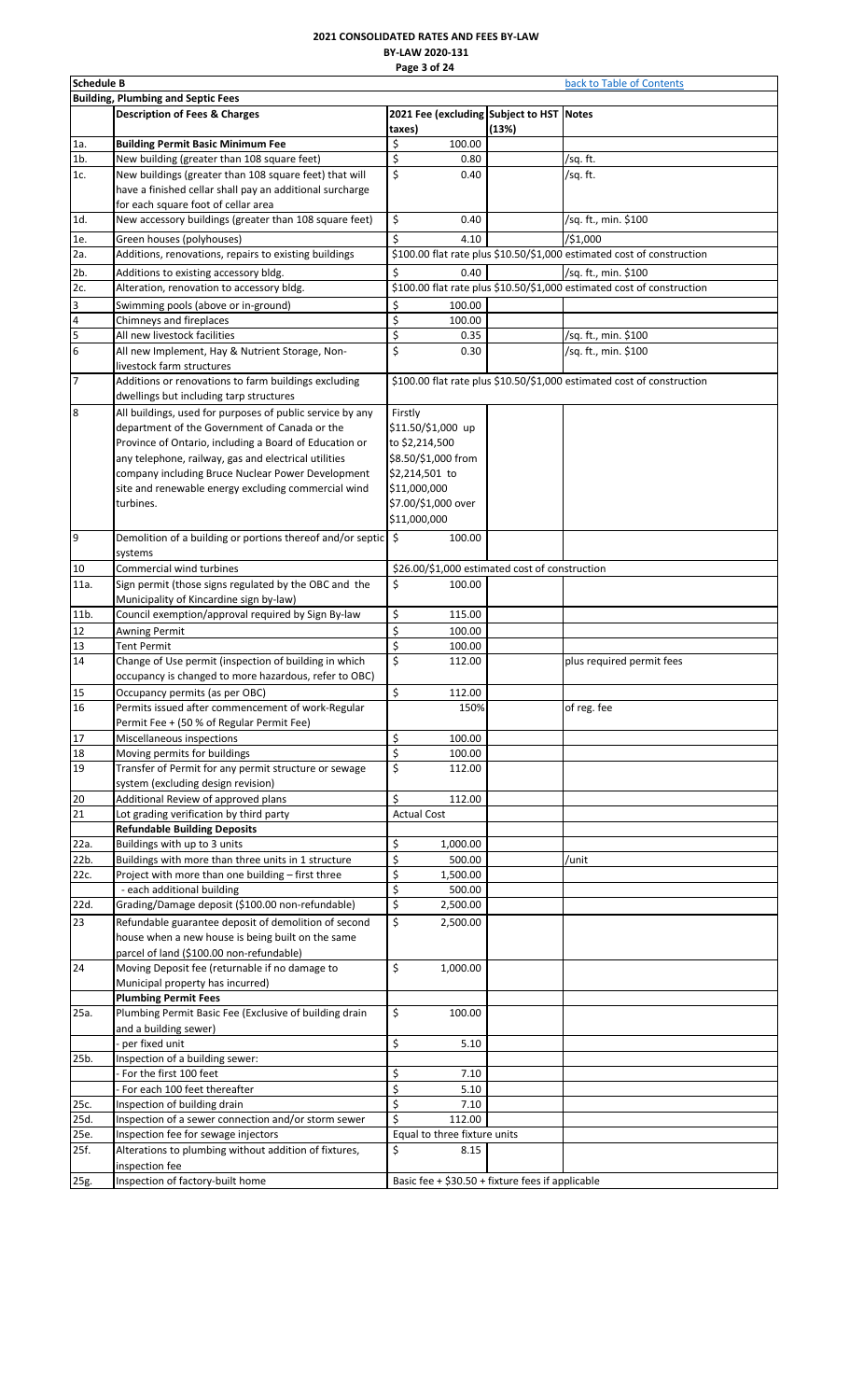# **2021 CONSOLIDATED RATES AND FEES BY-LAW BY-LAW 2020-131 Page 3 of 24**

<span id="page-3-0"></span>

|                | <b>Schedule B</b><br>back to Table of Contents                                        |                                                    |       |                                                                        |  |  |  |
|----------------|---------------------------------------------------------------------------------------|----------------------------------------------------|-------|------------------------------------------------------------------------|--|--|--|
|                | <b>Building, Plumbing and Septic Fees</b>                                             |                                                    |       |                                                                        |  |  |  |
|                | <b>Description of Fees &amp; Charges</b>                                              | 2021 Fee (excluding Subject to HST Notes<br>taxes) | (13%) |                                                                        |  |  |  |
| 1a.            | <b>Building Permit Basic Minimum Fee</b>                                              | \$<br>100.00                                       |       |                                                                        |  |  |  |
| $1b$ .         | New building (greater than 108 square feet)                                           | \$<br>0.80                                         |       | /sq. ft.                                                               |  |  |  |
| 1c.            | New buildings (greater than 108 square feet) that will                                | \$<br>0.40                                         |       | /sq. ft.                                                               |  |  |  |
|                | have a finished cellar shall pay an additional surcharge                              |                                                    |       |                                                                        |  |  |  |
|                | for each square foot of cellar area                                                   |                                                    |       |                                                                        |  |  |  |
| 1d.            | New accessory buildings (greater than 108 square feet)                                | \$<br>0.40                                         |       | /sq. ft., min. \$100                                                   |  |  |  |
| 1e.            | Green houses (polyhouses)                                                             | \$<br>4.10                                         |       | /\$1,000                                                               |  |  |  |
| 2a.            | Additions, renovations, repairs to existing buildings                                 |                                                    |       | \$100.00 flat rate plus \$10.50/\$1,000 estimated cost of construction |  |  |  |
| 2 <sub>b</sub> | Additions to existing accessory bldg.                                                 | \$<br>0.40                                         |       | /sq. ft., min. \$100                                                   |  |  |  |
| 2c.            | Alteration, renovation to accessory bldg.                                             |                                                    |       | \$100.00 flat rate plus \$10.50/\$1,000 estimated cost of construction |  |  |  |
| 3              | Swimming pools (above or in-ground)                                                   | \$<br>100.00                                       |       |                                                                        |  |  |  |
| 4              | Chimneys and fireplaces                                                               | \$<br>100.00                                       |       |                                                                        |  |  |  |
| 5              | All new livestock facilities                                                          | \$<br>0.35                                         |       | /sq. ft., min. \$100                                                   |  |  |  |
| 6              | All new Implement, Hay & Nutrient Storage, Non-                                       | \$<br>0.30                                         |       | /sq. ft., min. \$100                                                   |  |  |  |
|                | livestock farm structures                                                             |                                                    |       |                                                                        |  |  |  |
| 7              | Additions or renovations to farm buildings excluding                                  |                                                    |       | \$100.00 flat rate plus \$10.50/\$1,000 estimated cost of construction |  |  |  |
|                | dwellings but including tarp structures                                               |                                                    |       |                                                                        |  |  |  |
| 8              | All buildings, used for purposes of public service by any                             | Firstly                                            |       |                                                                        |  |  |  |
|                | department of the Government of Canada or the                                         | \$11.50/\$1,000 up                                 |       |                                                                        |  |  |  |
|                | Province of Ontario, including a Board of Education or                                | to \$2,214,500                                     |       |                                                                        |  |  |  |
|                | any telephone, railway, gas and electrical utilities                                  | \$8.50/\$1,000 from                                |       |                                                                        |  |  |  |
|                | company including Bruce Nuclear Power Development                                     | \$2,214,501 to                                     |       |                                                                        |  |  |  |
|                | site and renewable energy excluding commercial wind                                   | \$11,000,000                                       |       |                                                                        |  |  |  |
|                | turbines.                                                                             | \$7.00/\$1,000 over                                |       |                                                                        |  |  |  |
|                |                                                                                       | \$11,000,000                                       |       |                                                                        |  |  |  |
| 9              | Demolition of a building or portions thereof and/or septic $\frac{1}{5}$              | 100.00                                             |       |                                                                        |  |  |  |
|                | systems                                                                               |                                                    |       |                                                                        |  |  |  |
| 10             | Commercial wind turbines                                                              | \$26.00/\$1,000 estimated cost of construction     |       |                                                                        |  |  |  |
| 11a.           | Sign permit (those signs regulated by the OBC and the                                 | \$<br>100.00                                       |       |                                                                        |  |  |  |
|                | Municipality of Kincardine sign by-law)                                               |                                                    |       |                                                                        |  |  |  |
| 11b.           | Council exemption/approval required by Sign By-law                                    | \$<br>115.00                                       |       |                                                                        |  |  |  |
|                |                                                                                       | \$<br>100.00                                       |       |                                                                        |  |  |  |
| 12<br>13       | <b>Awning Permit</b><br><b>Tent Permit</b>                                            | \$<br>100.00                                       |       |                                                                        |  |  |  |
| 14             | Change of Use permit (inspection of building in which                                 | \$<br>112.00                                       |       | plus required permit fees                                              |  |  |  |
|                | occupancy is changed to more hazardous, refer to OBC)                                 |                                                    |       |                                                                        |  |  |  |
| 15             | Occupancy permits (as per OBC)                                                        | \$                                                 |       |                                                                        |  |  |  |
| 16             | Permits issued after commencement of work-Regular                                     | 112.00<br>150%                                     |       | of reg. fee                                                            |  |  |  |
|                | Permit Fee + (50 % of Regular Permit Fee)                                             |                                                    |       |                                                                        |  |  |  |
| 17             | Miscellaneous inspections                                                             | \$<br>100.00                                       |       |                                                                        |  |  |  |
| 18             | Moving permits for buildings                                                          | \$<br>100.00                                       |       |                                                                        |  |  |  |
| 19             | Transfer of Permit for any permit structure or sewage                                 | \$<br>112.00                                       |       |                                                                        |  |  |  |
|                | system (excluding design revision)                                                    |                                                    |       |                                                                        |  |  |  |
| 20             | Additional Review of approved plans                                                   | \$<br>112.00                                       |       |                                                                        |  |  |  |
| 21             | Lot grading verification by third party                                               | <b>Actual Cost</b>                                 |       |                                                                        |  |  |  |
|                | <b>Refundable Building Deposits</b>                                                   |                                                    |       |                                                                        |  |  |  |
| 22a.           | Buildings with up to 3 units                                                          | \$<br>1,000.00                                     |       |                                                                        |  |  |  |
| 22b.           | Buildings with more than three units in 1 structure                                   | \$<br>500.00                                       |       | /unit                                                                  |  |  |  |
| 22c.           | Project with more than one building - first three                                     | \$<br>1,500.00                                     |       |                                                                        |  |  |  |
|                | - each additional building                                                            | \$<br>500.00                                       |       |                                                                        |  |  |  |
| 22d.           | Grading/Damage deposit (\$100.00 non-refundable)                                      | \$<br>2,500.00                                     |       |                                                                        |  |  |  |
|                |                                                                                       | \$                                                 |       |                                                                        |  |  |  |
| 23             | Refundable guarantee deposit of demolition of second                                  | 2,500.00                                           |       |                                                                        |  |  |  |
|                | house when a new house is being built on the same                                     |                                                    |       |                                                                        |  |  |  |
|                | parcel of land (\$100.00 non-refundable)                                              | \$                                                 |       |                                                                        |  |  |  |
| 24             | Moving Deposit fee (returnable if no damage to<br>Municipal property has incurred)    | 1,000.00                                           |       |                                                                        |  |  |  |
|                |                                                                                       |                                                    |       |                                                                        |  |  |  |
| 25a.           | <b>Plumbing Permit Fees</b><br>Plumbing Permit Basic Fee (Exclusive of building drain | \$<br>100.00                                       |       |                                                                        |  |  |  |
|                |                                                                                       |                                                    |       |                                                                        |  |  |  |
|                | and a building sewer)<br>per fixed unit                                               | \$<br>5.10                                         |       |                                                                        |  |  |  |
| 25b.           | Inspection of a building sewer:                                                       |                                                    |       |                                                                        |  |  |  |
|                | For the first 100 feet                                                                | \$<br>7.10                                         |       |                                                                        |  |  |  |
|                |                                                                                       | \$                                                 |       |                                                                        |  |  |  |
|                | For each 100 feet thereafter                                                          | 5.10<br>\$                                         |       |                                                                        |  |  |  |
| 25c.           | Inspection of building drain<br>Inspection of a sewer connection and/or storm sewer   | 7.10<br>\$<br>112.00                               |       |                                                                        |  |  |  |
| 25d.<br>25e.   | Inspection fee for sewage injectors                                                   | Equal to three fixture units                       |       |                                                                        |  |  |  |
| 25f.           | Alterations to plumbing without addition of fixtures,                                 | \$<br>8.15                                         |       |                                                                        |  |  |  |
|                | inspection fee                                                                        |                                                    |       |                                                                        |  |  |  |
|                | Inspection of factory-built home                                                      | Basic fee + \$30.50 + fixture fees if applicable   |       |                                                                        |  |  |  |
| 25g.           |                                                                                       |                                                    |       |                                                                        |  |  |  |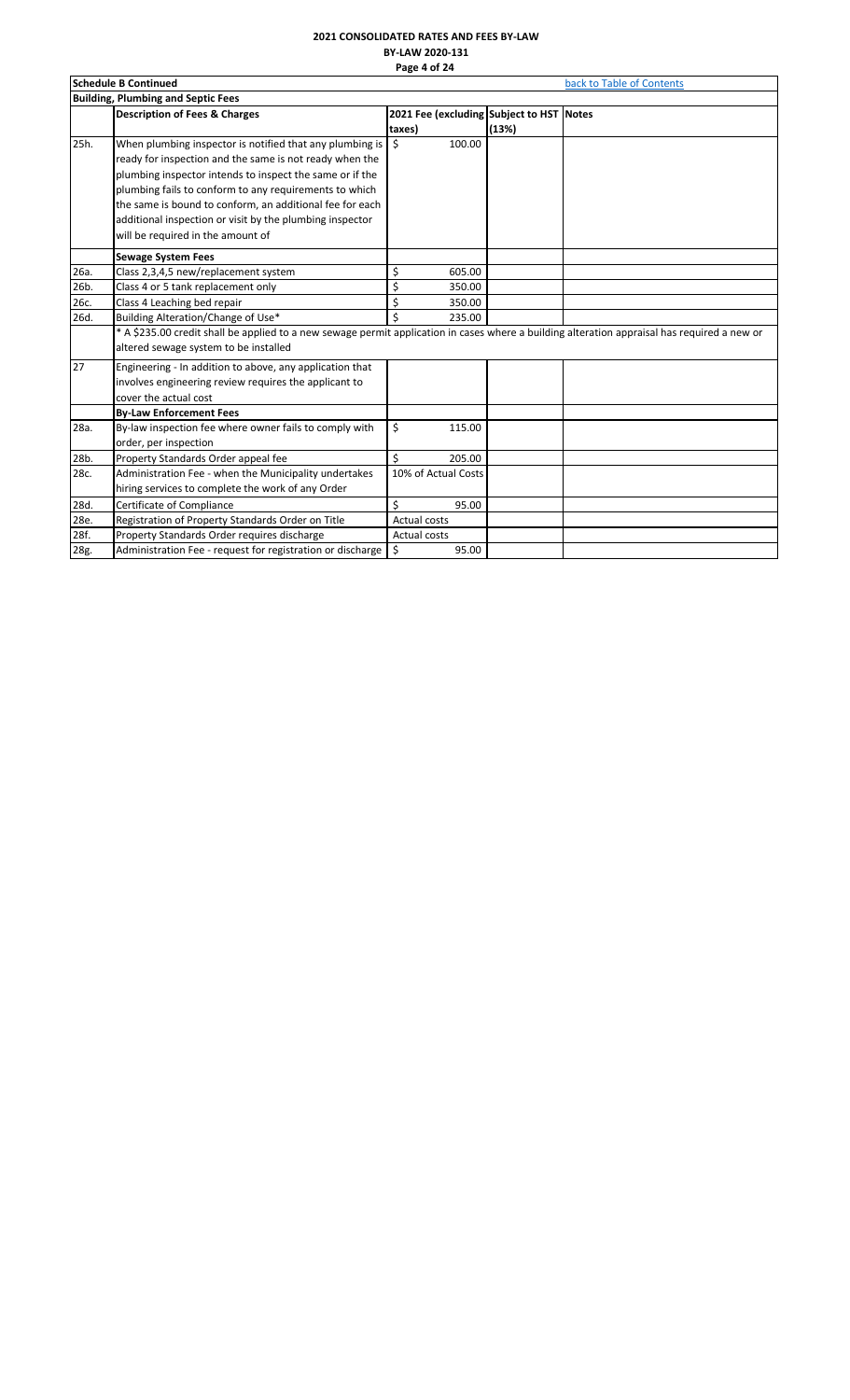#### **2021 CONSOLIDATED RATES AND FEES BY-LAW BY-LAW 2020-131 Page 4 of 24**

|      | .<br><b>Schedule B Continued</b><br>back to Table of Contents                                                                                                                                                                                                                                                                                                                                          |                                                    |       |  |  |  |  |
|------|--------------------------------------------------------------------------------------------------------------------------------------------------------------------------------------------------------------------------------------------------------------------------------------------------------------------------------------------------------------------------------------------------------|----------------------------------------------------|-------|--|--|--|--|
|      | <b>Building, Plumbing and Septic Fees</b>                                                                                                                                                                                                                                                                                                                                                              |                                                    |       |  |  |  |  |
|      | <b>Description of Fees &amp; Charges</b>                                                                                                                                                                                                                                                                                                                                                               | 2021 Fee (excluding Subject to HST Notes<br>taxes) | (13%) |  |  |  |  |
| 25h. | When plumbing inspector is notified that any plumbing is<br>ready for inspection and the same is not ready when the<br>plumbing inspector intends to inspect the same or if the<br>plumbing fails to conform to any requirements to which<br>the same is bound to conform, an additional fee for each<br>additional inspection or visit by the plumbing inspector<br>will be required in the amount of | 100.00<br>Ŝ.                                       |       |  |  |  |  |
|      | <b>Sewage System Fees</b>                                                                                                                                                                                                                                                                                                                                                                              |                                                    |       |  |  |  |  |
| 26a. | Class 2,3,4,5 new/replacement system                                                                                                                                                                                                                                                                                                                                                                   | \$<br>605.00                                       |       |  |  |  |  |
| 26b. | Class 4 or 5 tank replacement only                                                                                                                                                                                                                                                                                                                                                                     | \$<br>350.00                                       |       |  |  |  |  |
| 26c. | Class 4 Leaching bed repair                                                                                                                                                                                                                                                                                                                                                                            | \$<br>350.00                                       |       |  |  |  |  |
| 26d. | Building Alteration/Change of Use*                                                                                                                                                                                                                                                                                                                                                                     | \$<br>235.00                                       |       |  |  |  |  |
|      | * A \$235.00 credit shall be applied to a new sewage permit application in cases where a building alteration appraisal has required a new or<br>altered sewage system to be installed                                                                                                                                                                                                                  |                                                    |       |  |  |  |  |
| 27   | Engineering - In addition to above, any application that<br>involves engineering review requires the applicant to<br>cover the actual cost                                                                                                                                                                                                                                                             |                                                    |       |  |  |  |  |
|      | <b>By-Law Enforcement Fees</b>                                                                                                                                                                                                                                                                                                                                                                         |                                                    |       |  |  |  |  |
| 28a. | By-law inspection fee where owner fails to comply with<br>order, per inspection                                                                                                                                                                                                                                                                                                                        | \$<br>115.00                                       |       |  |  |  |  |
| 28b. | Property Standards Order appeal fee                                                                                                                                                                                                                                                                                                                                                                    | \$<br>205.00                                       |       |  |  |  |  |
| 28c. | Administration Fee - when the Municipality undertakes<br>hiring services to complete the work of any Order                                                                                                                                                                                                                                                                                             | 10% of Actual Costs                                |       |  |  |  |  |
| 28d. | Certificate of Compliance                                                                                                                                                                                                                                                                                                                                                                              | \$<br>95.00                                        |       |  |  |  |  |
| 28e. | Registration of Property Standards Order on Title                                                                                                                                                                                                                                                                                                                                                      | <b>Actual costs</b>                                |       |  |  |  |  |
| 28f. | Property Standards Order requires discharge                                                                                                                                                                                                                                                                                                                                                            | Actual costs                                       |       |  |  |  |  |
| 28g. | Administration Fee - request for registration or discharge                                                                                                                                                                                                                                                                                                                                             | \$<br>95.00                                        |       |  |  |  |  |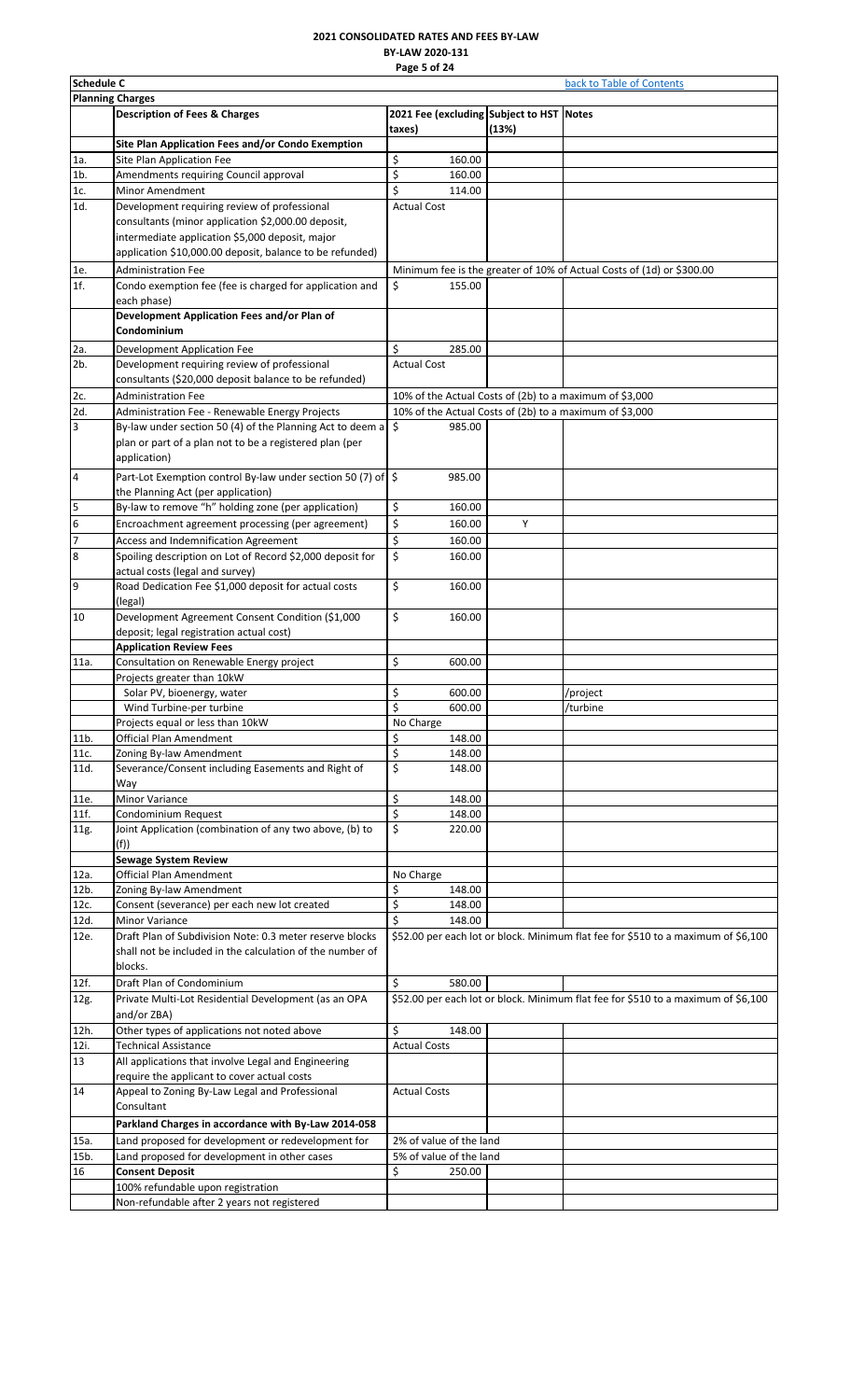# **2021 CONSOLIDATED RATES AND FEES BY-LAW BY-LAW 2020-131 Page 5 of 24**

<span id="page-5-0"></span>

|                         | <b>Schedule C</b><br>back to Table of Contents                                                                                   |                                                         |       |                                                                                   |  |  |  |
|-------------------------|----------------------------------------------------------------------------------------------------------------------------------|---------------------------------------------------------|-------|-----------------------------------------------------------------------------------|--|--|--|
|                         | <b>Planning Charges</b>                                                                                                          |                                                         |       |                                                                                   |  |  |  |
|                         | <b>Description of Fees &amp; Charges</b>                                                                                         | 2021 Fee (excluding Subject to HST Notes<br>taxes)      | (13%) |                                                                                   |  |  |  |
|                         | Site Plan Application Fees and/or Condo Exemption                                                                                |                                                         |       |                                                                                   |  |  |  |
| 1a.                     | Site Plan Application Fee                                                                                                        | \$<br>160.00                                            |       |                                                                                   |  |  |  |
| $1b$ .                  | Amendments requiring Council approval                                                                                            | \$<br>160.00                                            |       |                                                                                   |  |  |  |
| 1c.                     | Minor Amendment                                                                                                                  | \$<br>114.00                                            |       |                                                                                   |  |  |  |
| 1d.                     | Development requiring review of professional                                                                                     | <b>Actual Cost</b>                                      |       |                                                                                   |  |  |  |
|                         | consultants (minor application \$2,000.00 deposit,                                                                               |                                                         |       |                                                                                   |  |  |  |
|                         | intermediate application \$5,000 deposit, major                                                                                  |                                                         |       |                                                                                   |  |  |  |
|                         | application \$10,000.00 deposit, balance to be refunded)                                                                         |                                                         |       |                                                                                   |  |  |  |
| 1e.                     | <b>Administration Fee</b>                                                                                                        |                                                         |       | Minimum fee is the greater of 10% of Actual Costs of (1d) or \$300.00             |  |  |  |
| 1f.                     | Condo exemption fee (fee is charged for application and                                                                          | \$<br>155.00                                            |       |                                                                                   |  |  |  |
|                         | each phase)                                                                                                                      |                                                         |       |                                                                                   |  |  |  |
|                         | Development Application Fees and/or Plan of<br>Condominium                                                                       |                                                         |       |                                                                                   |  |  |  |
| 2a.                     | Development Application Fee                                                                                                      | \$<br>285.00                                            |       |                                                                                   |  |  |  |
| 2b.                     | Development requiring review of professional                                                                                     | <b>Actual Cost</b>                                      |       |                                                                                   |  |  |  |
|                         | consultants (\$20,000 deposit balance to be refunded)                                                                            |                                                         |       |                                                                                   |  |  |  |
| 2c.                     | <b>Administration Fee</b>                                                                                                        | 10% of the Actual Costs of (2b) to a maximum of \$3,000 |       |                                                                                   |  |  |  |
| 2d.                     | Administration Fee - Renewable Energy Projects                                                                                   | 10% of the Actual Costs of (2b) to a maximum of \$3,000 |       |                                                                                   |  |  |  |
|                         |                                                                                                                                  |                                                         |       |                                                                                   |  |  |  |
| 3                       | By-law under section 50 (4) of the Planning Act to deem a                                                                        | ا \$<br>985.00                                          |       |                                                                                   |  |  |  |
|                         | plan or part of a plan not to be a registered plan (per<br>application)                                                          |                                                         |       |                                                                                   |  |  |  |
| $\overline{\mathbf{4}}$ | Part-Lot Exemption control By-law under section 50 (7) of \$<br>the Planning Act (per application)                               | 985.00                                                  |       |                                                                                   |  |  |  |
| 5                       | By-law to remove "h" holding zone (per application)                                                                              | \$<br>160.00                                            |       |                                                                                   |  |  |  |
| $\overline{6}$          |                                                                                                                                  |                                                         | Y     |                                                                                   |  |  |  |
|                         | Encroachment agreement processing (per agreement)                                                                                | \$<br>160.00                                            |       |                                                                                   |  |  |  |
| $\overline{7}$          | Access and Indemnification Agreement                                                                                             | \$<br>160.00                                            |       |                                                                                   |  |  |  |
| $\boldsymbol{8}$        | Spoiling description on Lot of Record \$2,000 deposit for<br>actual costs (legal and survey)                                     | \$<br>160.00                                            |       |                                                                                   |  |  |  |
| 9                       | Road Dedication Fee \$1,000 deposit for actual costs<br>(legal)                                                                  | \$<br>160.00                                            |       |                                                                                   |  |  |  |
| 10                      | Development Agreement Consent Condition (\$1,000                                                                                 | \$<br>160.00                                            |       |                                                                                   |  |  |  |
|                         | deposit; legal registration actual cost)                                                                                         |                                                         |       |                                                                                   |  |  |  |
|                         | <b>Application Review Fees</b>                                                                                                   |                                                         |       |                                                                                   |  |  |  |
| 11a.                    | Consultation on Renewable Energy project                                                                                         | \$<br>600.00                                            |       |                                                                                   |  |  |  |
|                         | Projects greater than 10kW                                                                                                       |                                                         |       |                                                                                   |  |  |  |
|                         | Solar PV, bioenergy, water                                                                                                       | \$<br>600.00                                            |       | /project                                                                          |  |  |  |
|                         | Wind Turbine-per turbine                                                                                                         | \$<br>600.00                                            |       | /turbine                                                                          |  |  |  |
|                         | Projects equal or less than 10kW                                                                                                 | No Charge                                               |       |                                                                                   |  |  |  |
| 11b.                    | <b>Official Plan Amendment</b>                                                                                                   | \$<br>148.00                                            |       |                                                                                   |  |  |  |
| 11c.                    | Zoning By-law Amendment                                                                                                          | \$<br>148.00                                            |       |                                                                                   |  |  |  |
| 11d.                    | Severance/Consent including Easements and Right of                                                                               | \$<br>148.00                                            |       |                                                                                   |  |  |  |
|                         | Way<br>Minor Variance                                                                                                            |                                                         |       |                                                                                   |  |  |  |
| 11e.                    |                                                                                                                                  | \$<br>148.00                                            |       |                                                                                   |  |  |  |
| 11f.                    | Condominium Request                                                                                                              | \$<br>148.00                                            |       |                                                                                   |  |  |  |
| 11g.                    | Joint Application (combination of any two above, (b) to                                                                          | \$<br>220.00                                            |       |                                                                                   |  |  |  |
|                         | (f))                                                                                                                             |                                                         |       |                                                                                   |  |  |  |
|                         | <b>Sewage System Review</b>                                                                                                      |                                                         |       |                                                                                   |  |  |  |
| 12a.                    | <b>Official Plan Amendment</b>                                                                                                   | No Charge                                               |       |                                                                                   |  |  |  |
| 12b.                    | Zoning By-law Amendment                                                                                                          | \$<br>148.00                                            |       |                                                                                   |  |  |  |
| 12c.                    | Consent (severance) per each new lot created                                                                                     | \$<br>148.00                                            |       |                                                                                   |  |  |  |
| 12d.                    | Minor Variance                                                                                                                   | \$<br>148.00                                            |       |                                                                                   |  |  |  |
| 12e.                    | Draft Plan of Subdivision Note: 0.3 meter reserve blocks<br>shall not be included in the calculation of the number of<br>blocks. |                                                         |       | \$52.00 per each lot or block. Minimum flat fee for \$510 to a maximum of \$6,100 |  |  |  |
| 12f.                    | Draft Plan of Condominium                                                                                                        | \$<br>580.00                                            |       |                                                                                   |  |  |  |
|                         |                                                                                                                                  |                                                         |       |                                                                                   |  |  |  |
| 12g.                    | Private Multi-Lot Residential Development (as an OPA<br>and/or ZBA)                                                              |                                                         |       | \$52.00 per each lot or block. Minimum flat fee for \$510 to a maximum of \$6,100 |  |  |  |
| 12h.                    | Other types of applications not noted above                                                                                      | \$<br>148.00                                            |       |                                                                                   |  |  |  |
| 12i.                    | <b>Technical Assistance</b>                                                                                                      | <b>Actual Costs</b>                                     |       |                                                                                   |  |  |  |
| 13                      | All applications that involve Legal and Engineering                                                                              |                                                         |       |                                                                                   |  |  |  |
|                         | require the applicant to cover actual costs                                                                                      |                                                         |       |                                                                                   |  |  |  |
| 14                      | Appeal to Zoning By-Law Legal and Professional<br>Consultant                                                                     | <b>Actual Costs</b>                                     |       |                                                                                   |  |  |  |
|                         | Parkland Charges in accordance with By-Law 2014-058                                                                              |                                                         |       |                                                                                   |  |  |  |
|                         |                                                                                                                                  |                                                         |       |                                                                                   |  |  |  |
| 15a.                    | Land proposed for development or redevelopment for                                                                               | 2% of value of the land                                 |       |                                                                                   |  |  |  |
| 15b.                    | Land proposed for development in other cases                                                                                     | 5% of value of the land                                 |       |                                                                                   |  |  |  |
| 16                      | <b>Consent Deposit</b>                                                                                                           | \$<br>250.00                                            |       |                                                                                   |  |  |  |
|                         | 100% refundable upon registration                                                                                                |                                                         |       |                                                                                   |  |  |  |
|                         | Non-refundable after 2 years not registered                                                                                      |                                                         |       |                                                                                   |  |  |  |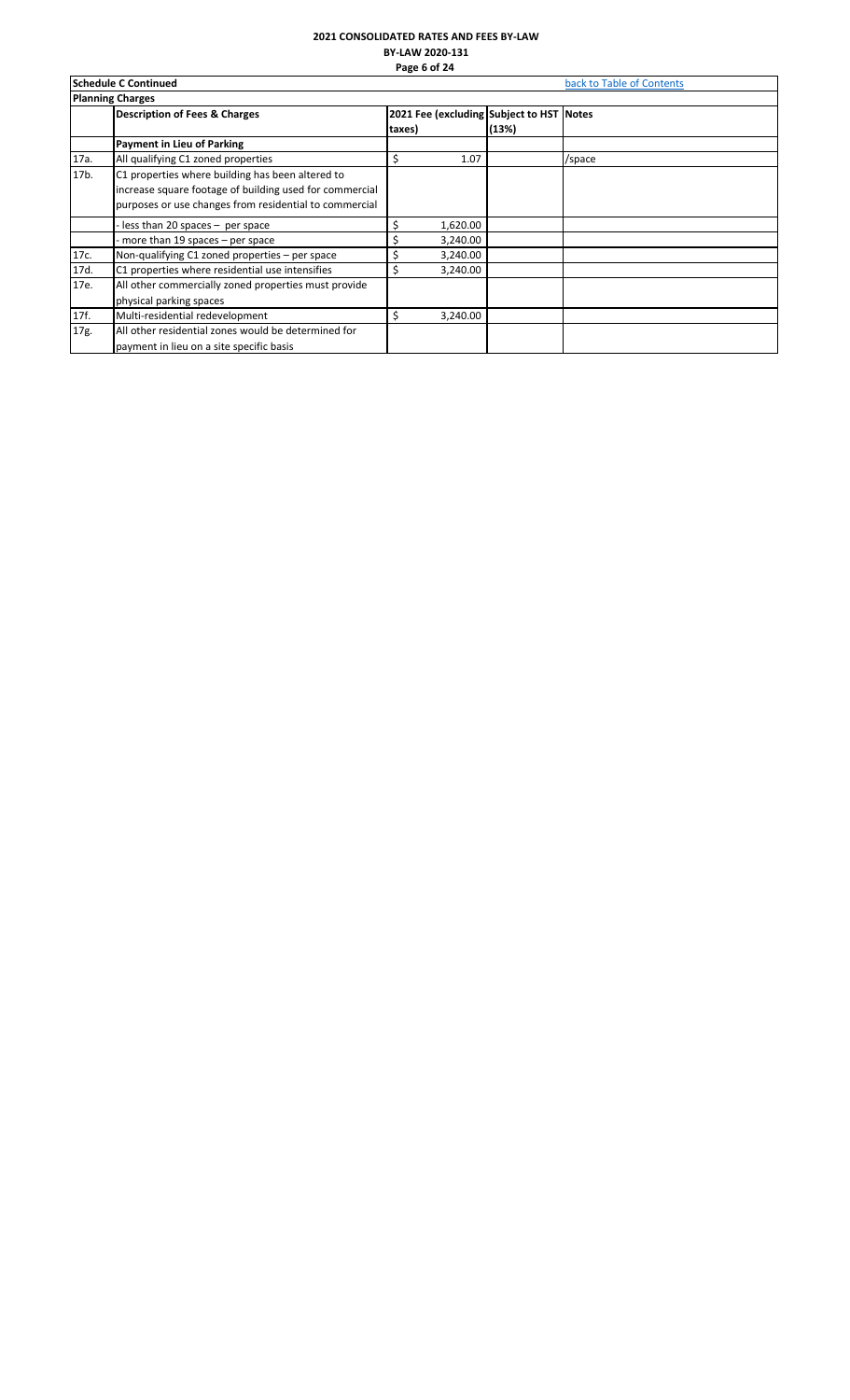### **2021 CONSOLIDATED RATES AND FEES BY-LAW BY-LAW 2020-131 Page 6 of 24**

|      | <b>Schedule C Continued</b>                             | back to Table of Contents |          |                                          |        |  |  |  |
|------|---------------------------------------------------------|---------------------------|----------|------------------------------------------|--------|--|--|--|
|      | <b>Planning Charges</b>                                 |                           |          |                                          |        |  |  |  |
|      | <b>Description of Fees &amp; Charges</b>                |                           |          | 2021 Fee (excluding Subject to HST Notes |        |  |  |  |
|      |                                                         | taxes)                    |          | (13%)                                    |        |  |  |  |
|      | <b>Payment in Lieu of Parking</b>                       |                           |          |                                          |        |  |  |  |
| 17a. | All qualifying C1 zoned properties                      | Ś                         | 1.07     |                                          | /space |  |  |  |
| 17b. | C1 properties where building has been altered to        |                           |          |                                          |        |  |  |  |
|      | increase square footage of building used for commercial |                           |          |                                          |        |  |  |  |
|      | purposes or use changes from residential to commercial  |                           |          |                                          |        |  |  |  |
|      | less than 20 spaces – per space                         | Ś                         | 1,620.00 |                                          |        |  |  |  |
|      | more than 19 spaces $-$ per space                       |                           | 3,240.00 |                                          |        |  |  |  |
| 17c. | Non-qualifying C1 zoned properties – per space          |                           | 3,240.00 |                                          |        |  |  |  |
| 17d. | C1 properties where residential use intensifies         | Ś                         | 3,240.00 |                                          |        |  |  |  |
| 17e. | All other commercially zoned properties must provide    |                           |          |                                          |        |  |  |  |
|      | physical parking spaces                                 |                           |          |                                          |        |  |  |  |
| 17f. | Multi-residential redevelopment                         | Ś                         | 3,240.00 |                                          |        |  |  |  |
| 17g. | All other residential zones would be determined for     |                           |          |                                          |        |  |  |  |
|      | payment in lieu on a site specific basis                |                           |          |                                          |        |  |  |  |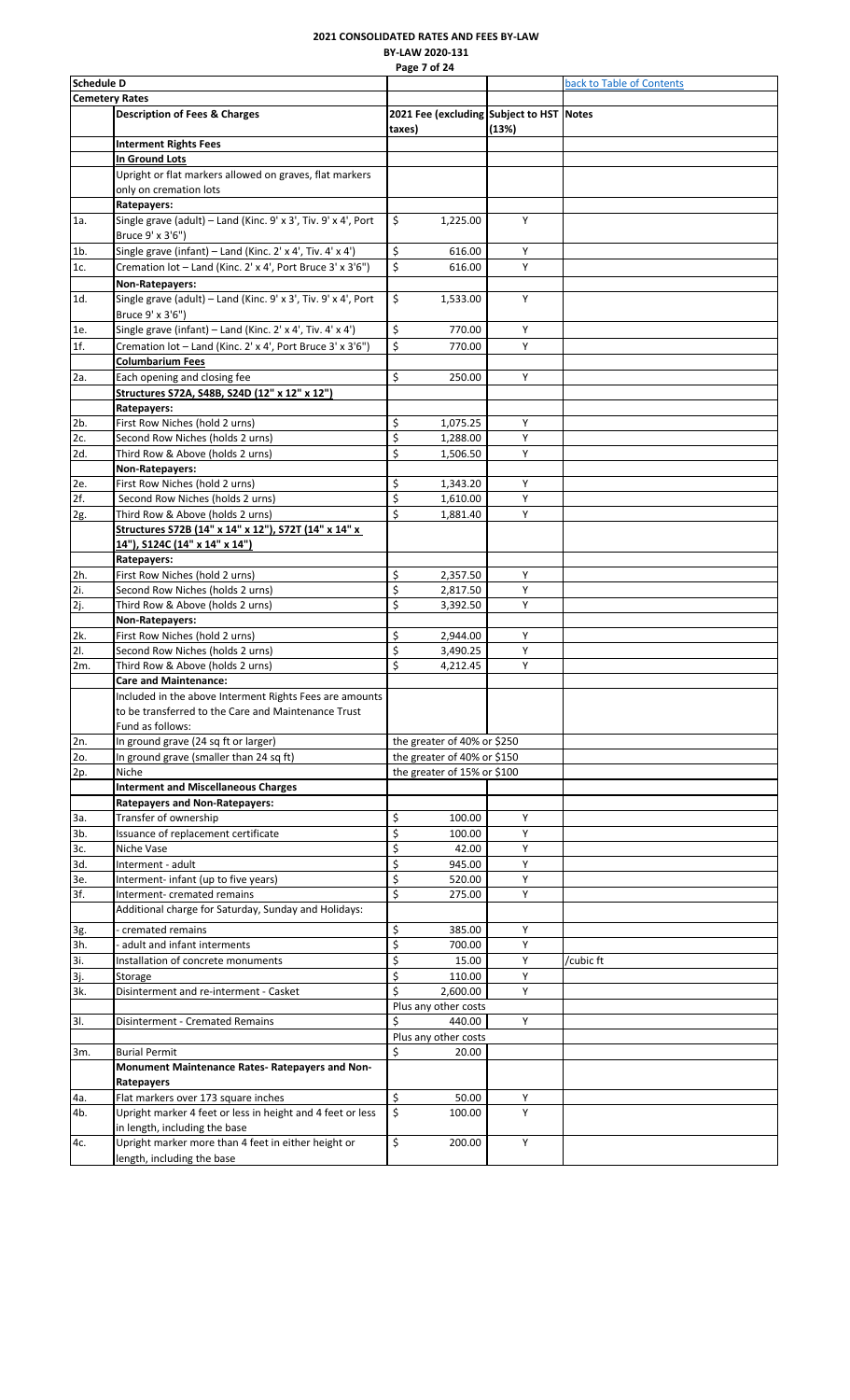# **2021 CONSOLIDATED RATES AND FEES BY-LAW BY-LAW 2020-131**

<span id="page-7-0"></span>

|                   |                                                                                                                                    | Page 7 of 24                                       |       |                           |
|-------------------|------------------------------------------------------------------------------------------------------------------------------------|----------------------------------------------------|-------|---------------------------|
| <b>Schedule D</b> |                                                                                                                                    |                                                    |       | back to Table of Contents |
|                   | <b>Cemetery Rates</b>                                                                                                              |                                                    |       |                           |
|                   | <b>Description of Fees &amp; Charges</b>                                                                                           | 2021 Fee (excluding Subject to HST Notes<br>taxes) | (13%) |                           |
|                   | <b>Interment Rights Fees</b>                                                                                                       |                                                    |       |                           |
|                   | In Ground Lots                                                                                                                     |                                                    |       |                           |
|                   | Upright or flat markers allowed on graves, flat markers                                                                            |                                                    |       |                           |
|                   | only on cremation lots                                                                                                             |                                                    |       |                           |
|                   | Ratepayers:                                                                                                                        |                                                    |       |                           |
| 1a.               | Single grave (adult) - Land (Kinc. 9' x 3', Tiv. 9' x 4', Port<br>Bruce 9' x 3'6")                                                 | \$<br>1,225.00                                     | Y     |                           |
| $1b$ .            | Single grave (infant) - Land (Kinc. 2' x 4', Tiv. 4' x 4')                                                                         | \$<br>616.00                                       | Y     |                           |
| 1c.               | Cremation lot - Land (Kinc. 2' x 4', Port Bruce 3' x 3'6")                                                                         | \$<br>616.00                                       | Y     |                           |
|                   | Non-Ratepayers:                                                                                                                    |                                                    |       |                           |
| 1d.               | Single grave (adult) - Land (Kinc. 9' x 3', Tiv. 9' x 4', Port<br>Bruce 9' x 3'6")                                                 | \$<br>1,533.00                                     | Y     |                           |
| 1e.               | Single grave (infant) - Land (Kinc. 2' x 4', Tiv. 4' x 4')                                                                         | \$<br>770.00                                       | Υ     |                           |
| 1f.               | Cremation lot - Land (Kinc. 2' x 4', Port Bruce 3' x 3'6")                                                                         | \$<br>770.00                                       | Υ     |                           |
|                   | <b>Columbarium Fees</b>                                                                                                            |                                                    |       |                           |
| 2a.               | Each opening and closing fee                                                                                                       | \$<br>250.00                                       | Y     |                           |
|                   | Structures S72A, S48B, S24D (12" x 12" x 12")                                                                                      |                                                    |       |                           |
|                   | Ratepayers:                                                                                                                        |                                                    |       |                           |
| 2b.               | First Row Niches (hold 2 urns)                                                                                                     | \$<br>1,075.25                                     | Υ     |                           |
| 2c.               | Second Row Niches (holds 2 urns)                                                                                                   | $\overline{\xi}$<br>1,288.00                       | Y     |                           |
| 2d.               | Third Row & Above (holds 2 urns)                                                                                                   | \$<br>1,506.50                                     | Y     |                           |
|                   | Non-Ratepayers:                                                                                                                    |                                                    |       |                           |
| 2e.               | First Row Niches (hold 2 urns)                                                                                                     | \$<br>1,343.20                                     | Υ     |                           |
| 2f.               | Second Row Niches (holds 2 urns)                                                                                                   | \$<br>1,610.00                                     | Y     |                           |
| 2g.               | Third Row & Above (holds 2 urns)                                                                                                   | \$<br>1,881.40                                     | Υ     |                           |
|                   | Structures S72B (14" x 14" x 12"), S72T (14" x 14" x<br>14"), S124C (14" x 14" x 14")                                              |                                                    |       |                           |
|                   | Ratepayers:                                                                                                                        |                                                    |       |                           |
| 2h.               | First Row Niches (hold 2 urns)                                                                                                     | \$<br>2,357.50                                     | Υ     |                           |
| 2i.               | Second Row Niches (holds 2 urns)                                                                                                   | \$<br>2,817.50                                     | Υ     |                           |
| 2j.               | Third Row & Above (holds 2 urns)                                                                                                   | \$<br>3,392.50                                     | Υ     |                           |
|                   | Non-Ratepayers:                                                                                                                    |                                                    |       |                           |
| 2k.               | First Row Niches (hold 2 urns)                                                                                                     | \$<br>2,944.00                                     | Υ     |                           |
| 21.               | Second Row Niches (holds 2 urns)                                                                                                   | \$<br>3,490.25                                     | Υ     |                           |
| 2m.               | Third Row & Above (holds 2 urns)                                                                                                   | \$<br>4,212.45                                     | Y     |                           |
|                   | <b>Care and Maintenance:</b>                                                                                                       |                                                    |       |                           |
|                   | Included in the above Interment Rights Fees are amounts<br>to be transferred to the Care and Maintenance Trust<br>Fund as follows: |                                                    |       |                           |
| 2n.               | In ground grave (24 sq ft or larger)                                                                                               | the greater of 40% or \$250                        |       |                           |
| 20.               | In ground grave (smaller than 24 sq ft)                                                                                            | the greater of 40% or \$150                        |       |                           |
| 2p.               | Niche                                                                                                                              | the greater of 15% or \$100                        |       |                           |
|                   | <b>Interment and Miscellaneous Charges</b>                                                                                         |                                                    |       |                           |
|                   | Ratepayers and Non-Ratepayers:                                                                                                     |                                                    |       |                           |
| За.               | Transfer of ownership                                                                                                              | \$<br>100.00                                       | Υ     |                           |
| 3b.               | Issuance of replacement certificate                                                                                                | \$<br>100.00                                       | Y     |                           |
| 3с.               | Niche Vase                                                                                                                         | \$<br>42.00                                        | Y     |                           |
| 3d.               | Interment - adult                                                                                                                  | \$<br>945.00                                       | Υ     |                           |
| 3е.               | Interment- infant (up to five years)                                                                                               | $\overline{\xi}$<br>520.00                         | Υ     |                           |
| 3f.               | Interment- cremated remains                                                                                                        | $\overline{\xi}$<br>275.00                         | Y     |                           |
|                   | Additional charge for Saturday, Sunday and Holidays:                                                                               |                                                    |       |                           |
|                   | cremated remains                                                                                                                   | \$<br>385.00                                       | Y     |                           |
| 3g.<br>3h.        | adult and infant interments                                                                                                        | \$<br>700.00                                       | Υ     |                           |
| 3i.               | Installation of concrete monuments                                                                                                 | \$<br>15.00                                        | Υ     | /cubic ft                 |
|                   | Storage                                                                                                                            | \$<br>110.00                                       | Y     |                           |
| 3j.<br>3k.        | Disinterment and re-interment - Casket                                                                                             | \$<br>2,600.00                                     | Υ     |                           |
|                   |                                                                                                                                    | Plus any other costs                               |       |                           |
| 3I.               | Disinterment - Cremated Remains                                                                                                    | \$<br>440.00                                       | Y     |                           |
|                   |                                                                                                                                    | Plus any other costs                               |       |                           |
| 3m.               | <b>Burial Permit</b>                                                                                                               | \$<br>20.00                                        |       |                           |
|                   | Monument Maintenance Rates-Ratepayers and Non-                                                                                     |                                                    |       |                           |
|                   | Ratepayers                                                                                                                         |                                                    |       |                           |
| 4a.               | Flat markers over 173 square inches                                                                                                | \$<br>50.00                                        | Υ     |                           |
| 4b.               | Upright marker 4 feet or less in height and 4 feet or less                                                                         | \$<br>100.00                                       | Υ     |                           |
|                   | in length, including the base                                                                                                      |                                                    |       |                           |
| 4c.               | Upright marker more than 4 feet in either height or                                                                                | \$<br>200.00                                       | Y     |                           |
|                   | length, including the base                                                                                                         |                                                    |       |                           |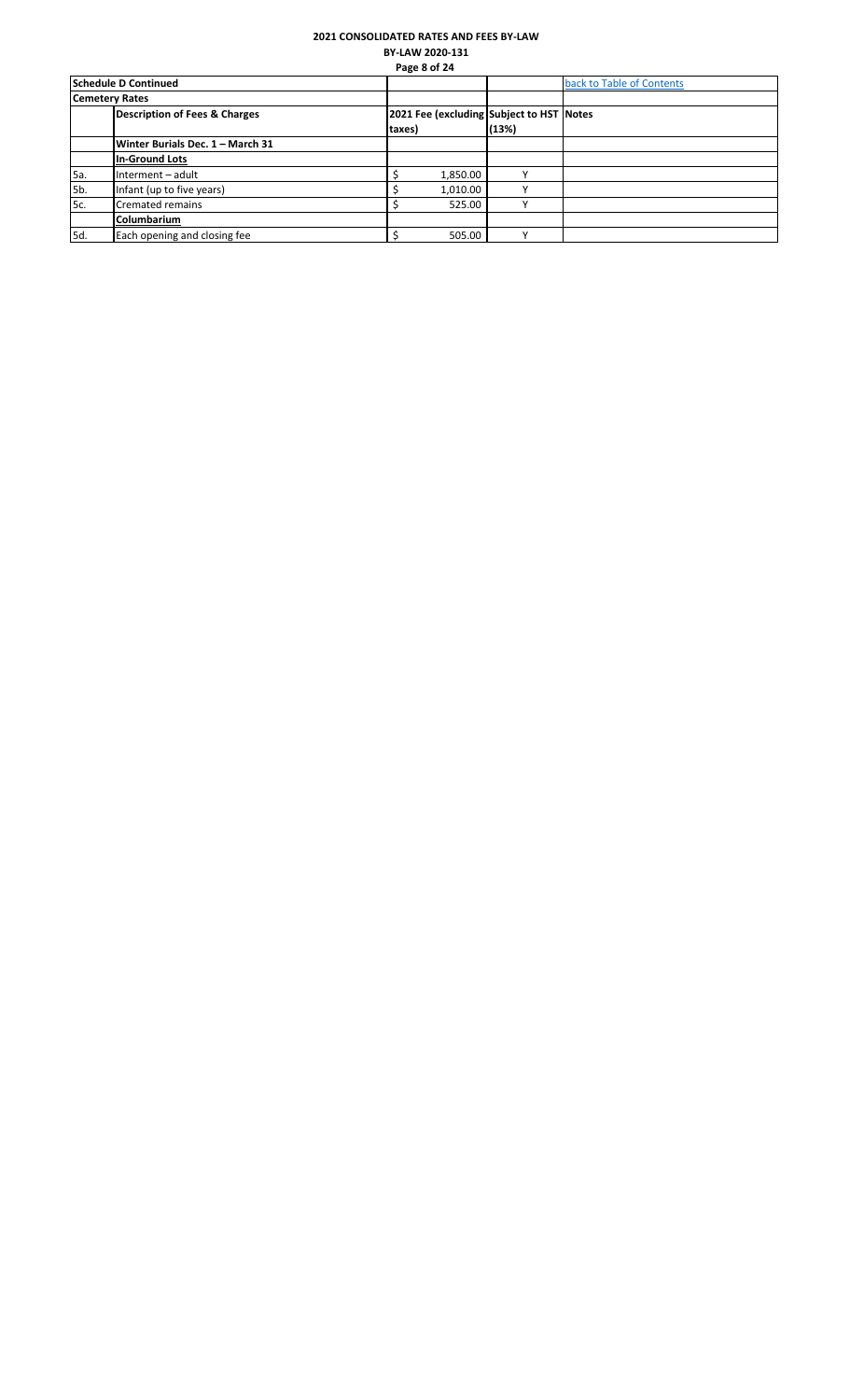# **2021 CONSOLIDATED RATES AND FEES BY-LAW BY-LAW 2020-131**

|     |                                  |        | Page 8 of 24 |                                          |                           |
|-----|----------------------------------|--------|--------------|------------------------------------------|---------------------------|
|     | Schedule D Continued             |        |              |                                          | back to Table of Contents |
|     | <b>Cemetery Rates</b>            |        |              |                                          |                           |
|     | Description of Fees & Charges    |        |              | 2021 Fee (excluding Subject to HST Notes |                           |
|     |                                  | taxes) |              | (13%)                                    |                           |
|     | Winter Burials Dec. 1 - March 31 |        |              |                                          |                           |
|     | <b>In-Ground Lots</b>            |        |              |                                          |                           |
| 5a. | Interment - adult                |        | 1,850.00     | $\checkmark$                             |                           |
| 5b. | Infant (up to five years)        |        | 1,010.00     | $\mathbf{v}$                             |                           |
| 5c. | <b>Cremated remains</b>          |        | 525.00       | $\mathbf{v}$                             |                           |
|     | Columbarium                      |        |              |                                          |                           |
| 5d. | Each opening and closing fee     |        | 505.00       |                                          |                           |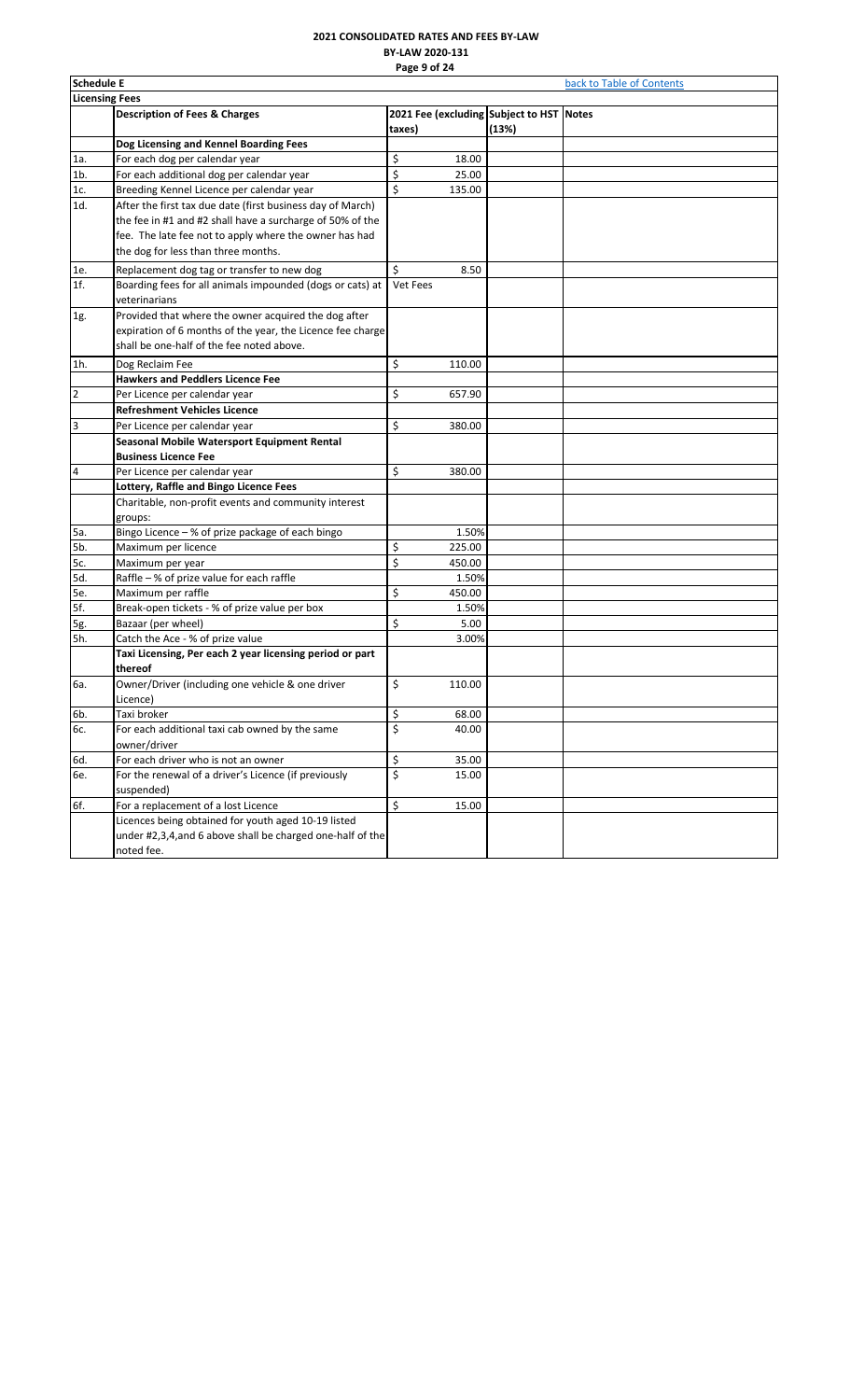# **2021 CONSOLIDATED RATES AND FEES BY-LAW BY-LAW 2020-131 Page 9 of 24**

<span id="page-9-0"></span>

| <b>Schedule E</b><br>back to Table of Contents |                                                            |                         |        |                                          |  |  |
|------------------------------------------------|------------------------------------------------------------|-------------------------|--------|------------------------------------------|--|--|
| <b>Licensing Fees</b>                          |                                                            |                         |        |                                          |  |  |
|                                                | <b>Description of Fees &amp; Charges</b>                   |                         |        | 2021 Fee (excluding Subject to HST Notes |  |  |
|                                                |                                                            | taxes)                  |        | (13%)                                    |  |  |
|                                                | Dog Licensing and Kennel Boarding Fees                     |                         |        |                                          |  |  |
| 1a.                                            | For each dog per calendar year                             | \$                      | 18.00  |                                          |  |  |
| $1b$ .                                         | For each additional dog per calendar year                  | \$                      | 25.00  |                                          |  |  |
| 1c.                                            | Breeding Kennel Licence per calendar year                  | \$                      | 135.00 |                                          |  |  |
| 1d.                                            | After the first tax due date (first business day of March) |                         |        |                                          |  |  |
|                                                | the fee in #1 and #2 shall have a surcharge of 50% of the  |                         |        |                                          |  |  |
|                                                | fee. The late fee not to apply where the owner has had     |                         |        |                                          |  |  |
|                                                | the dog for less than three months.                        |                         |        |                                          |  |  |
| 1e.                                            | Replacement dog tag or transfer to new dog                 | \$                      | 8.50   |                                          |  |  |
| 1f.                                            | Boarding fees for all animals impounded (dogs or cats) at  | Vet Fees                |        |                                          |  |  |
|                                                | veterinarians                                              |                         |        |                                          |  |  |
| 1g.                                            | Provided that where the owner acquired the dog after       |                         |        |                                          |  |  |
|                                                | expiration of 6 months of the year, the Licence fee charge |                         |        |                                          |  |  |
|                                                | shall be one-half of the fee noted above.                  |                         |        |                                          |  |  |
| 1h.                                            | Dog Reclaim Fee                                            | \$                      | 110.00 |                                          |  |  |
|                                                | <b>Hawkers and Peddlers Licence Fee</b>                    |                         |        |                                          |  |  |
| $\overline{2}$                                 | Per Licence per calendar year                              | \$                      | 657.90 |                                          |  |  |
|                                                | <b>Refreshment Vehicles Licence</b>                        |                         |        |                                          |  |  |
| 3                                              | Per Licence per calendar year                              | \$                      | 380.00 |                                          |  |  |
|                                                | Seasonal Mobile Watersport Equipment Rental                |                         |        |                                          |  |  |
|                                                | <b>Business Licence Fee</b>                                |                         |        |                                          |  |  |
| $\overline{\mathbf{4}}$                        | Per Licence per calendar year                              | \$                      | 380.00 |                                          |  |  |
|                                                | Lottery, Raffle and Bingo Licence Fees                     |                         |        |                                          |  |  |
|                                                | Charitable, non-profit events and community interest       |                         |        |                                          |  |  |
|                                                | groups:                                                    |                         |        |                                          |  |  |
| 5a.                                            | Bingo Licence - % of prize package of each bingo           |                         | 1.50%  |                                          |  |  |
| 5b.                                            | Maximum per licence                                        | \$                      | 225.00 |                                          |  |  |
| 5c.                                            | Maximum per year                                           | \$                      | 450.00 |                                          |  |  |
| 5d.                                            | Raffle - % of prize value for each raffle                  |                         | 1.50%  |                                          |  |  |
| 5e.                                            | Maximum per raffle                                         | \$                      | 450.00 |                                          |  |  |
| 5f.                                            | Break-open tickets - % of prize value per box              |                         | 1.50%  |                                          |  |  |
| 5g.                                            | Bazaar (per wheel)                                         | \$                      | 5.00   |                                          |  |  |
| 5h.                                            | Catch the Ace - % of prize value                           |                         | 3.00%  |                                          |  |  |
|                                                | Taxi Licensing, Per each 2 year licensing period or part   |                         |        |                                          |  |  |
|                                                | thereof                                                    |                         |        |                                          |  |  |
| 6a.                                            | Owner/Driver (including one vehicle & one driver           | \$                      | 110.00 |                                          |  |  |
|                                                | Licence)                                                   |                         |        |                                          |  |  |
| 6b.                                            | Taxi broker                                                | \$                      | 68.00  |                                          |  |  |
| 6с.                                            | For each additional taxi cab owned by the same             | \$                      | 40.00  |                                          |  |  |
|                                                | owner/driver                                               |                         |        |                                          |  |  |
| 6d.                                            | For each driver who is not an owner                        | \$                      | 35.00  |                                          |  |  |
| 6e.                                            | For the renewal of a driver's Licence (if previously       | $\overline{\mathsf{S}}$ | 15.00  |                                          |  |  |
|                                                | suspended)                                                 |                         |        |                                          |  |  |
| 6f.                                            | For a replacement of a lost Licence                        | \$                      | 15.00  |                                          |  |  |
|                                                | Licences being obtained for youth aged 10-19 listed        |                         |        |                                          |  |  |
|                                                | under #2,3,4, and 6 above shall be charged one-half of the |                         |        |                                          |  |  |
|                                                | noted fee.                                                 |                         |        |                                          |  |  |
|                                                |                                                            |                         |        |                                          |  |  |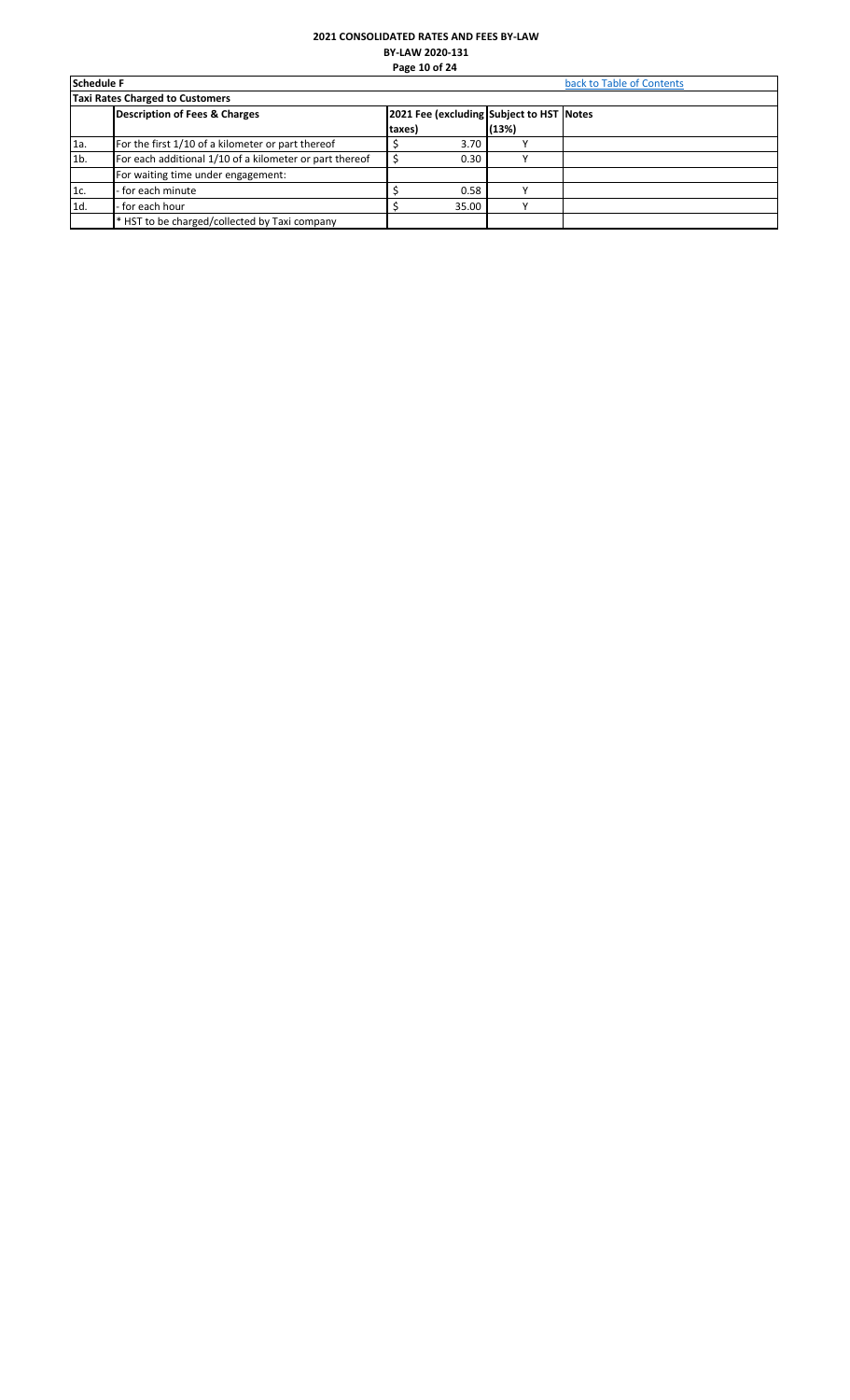# **2021 CONSOLIDATED RATES AND FEES BY-LAW BY-LAW 2020-131 Page 10 of 24**

<span id="page-10-0"></span>

| <b>Schedule F</b> |                                                         | back to Table of Contents |                                          |       |  |  |  |  |  |
|-------------------|---------------------------------------------------------|---------------------------|------------------------------------------|-------|--|--|--|--|--|
|                   | <b>Taxi Rates Charged to Customers</b>                  |                           |                                          |       |  |  |  |  |  |
|                   | <b>Description of Fees &amp; Charges</b>                |                           | 2021 Fee (excluding Subject to HST Notes |       |  |  |  |  |  |
|                   |                                                         | taxes)                    |                                          | (13%) |  |  |  |  |  |
| 1a.               | For the first 1/10 of a kilometer or part thereof       |                           | 3.70                                     |       |  |  |  |  |  |
| 1 <sub>b</sub>    | For each additional 1/10 of a kilometer or part thereof |                           | 0.30                                     |       |  |  |  |  |  |
|                   | For waiting time under engagement:                      |                           |                                          |       |  |  |  |  |  |
| 1c.               | - for each minute                                       |                           | 0.58                                     |       |  |  |  |  |  |
| 1d.               | - for each hour                                         |                           | 35.00                                    |       |  |  |  |  |  |
|                   | * HST to be charged/collected by Taxi company           |                           |                                          |       |  |  |  |  |  |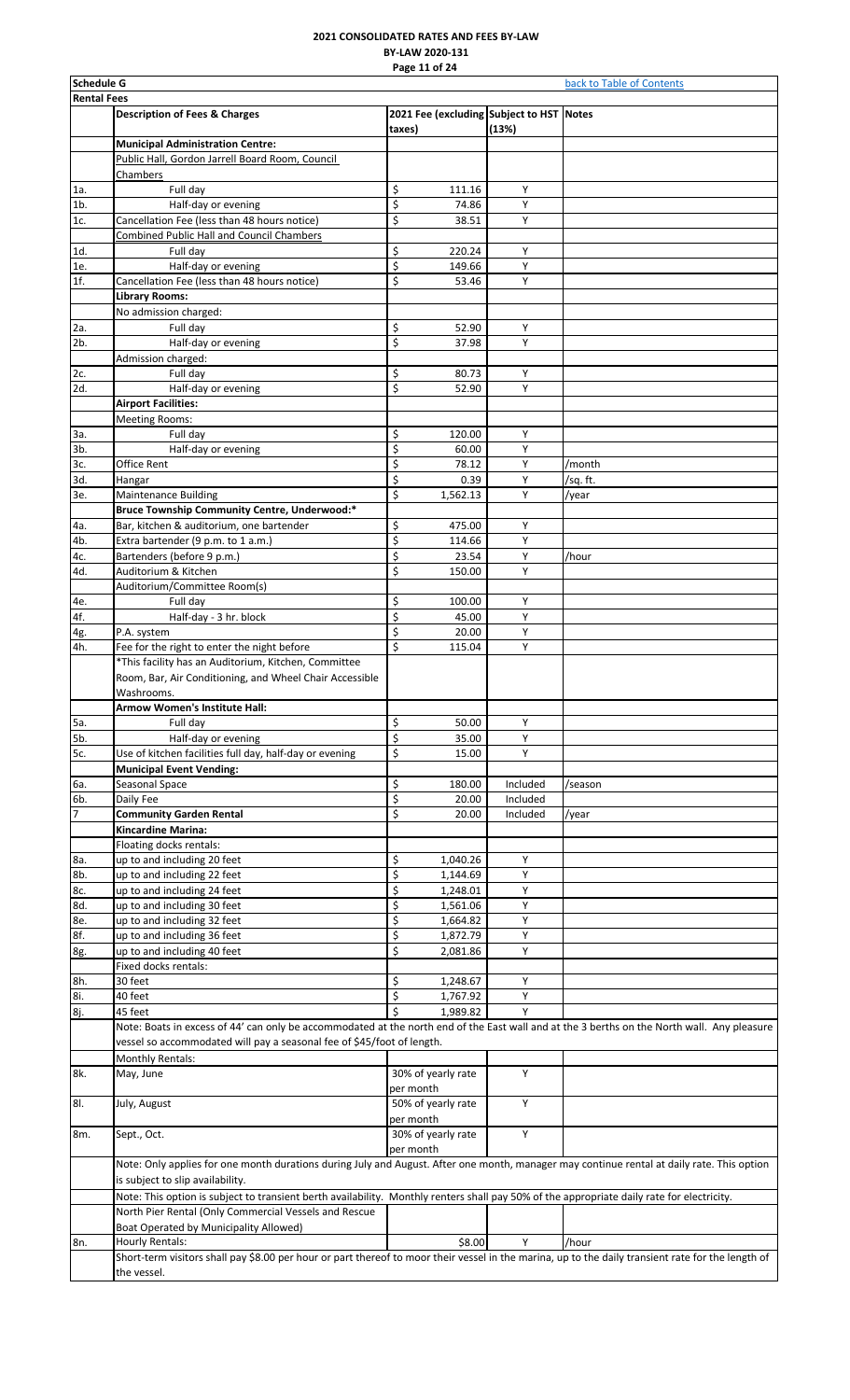# **2021 CONSOLIDATED RATES AND FEES BY-LAW BY-LAW 2020-131 Page 11 of 24**

<span id="page-11-0"></span>

|                    | <b>Schedule G</b><br>back to Table of Contents                                                                                                                    |           |                      |                                                   |          |  |  |  |
|--------------------|-------------------------------------------------------------------------------------------------------------------------------------------------------------------|-----------|----------------------|---------------------------------------------------|----------|--|--|--|
| <b>Rental Fees</b> |                                                                                                                                                                   |           |                      |                                                   |          |  |  |  |
|                    | <b>Description of Fees &amp; Charges</b>                                                                                                                          | taxes)    |                      | 2021 Fee (excluding Subject to HST Notes<br>(13%) |          |  |  |  |
|                    | <b>Municipal Administration Centre:</b>                                                                                                                           |           |                      |                                                   |          |  |  |  |
|                    | Public Hall, Gordon Jarrell Board Room, Council                                                                                                                   |           |                      |                                                   |          |  |  |  |
|                    | Chambers                                                                                                                                                          |           |                      |                                                   |          |  |  |  |
| 1a.                | Full day                                                                                                                                                          | \$        | 111.16               | Υ                                                 |          |  |  |  |
| $1b$ .<br>1c.      | Half-day or evening<br>Cancellation Fee (less than 48 hours notice)                                                                                               | \$<br>\$  | 74.86<br>38.51       | Υ<br>Υ                                            |          |  |  |  |
|                    | <b>Combined Public Hall and Council Chambers</b>                                                                                                                  |           |                      |                                                   |          |  |  |  |
| 1d.                | Full day                                                                                                                                                          | \$        | 220.24               | Υ                                                 |          |  |  |  |
| 1e.                | Half-day or evening                                                                                                                                               | \$        | 149.66               | Y                                                 |          |  |  |  |
| 1f.                | Cancellation Fee (less than 48 hours notice)                                                                                                                      | \$        | 53.46                | Υ                                                 |          |  |  |  |
|                    | Library Rooms:                                                                                                                                                    |           |                      |                                                   |          |  |  |  |
|                    | No admission charged:                                                                                                                                             |           |                      | Y                                                 |          |  |  |  |
| 2a.<br>2b.         | Full day<br>Half-day or evening                                                                                                                                   | \$<br>\$  | 52.90<br>37.98       | Y                                                 |          |  |  |  |
|                    | Admission charged:                                                                                                                                                |           |                      |                                                   |          |  |  |  |
| 2c.                | Full day                                                                                                                                                          | \$        | 80.73                | Υ                                                 |          |  |  |  |
| 2d.                | Half-day or evening                                                                                                                                               | \$        | 52.90                | Y                                                 |          |  |  |  |
|                    | <b>Airport Facilities:</b>                                                                                                                                        |           |                      |                                                   |          |  |  |  |
|                    | <b>Meeting Rooms:</b>                                                                                                                                             |           |                      |                                                   |          |  |  |  |
| За.                | Full day                                                                                                                                                          | \$        | 120.00               | Υ                                                 |          |  |  |  |
| 3b.<br>3с.         | Half-day or evening<br>Office Rent                                                                                                                                | \$<br>\$  | 60.00<br>78.12       | Y<br>Υ                                            | /month   |  |  |  |
| 3d.                | Hangar                                                                                                                                                            | \$        | 0.39                 | Υ                                                 | /sq. ft. |  |  |  |
| 3e.                | <b>Maintenance Building</b>                                                                                                                                       | \$        | 1,562.13             | Υ                                                 | /year    |  |  |  |
|                    | Bruce Township Community Centre, Underwood:*                                                                                                                      |           |                      |                                                   |          |  |  |  |
| 4a.                | Bar, kitchen & auditorium, one bartender                                                                                                                          | \$        | 475.00               | Υ                                                 |          |  |  |  |
| 4b.                | Extra bartender (9 p.m. to 1 a.m.)                                                                                                                                | \$        | 114.66               | Y                                                 |          |  |  |  |
| 4c.                | Bartenders (before 9 p.m.)                                                                                                                                        | \$        | 23.54                | Υ                                                 | /hour    |  |  |  |
| 4d.                | Auditorium & Kitchen                                                                                                                                              | \$        | 150.00               | Y                                                 |          |  |  |  |
| 4e.                | Auditorium/Committee Room(s)<br>Full day                                                                                                                          | \$        | 100.00               | Υ                                                 |          |  |  |  |
| 4f.                | Half-day - 3 hr. block                                                                                                                                            | \$        | 45.00                | Y                                                 |          |  |  |  |
| 4g.                | P.A. system                                                                                                                                                       | \$        | 20.00                | Υ                                                 |          |  |  |  |
| 4h.                | Fee for the right to enter the night before                                                                                                                       | \$        | 115.04               | Y                                                 |          |  |  |  |
|                    | *This facility has an Auditorium, Kitchen, Committee                                                                                                              |           |                      |                                                   |          |  |  |  |
|                    | Room, Bar, Air Conditioning, and Wheel Chair Accessible                                                                                                           |           |                      |                                                   |          |  |  |  |
|                    | Washrooms.                                                                                                                                                        |           |                      |                                                   |          |  |  |  |
|                    | <b>Armow Women's Institute Hall:</b><br>Full dav                                                                                                                  |           |                      |                                                   |          |  |  |  |
| 5a.<br>5b.         | Half-day or evening                                                                                                                                               | \$<br>\$  | 50.00<br>35.00       | Υ<br>Υ                                            |          |  |  |  |
| 5c.                | Use of kitchen facilities full day, half-day or evening                                                                                                           | \$        | 15.00                | Υ                                                 |          |  |  |  |
|                    | <b>Municipal Event Vending:</b>                                                                                                                                   |           |                      |                                                   |          |  |  |  |
| 6а.                | Seasonal Space                                                                                                                                                    | \$        | 180.00               | Included                                          | /season  |  |  |  |
| 6b.                | Daily Fee                                                                                                                                                         | \$        | 20.00                | Included                                          |          |  |  |  |
| 7                  | <b>Community Garden Rental</b>                                                                                                                                    | \$        | 20.00                | Included                                          | /year    |  |  |  |
|                    | Kincardine Marina:                                                                                                                                                |           |                      |                                                   |          |  |  |  |
| 8a.                | Floating docks rentals:<br>up to and including 20 feet                                                                                                            | \$        | 1,040.26             | Υ                                                 |          |  |  |  |
| 8b.                | up to and including 22 feet                                                                                                                                       | \$        | 1,144.69             | Y                                                 |          |  |  |  |
| 8c.                | up to and including 24 feet                                                                                                                                       | \$        | 1,248.01             | Υ                                                 |          |  |  |  |
| 8d.                | up to and including 30 feet                                                                                                                                       | \$        | 1,561.06             | Y                                                 |          |  |  |  |
| 8e.                | up to and including 32 feet                                                                                                                                       | \$        | 1,664.82             | Υ                                                 |          |  |  |  |
| 8f.                | up to and including 36 feet                                                                                                                                       | \$        | 1,872.79             | Υ                                                 |          |  |  |  |
| 8g.                | up to and including 40 feet                                                                                                                                       | \$        | 2,081.86             | Y                                                 |          |  |  |  |
|                    | Fixed docks rentals:                                                                                                                                              |           |                      |                                                   |          |  |  |  |
| 8h.<br>8i.         | 30 feet<br>40 feet                                                                                                                                                | \$<br>\$  | 1,248.67<br>1,767.92 | Υ<br>Υ                                            |          |  |  |  |
| 8j.                | 45 feet                                                                                                                                                           | \$        | 1,989.82             | Υ                                                 |          |  |  |  |
|                    | Note: Boats in excess of 44' can only be accommodated at the north end of the East wall and at the 3 berths on the North wall. Any pleasure                       |           |                      |                                                   |          |  |  |  |
|                    | vessel so accommodated will pay a seasonal fee of \$45/foot of length.                                                                                            |           |                      |                                                   |          |  |  |  |
|                    | <b>Monthly Rentals:</b>                                                                                                                                           |           |                      |                                                   |          |  |  |  |
| 8k.                | May, June                                                                                                                                                         |           | 30% of yearly rate   | Y                                                 |          |  |  |  |
|                    |                                                                                                                                                                   | per month |                      |                                                   |          |  |  |  |
| 81.                | July, August                                                                                                                                                      |           | 50% of yearly rate   | Υ                                                 |          |  |  |  |
|                    |                                                                                                                                                                   | per month |                      | Υ                                                 |          |  |  |  |
| 8m.                | Sept., Oct.                                                                                                                                                       | per month | 30% of yearly rate   |                                                   |          |  |  |  |
|                    | Note: Only applies for one month durations during July and August. After one month, manager may continue rental at daily rate. This option                        |           |                      |                                                   |          |  |  |  |
|                    | is subject to slip availability.                                                                                                                                  |           |                      |                                                   |          |  |  |  |
|                    | Note: This option is subject to transient berth availability. Monthly renters shall pay 50% of the appropriate daily rate for electricity.                        |           |                      |                                                   |          |  |  |  |
|                    | North Pier Rental (Only Commercial Vessels and Rescue                                                                                                             |           |                      |                                                   |          |  |  |  |
|                    | Boat Operated by Municipality Allowed)                                                                                                                            |           |                      |                                                   |          |  |  |  |
| 8n.                | Hourly Rentals:                                                                                                                                                   |           | \$8.00               | Y                                                 | /hour    |  |  |  |
|                    | Short-term visitors shall pay \$8.00 per hour or part thereof to moor their vessel in the marina, up to the daily transient rate for the length of<br>the vessel. |           |                      |                                                   |          |  |  |  |
|                    |                                                                                                                                                                   |           |                      |                                                   |          |  |  |  |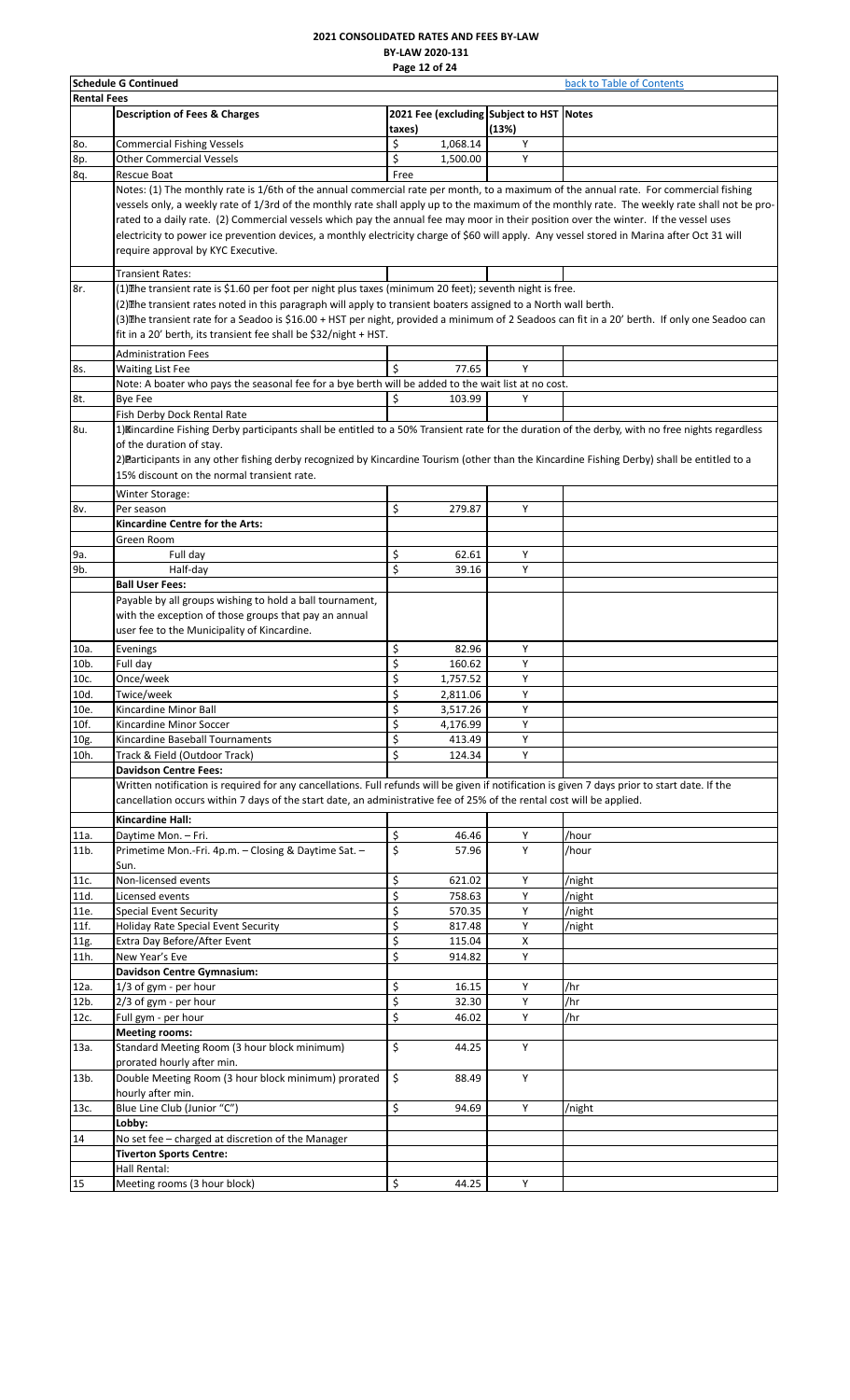#### **2021 CONSOLIDATED RATES AND FEES BY-LAW BY-LAW 2020-131 Page 12 of 24**

|                    | <b>Schedule G Continued</b>                                                                                                                      |                           | back to Table of Contents |                                          |        |
|--------------------|--------------------------------------------------------------------------------------------------------------------------------------------------|---------------------------|---------------------------|------------------------------------------|--------|
| <b>Rental Fees</b> |                                                                                                                                                  |                           |                           |                                          |        |
|                    | <b>Description of Fees &amp; Charges</b>                                                                                                         |                           |                           | 2021 Fee (excluding Subject to HST Notes |        |
|                    |                                                                                                                                                  | taxes)                    |                           | (13%)                                    |        |
| 80.                | <b>Commercial Fishing Vessels</b>                                                                                                                | \$                        | 1,068.14                  | Υ                                        |        |
| 8p.                | <b>Other Commercial Vessels</b>                                                                                                                  | \$                        | 1,500.00                  | Y                                        |        |
| 8q.                | Rescue Boat                                                                                                                                      | Free                      |                           |                                          |        |
|                    |                                                                                                                                                  |                           |                           |                                          |        |
|                    | Notes: (1) The monthly rate is 1/6th of the annual commercial rate per month, to a maximum of the annual rate. For commercial fishing            |                           |                           |                                          |        |
|                    | vessels only, a weekly rate of 1/3rd of the monthly rate shall apply up to the maximum of the monthly rate. The weekly rate shall not be pro-    |                           |                           |                                          |        |
|                    | rated to a daily rate. (2) Commercial vessels which pay the annual fee may moor in their position over the winter. If the vessel uses            |                           |                           |                                          |        |
|                    | electricity to power ice prevention devices, a monthly electricity charge of \$60 will apply. Any vessel stored in Marina after Oct 31 will      |                           |                           |                                          |        |
|                    | require approval by KYC Executive.                                                                                                               |                           |                           |                                          |        |
|                    |                                                                                                                                                  |                           |                           |                                          |        |
|                    | <b>Transient Rates:</b>                                                                                                                          |                           |                           |                                          |        |
| 8r.                | (1) The transient rate is \$1.60 per foot per night plus taxes (minimum 20 feet); seventh night is free.                                         |                           |                           |                                          |        |
|                    | (2) The transient rates noted in this paragraph will apply to transient boaters assigned to a North wall berth.                                  |                           |                           |                                          |        |
|                    | (3) lihe transient rate for a Seadoo is \$16.00 + HST per night, provided a minimum of 2 Seadoos can fit in a 20' berth. If only one Seadoo can  |                           |                           |                                          |        |
|                    | fit in a 20' berth, its transient fee shall be \$32/night + HST.                                                                                 |                           |                           |                                          |        |
|                    |                                                                                                                                                  |                           |                           |                                          |        |
|                    | <b>Administration Fees</b>                                                                                                                       |                           |                           |                                          |        |
| 8s.                | <b>Waiting List Fee</b>                                                                                                                          | \$                        | 77.65                     | Y                                        |        |
|                    | Note: A boater who pays the seasonal fee for a bye berth will be added to the wait list at no cost.                                              |                           |                           |                                          |        |
| 8t.                | <b>Bye Fee</b>                                                                                                                                   | \$                        | 103.99                    | Y                                        |        |
|                    | Fish Derby Dock Rental Rate                                                                                                                      |                           |                           |                                          |        |
| 8u.                | 1) Mincardine Fishing Derby participants shall be entitled to a 50% Transient rate for the duration of the derby, with no free nights regardless |                           |                           |                                          |        |
|                    |                                                                                                                                                  |                           |                           |                                          |        |
|                    | of the duration of stay.                                                                                                                         |                           |                           |                                          |        |
|                    | 2) Participants in any other fishing derby recognized by Kincardine Tourism (other than the Kincardine Fishing Derby) shall be entitled to a     |                           |                           |                                          |        |
|                    | 15% discount on the normal transient rate.                                                                                                       |                           |                           |                                          |        |
|                    | Winter Storage:                                                                                                                                  |                           |                           |                                          |        |
|                    | Per season                                                                                                                                       | \$                        | 279.87                    | Y                                        |        |
| 8v.                |                                                                                                                                                  |                           |                           |                                          |        |
|                    | Kincardine Centre for the Arts:                                                                                                                  |                           |                           |                                          |        |
|                    | Green Room                                                                                                                                       |                           |                           |                                          |        |
| 9а.                | Full day                                                                                                                                         | \$                        | 62.61                     | Υ                                        |        |
| 9b.                | Half-day                                                                                                                                         | \$                        | 39.16                     | Y                                        |        |
|                    | <b>Ball User Fees:</b>                                                                                                                           |                           |                           |                                          |        |
|                    | Payable by all groups wishing to hold a ball tournament,                                                                                         |                           |                           |                                          |        |
|                    | with the exception of those groups that pay an annual                                                                                            |                           |                           |                                          |        |
|                    |                                                                                                                                                  |                           |                           |                                          |        |
|                    | user fee to the Municipality of Kincardine.                                                                                                      |                           |                           |                                          |        |
| 10a.               | Evenings                                                                                                                                         | \$                        | 82.96                     | Υ                                        |        |
| 10b.               | Full day                                                                                                                                         | \$                        | 160.62                    | Υ                                        |        |
| 10c.               | Once/week                                                                                                                                        | \$                        | 1,757.52                  | Y                                        |        |
| 10d.               | Twice/week                                                                                                                                       | \$                        | 2,811.06                  | Υ                                        |        |
|                    |                                                                                                                                                  | \$                        | 3,517.26                  | Y                                        |        |
| 10e.               | Kincardine Minor Ball                                                                                                                            |                           |                           |                                          |        |
| 10f.               | Kincardine Minor Soccer                                                                                                                          | \$                        | 4,176.99                  | Y                                        |        |
| 10g.               | Kincardine Baseball Tournaments                                                                                                                  | \$                        | 413.49                    | Υ                                        |        |
| 10h.               | Track & Field (Outdoor Track)                                                                                                                    | \$                        | 124.34                    | Y                                        |        |
|                    | <b>Davidson Centre Fees:</b>                                                                                                                     |                           |                           |                                          |        |
|                    | Written notification is required for any cancellations. Full refunds will be given if notification is given 7 days prior to start date. If the   |                           |                           |                                          |        |
|                    | cancellation occurs within 7 days of the start date, an administrative fee of 25% of the rental cost will be applied.                            |                           |                           |                                          |        |
|                    |                                                                                                                                                  |                           |                           |                                          |        |
|                    | <b>Kincardine Hall:</b>                                                                                                                          |                           |                           |                                          |        |
| 11a.               | Daytime Mon. - Fri.                                                                                                                              | \$                        | 46.46                     | Υ                                        | /hour  |
| 11b.               | Primetime Mon.-Fri. 4p.m. - Closing & Daytime Sat. -                                                                                             | \$                        | 57.96                     | Y                                        | /hour  |
|                    | Sun.                                                                                                                                             |                           |                           |                                          |        |
| 11c.               | Non-licensed events                                                                                                                              | \$                        | 621.02                    | Y                                        | /night |
|                    |                                                                                                                                                  |                           |                           |                                          |        |
| 11d.               | Licensed events                                                                                                                                  | \$                        | 758.63                    | Y                                        | /night |
| 11e.               | <b>Special Event Security</b>                                                                                                                    | \$                        | 570.35                    | Υ                                        | /night |
| 11f.               | Holiday Rate Special Event Security                                                                                                              | \$                        | 817.48                    | Y                                        | /night |
| 11g.               | Extra Day Before/After Event                                                                                                                     | \$                        | 115.04                    | X                                        |        |
| 11h.               | New Year's Eve                                                                                                                                   | \$                        | 914.82                    | Υ                                        |        |
|                    | <b>Davidson Centre Gymnasium:</b>                                                                                                                |                           |                           |                                          |        |
| 12a.               | 1/3 of gym - per hour                                                                                                                            | \$                        | 16.15                     | Υ                                        | /hr    |
|                    |                                                                                                                                                  |                           |                           |                                          |        |
| 12b.               | 2/3 of gym - per hour                                                                                                                            | \$                        | 32.30                     | Y                                        | /hr    |
| 12c.               | Full gym - per hour                                                                                                                              | \$                        | 46.02                     | Υ                                        | /hr    |
|                    | <b>Meeting rooms:</b>                                                                                                                            |                           |                           |                                          |        |
| 13a.               | Standard Meeting Room (3 hour block minimum)                                                                                                     | \$                        | 44.25                     | Υ                                        |        |
|                    | prorated hourly after min.                                                                                                                       |                           |                           |                                          |        |
| 13b.               | Double Meeting Room (3 hour block minimum) prorated                                                                                              | $\boldsymbol{\mathsf{S}}$ | 88.49                     | Y                                        |        |
|                    | hourly after min.                                                                                                                                |                           |                           |                                          |        |
|                    |                                                                                                                                                  |                           |                           |                                          |        |
| 13c.               | Blue Line Club (Junior "C")                                                                                                                      | \$                        | 94.69                     | Υ                                        | /night |
|                    | Lobby:                                                                                                                                           |                           |                           |                                          |        |
| 14                 | No set fee - charged at discretion of the Manager                                                                                                |                           |                           |                                          |        |
|                    | <b>Tiverton Sports Centre:</b>                                                                                                                   |                           |                           |                                          |        |
|                    | Hall Rental:                                                                                                                                     |                           |                           |                                          |        |
| 15                 | Meeting rooms (3 hour block)                                                                                                                     | \$                        | 44.25                     | Y                                        |        |
|                    |                                                                                                                                                  |                           |                           |                                          |        |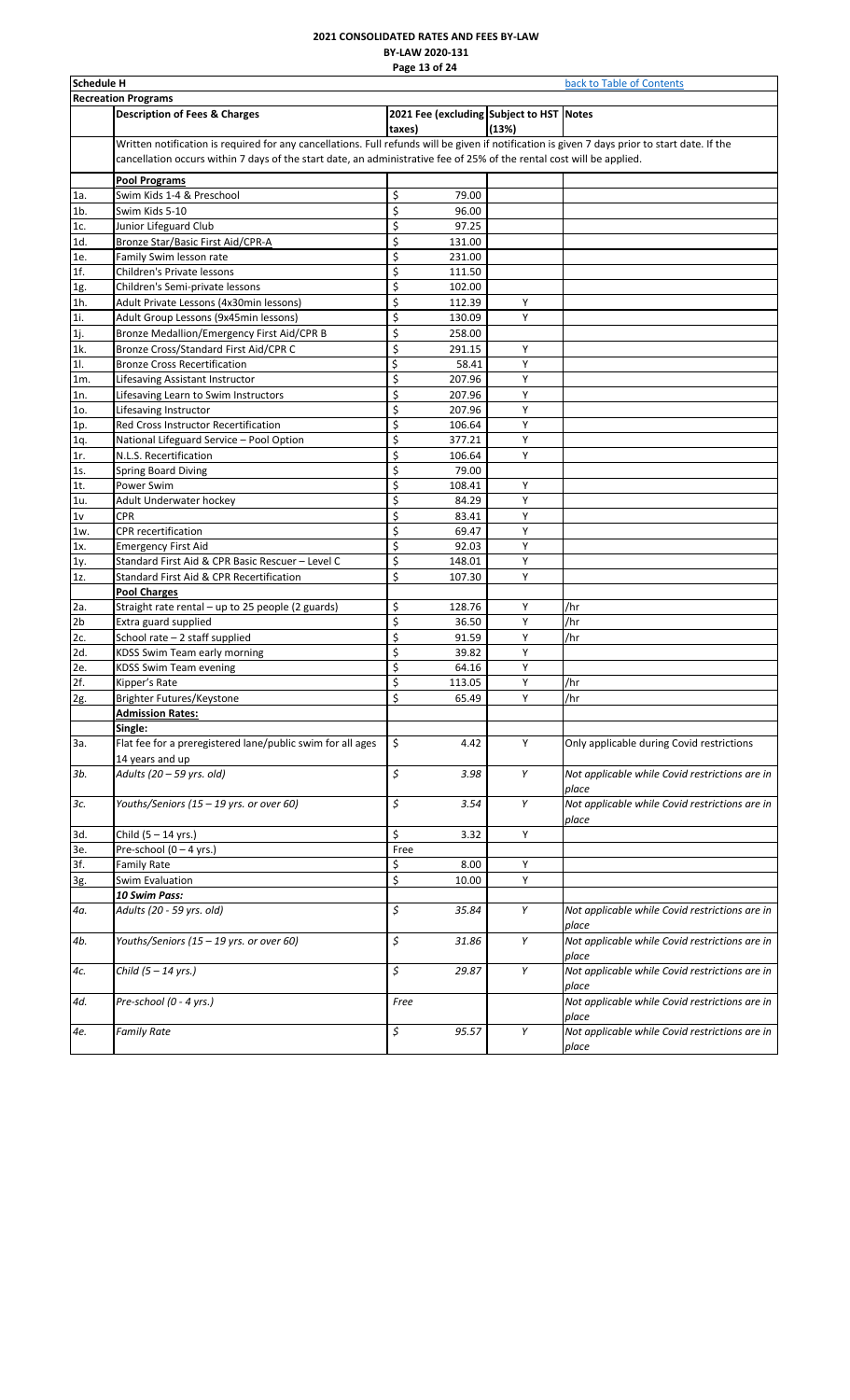### **2021 CONSOLIDATED RATES AND FEES BY-LAW BY-LAW 2020-131 Page 13 of 24**

<span id="page-13-0"></span>

|        | <b>Schedule H</b><br>back to Table of Contents                                                                                                                                                                                                                          |                         |        |                                                   |                                                         |  |  |
|--------|-------------------------------------------------------------------------------------------------------------------------------------------------------------------------------------------------------------------------------------------------------------------------|-------------------------|--------|---------------------------------------------------|---------------------------------------------------------|--|--|
|        | <b>Recreation Programs</b>                                                                                                                                                                                                                                              |                         |        |                                                   |                                                         |  |  |
|        | <b>Description of Fees &amp; Charges</b>                                                                                                                                                                                                                                | taxes)                  |        | 2021 Fee (excluding Subject to HST Notes<br>(13%) |                                                         |  |  |
|        | Written notification is required for any cancellations. Full refunds will be given if notification is given 7 days prior to start date. If the<br>cancellation occurs within 7 days of the start date, an administrative fee of 25% of the rental cost will be applied. |                         |        |                                                   |                                                         |  |  |
|        | <b>Pool Programs</b>                                                                                                                                                                                                                                                    |                         |        |                                                   |                                                         |  |  |
| 1a.    | Swim Kids 1-4 & Preschool                                                                                                                                                                                                                                               | \$                      | 79.00  |                                                   |                                                         |  |  |
| $1b$ . | Swim Kids 5-10                                                                                                                                                                                                                                                          | \$                      | 96.00  |                                                   |                                                         |  |  |
| 1c.    | Junior Lifeguard Club                                                                                                                                                                                                                                                   | \$                      | 97.25  |                                                   |                                                         |  |  |
| 1d.    | <b>Bronze Star/Basic First Aid/CPR-A</b>                                                                                                                                                                                                                                | \$                      | 131.00 |                                                   |                                                         |  |  |
| 1e.    | Family Swim lesson rate                                                                                                                                                                                                                                                 | \$                      | 231.00 |                                                   |                                                         |  |  |
| 1f.    | <b>Children's Private lessons</b>                                                                                                                                                                                                                                       | \$                      | 111.50 |                                                   |                                                         |  |  |
| 1g.    | Children's Semi-private lessons                                                                                                                                                                                                                                         | \$                      | 102.00 |                                                   |                                                         |  |  |
| 1h.    | Adult Private Lessons (4x30min lessons)                                                                                                                                                                                                                                 | \$                      | 112.39 | Υ                                                 |                                                         |  |  |
| 1i.    | Adult Group Lessons (9x45min lessons)                                                                                                                                                                                                                                   | \$                      | 130.09 | Υ                                                 |                                                         |  |  |
| 1j.    | Bronze Medallion/Emergency First Aid/CPR B                                                                                                                                                                                                                              | \$                      | 258.00 |                                                   |                                                         |  |  |
| 1k.    | Bronze Cross/Standard First Aid/CPR C                                                                                                                                                                                                                                   | \$                      | 291.15 | Υ                                                 |                                                         |  |  |
| 11.    | <b>Bronze Cross Recertification</b>                                                                                                                                                                                                                                     | \$                      | 58.41  | Y                                                 |                                                         |  |  |
| 1m.    | Lifesaving Assistant Instructor                                                                                                                                                                                                                                         | \$                      | 207.96 | Υ                                                 |                                                         |  |  |
| 1n.    | Lifesaving Learn to Swim Instructors                                                                                                                                                                                                                                    | \$                      | 207.96 | Υ                                                 |                                                         |  |  |
| 10.    | Lifesaving Instructor                                                                                                                                                                                                                                                   | \$                      | 207.96 | Υ                                                 |                                                         |  |  |
| 1p.    | Red Cross Instructor Recertification                                                                                                                                                                                                                                    | \$                      | 106.64 | Υ                                                 |                                                         |  |  |
| 1q.    | National Lifeguard Service - Pool Option                                                                                                                                                                                                                                | \$                      | 377.21 | Y                                                 |                                                         |  |  |
| 1r.    | N.L.S. Recertification                                                                                                                                                                                                                                                  | \$                      | 106.64 | Y                                                 |                                                         |  |  |
| 1s.    | Spring Board Diving                                                                                                                                                                                                                                                     | \$                      | 79.00  |                                                   |                                                         |  |  |
| 1t.    | Power Swim                                                                                                                                                                                                                                                              | \$                      | 108.41 | Υ                                                 |                                                         |  |  |
| 1u.    | Adult Underwater hockey                                                                                                                                                                                                                                                 | \$                      | 84.29  | Υ                                                 |                                                         |  |  |
| 1v     | <b>CPR</b>                                                                                                                                                                                                                                                              | \$                      | 83.41  | Υ                                                 |                                                         |  |  |
| 1w.    | CPR recertification                                                                                                                                                                                                                                                     | \$                      | 69.47  | Y                                                 |                                                         |  |  |
| 1x.    | <b>Emergency First Aid</b>                                                                                                                                                                                                                                              | \$                      | 92.03  | Y                                                 |                                                         |  |  |
| 1y.    | Standard First Aid & CPR Basic Rescuer - Level C                                                                                                                                                                                                                        | \$                      | 148.01 | Υ                                                 |                                                         |  |  |
| 1z.    | Standard First Aid & CPR Recertification                                                                                                                                                                                                                                | \$                      | 107.30 | Υ                                                 |                                                         |  |  |
|        | <b>Pool Charges</b>                                                                                                                                                                                                                                                     |                         |        |                                                   |                                                         |  |  |
| 2a.    | Straight rate rental - up to 25 people (2 guards)                                                                                                                                                                                                                       | \$                      | 128.76 | Y                                                 | /hr                                                     |  |  |
| 2b     | Extra guard supplied                                                                                                                                                                                                                                                    | \$                      | 36.50  | Y                                                 | /hr                                                     |  |  |
| 2c.    | School rate - 2 staff supplied                                                                                                                                                                                                                                          | \$                      | 91.59  | Υ                                                 | /hr                                                     |  |  |
| 2d.    | KDSS Swim Team early morning                                                                                                                                                                                                                                            | \$                      | 39.82  | Υ                                                 |                                                         |  |  |
| 2e.    | <b>KDSS Swim Team evening</b>                                                                                                                                                                                                                                           | \$                      | 64.16  | Υ                                                 |                                                         |  |  |
| 2f.    | Kipper's Rate                                                                                                                                                                                                                                                           | \$                      | 113.05 | Υ                                                 | /hr                                                     |  |  |
| 2g.    | Brighter Futures/Keystone                                                                                                                                                                                                                                               | \$                      | 65.49  | Υ                                                 | /hr                                                     |  |  |
|        | <b>Admission Rates:</b>                                                                                                                                                                                                                                                 |                         |        |                                                   |                                                         |  |  |
|        | Single:                                                                                                                                                                                                                                                                 |                         |        |                                                   |                                                         |  |  |
| За.    | Flat fee for a preregistered lane/public swim for all ages<br>14 years and up                                                                                                                                                                                           | \$                      | 4.42   | Υ                                                 | Only applicable during Covid restrictions               |  |  |
| 3b.    | Adults (20 - 59 yrs. old)                                                                                                                                                                                                                                               | \$                      | 3.98   | Υ                                                 | Not applicable while Covid restrictions are in<br>place |  |  |
| 3с.    | Youths/Seniors (15 - 19 yrs. or over 60)                                                                                                                                                                                                                                | \$                      | 3.54   | Υ                                                 | Not applicable while Covid restrictions are in<br>place |  |  |
| 3d.    | Child (5 - 14 yrs.)                                                                                                                                                                                                                                                     | \$                      | 3.32   | Υ                                                 |                                                         |  |  |
| 3е.    | Pre-school (0 - 4 yrs.)                                                                                                                                                                                                                                                 | Free                    |        |                                                   |                                                         |  |  |
| 3f.    | <b>Family Rate</b>                                                                                                                                                                                                                                                      | \$                      | 8.00   | Y                                                 |                                                         |  |  |
| 3g.    | Swim Evaluation                                                                                                                                                                                                                                                         | $\overline{\mathsf{S}}$ | 10.00  | Υ                                                 |                                                         |  |  |
|        | 10 Swim Pass:                                                                                                                                                                                                                                                           |                         |        |                                                   |                                                         |  |  |
| 4а.    | Adults (20 - 59 yrs. old)                                                                                                                                                                                                                                               | \$                      | 35.84  | Υ                                                 | Not applicable while Covid restrictions are in<br>place |  |  |
| 4b.    | Youths/Seniors (15 - 19 yrs. or over 60)                                                                                                                                                                                                                                | \$                      | 31.86  | Υ                                                 | Not applicable while Covid restrictions are in<br>place |  |  |
| 4с.    | Child (5 - 14 yrs.)                                                                                                                                                                                                                                                     | \$                      | 29.87  | Υ                                                 | Not applicable while Covid restrictions are in<br>place |  |  |
| 4d.    | Pre-school (0 - 4 yrs.)                                                                                                                                                                                                                                                 | Free                    |        |                                                   | Not applicable while Covid restrictions are in<br>place |  |  |
| 4e.    | <b>Family Rate</b>                                                                                                                                                                                                                                                      | \$                      | 95.57  | Υ                                                 | Not applicable while Covid restrictions are in<br>place |  |  |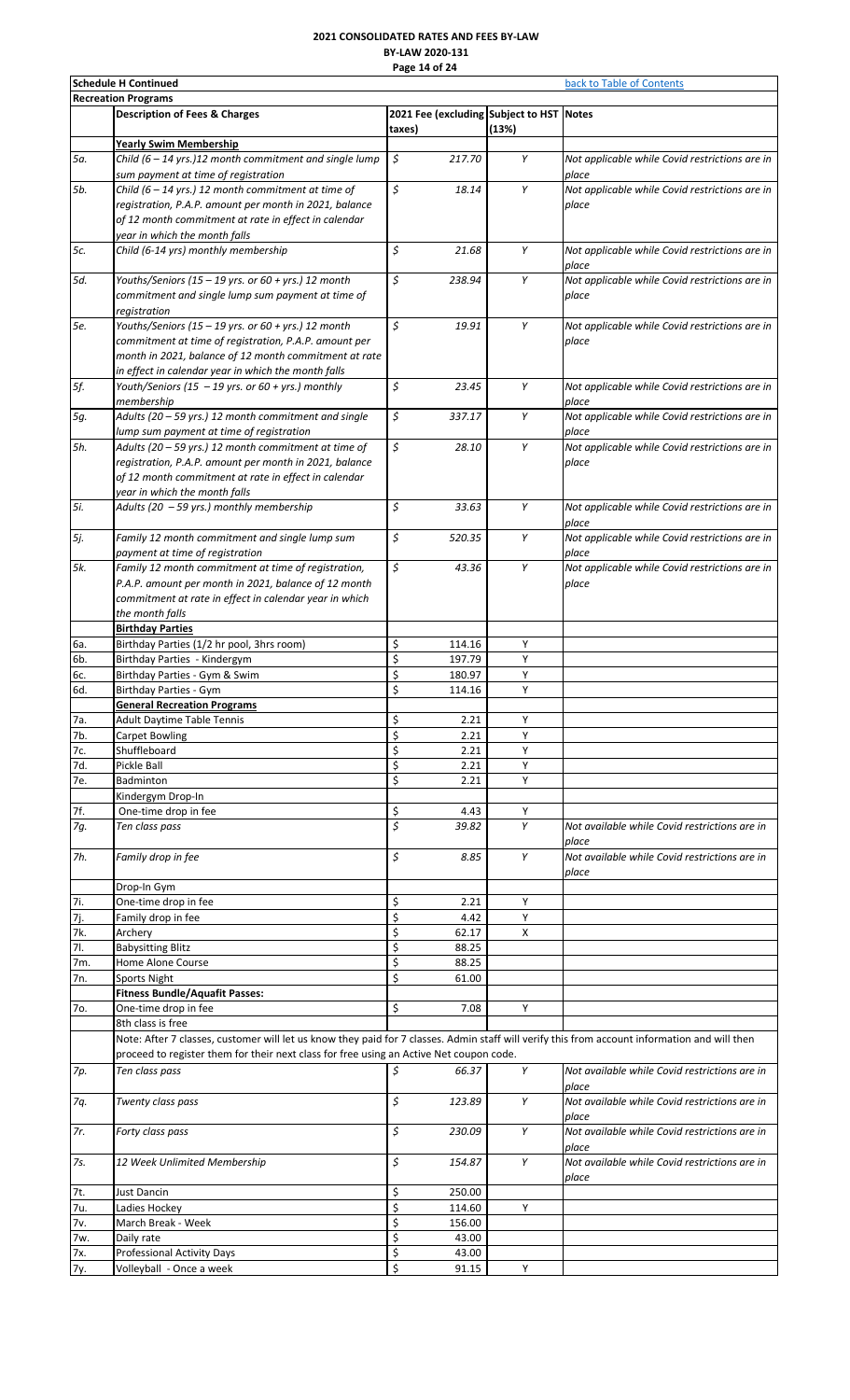# **2021 CONSOLIDATED RATES AND FEES BY-LAW BY-LAW 2020-131 Page 14 of 24**

|            | <b>Schedule H Continued</b>                                                                                                                   | back to Table of Contents |        |                                                   |                                                         |
|------------|-----------------------------------------------------------------------------------------------------------------------------------------------|---------------------------|--------|---------------------------------------------------|---------------------------------------------------------|
|            | <b>Recreation Programs</b>                                                                                                                    |                           |        |                                                   |                                                         |
|            | <b>Description of Fees &amp; Charges</b>                                                                                                      | taxes)                    |        | 2021 Fee (excluding Subject to HST Notes<br>(13%) |                                                         |
|            | Yearly Swim Membership                                                                                                                        |                           |        |                                                   |                                                         |
| 5a.        | Child (6 - 14 yrs.)12 month commitment and single lump<br>sum payment at time of registration                                                 | \$                        | 217.70 | Υ                                                 | Not applicable while Covid restrictions are in<br>place |
| 5b.        | Child (6 - 14 yrs.) 12 month commitment at time of                                                                                            | \$                        | 18.14  | Υ                                                 | Not applicable while Covid restrictions are in          |
|            | registration, P.A.P. amount per month in 2021, balance                                                                                        |                           |        |                                                   | place                                                   |
|            | of 12 month commitment at rate in effect in calendar                                                                                          |                           |        |                                                   |                                                         |
|            | year in which the month falls                                                                                                                 |                           |        |                                                   |                                                         |
| 5c.        | Child (6-14 yrs) monthly membership                                                                                                           | \$                        | 21.68  | Υ                                                 | Not applicable while Covid restrictions are in<br>place |
| 5d.        | Youths/Seniors (15 - 19 yrs. or 60 + yrs.) 12 month                                                                                           | \$                        | 238.94 | Υ                                                 | Not applicable while Covid restrictions are in          |
|            | commitment and single lump sum payment at time of                                                                                             |                           |        |                                                   | place                                                   |
|            | registration                                                                                                                                  |                           |        |                                                   |                                                         |
| 5e.        | Youths/Seniors (15 - 19 yrs. or 60 + yrs.) 12 month                                                                                           | \$                        | 19.91  | Υ                                                 | Not applicable while Covid restrictions are in          |
|            | commitment at time of registration, P.A.P. amount per                                                                                         |                           |        |                                                   | place                                                   |
|            | month in 2021, balance of 12 month commitment at rate                                                                                         |                           |        |                                                   |                                                         |
|            | in effect in calendar year in which the month falls                                                                                           |                           |        |                                                   |                                                         |
| 5f.        | Youth/Seniors (15 - 19 yrs. or 60 + yrs.) monthly                                                                                             | \$                        | 23.45  | Υ                                                 | Not applicable while Covid restrictions are in          |
|            | membership                                                                                                                                    |                           |        |                                                   | place                                                   |
| 5g.        | Adults (20 - 59 yrs.) 12 month commitment and single                                                                                          | \$                        | 337.17 | Y                                                 | Not applicable while Covid restrictions are in          |
|            | lump sum payment at time of registration                                                                                                      |                           |        |                                                   | place                                                   |
| 5h.        | Adults (20 - 59 yrs.) 12 month commitment at time of                                                                                          | \$                        | 28.10  | Υ                                                 | Not applicable while Covid restrictions are in          |
|            | registration, P.A.P. amount per month in 2021, balance                                                                                        |                           |        |                                                   | place                                                   |
|            | of 12 month commitment at rate in effect in calendar                                                                                          |                           |        |                                                   |                                                         |
|            | year in which the month falls                                                                                                                 |                           |        |                                                   |                                                         |
| 5i.        | Adults (20 - 59 yrs.) monthly membership                                                                                                      | \$                        | 33.63  | Υ                                                 | Not applicable while Covid restrictions are in          |
|            |                                                                                                                                               |                           |        |                                                   |                                                         |
|            |                                                                                                                                               | \$                        | 520.35 | Υ                                                 | place<br>Not applicable while Covid restrictions are in |
| 5j.        | Family 12 month commitment and single lump sum                                                                                                |                           |        |                                                   |                                                         |
|            | payment at time of registration                                                                                                               |                           |        |                                                   | place                                                   |
| 5k.        | Family 12 month commitment at time of registration,                                                                                           | \$                        | 43.36  | Υ                                                 | Not applicable while Covid restrictions are in          |
|            | P.A.P. amount per month in 2021, balance of 12 month                                                                                          |                           |        |                                                   | place                                                   |
|            | commitment at rate in effect in calendar year in which                                                                                        |                           |        |                                                   |                                                         |
|            | the month falls                                                                                                                               |                           |        |                                                   |                                                         |
|            | <b>Birthday Parties</b>                                                                                                                       |                           |        |                                                   |                                                         |
| 6а.        | Birthday Parties (1/2 hr pool, 3hrs room)                                                                                                     | \$                        | 114.16 | Υ                                                 |                                                         |
| 6b.        | Birthday Parties - Kindergym                                                                                                                  | \$                        | 197.79 | Υ                                                 |                                                         |
| 6с.        | Birthday Parties - Gym & Swim                                                                                                                 | \$                        | 180.97 | Υ                                                 |                                                         |
| 6d.        | Birthday Parties - Gym                                                                                                                        | \$                        | 114.16 | Y                                                 |                                                         |
|            | <b>General Recreation Programs</b>                                                                                                            |                           |        |                                                   |                                                         |
|            | <b>Adult Daytime Table Tennis</b>                                                                                                             | \$                        | 2.21   | Υ                                                 |                                                         |
| 7a.        |                                                                                                                                               |                           |        |                                                   |                                                         |
| 7b.        | Carpet Bowling                                                                                                                                | \$                        | 2.21   | Υ                                                 |                                                         |
| 7c.        | Shuffleboard                                                                                                                                  | \$                        | 2.21   | Y                                                 |                                                         |
| 7d.        | Pickle Ball                                                                                                                                   | \$                        | 2.21   | Y                                                 |                                                         |
| 7e.        | Badminton                                                                                                                                     | \$                        | 2.21   | Y                                                 |                                                         |
|            | Kindergym Drop-In                                                                                                                             |                           |        |                                                   |                                                         |
| 7f.        | One-time drop in fee                                                                                                                          | \$                        | 4.43   | Υ                                                 |                                                         |
| 7g.        | Ten class pass                                                                                                                                | \$                        | 39.82  | Y                                                 | Not available while Covid restrictions are in           |
|            |                                                                                                                                               |                           |        |                                                   | place                                                   |
| 7h.        | Family drop in fee                                                                                                                            | \$                        | 8.85   | Y                                                 | Not available while Covid restrictions are in           |
|            |                                                                                                                                               |                           |        |                                                   | place                                                   |
|            | Drop-In Gym                                                                                                                                   |                           |        |                                                   |                                                         |
| 7i.        | One-time drop in fee                                                                                                                          | \$                        | 2.21   | Υ                                                 |                                                         |
| 7j.        | Family drop in fee                                                                                                                            | \$                        | 4.42   | Υ                                                 |                                                         |
| 7k.        | Archery                                                                                                                                       | \$                        | 62.17  | X                                                 |                                                         |
| <b>7I.</b> | <b>Babysitting Blitz</b>                                                                                                                      | \$                        | 88.25  |                                                   |                                                         |
| 7m.        | Home Alone Course                                                                                                                             | \$                        | 88.25  |                                                   |                                                         |
| 7n.        | Sports Night                                                                                                                                  | \$                        | 61.00  |                                                   |                                                         |
|            | <b>Fitness Bundle/Aquafit Passes:</b>                                                                                                         |                           |        |                                                   |                                                         |
| 7o.        | One-time drop in fee                                                                                                                          | Ś                         | 7.08   | Y                                                 |                                                         |
|            | 8th class is free                                                                                                                             |                           |        |                                                   |                                                         |
|            |                                                                                                                                               |                           |        |                                                   |                                                         |
|            | Note: After 7 classes, customer will let us know they paid for 7 classes. Admin staff will verify this from account information and will then |                           |        |                                                   |                                                         |
|            | proceed to register them for their next class for free using an Active Net coupon code.                                                       |                           |        |                                                   |                                                         |
| 7p.        | Ten class pass                                                                                                                                | \$                        | 66.37  | Y                                                 | Not available while Covid restrictions are in           |
|            |                                                                                                                                               |                           |        |                                                   | place                                                   |
| 7q.        | Twenty class pass                                                                                                                             | \$                        | 123.89 | Υ                                                 | Not available while Covid restrictions are in           |
|            |                                                                                                                                               |                           |        |                                                   | place                                                   |
| 7r.        | Forty class pass                                                                                                                              | \$                        | 230.09 | Y                                                 | Not available while Covid restrictions are in           |
|            |                                                                                                                                               |                           |        |                                                   | place                                                   |
| 7s.        | 12 Week Unlimited Membership                                                                                                                  | \$                        | 154.87 | Y                                                 | Not available while Covid restrictions are in           |
|            |                                                                                                                                               |                           |        |                                                   | place                                                   |
| 7t.        | Just Dancin                                                                                                                                   | \$                        | 250.00 |                                                   |                                                         |
| 7u.        | Ladies Hockey                                                                                                                                 | \$                        | 114.60 | Y                                                 |                                                         |
| 7v.        | March Break - Week                                                                                                                            | \$                        | 156.00 |                                                   |                                                         |
| 7w.        | Daily rate                                                                                                                                    | \$                        | 43.00  |                                                   |                                                         |
| 7x.        | <b>Professional Activity Days</b>                                                                                                             | \$                        | 43.00  |                                                   |                                                         |
| 7у.        | Volleyball - Once a week                                                                                                                      | \$                        | 91.15  | Y                                                 |                                                         |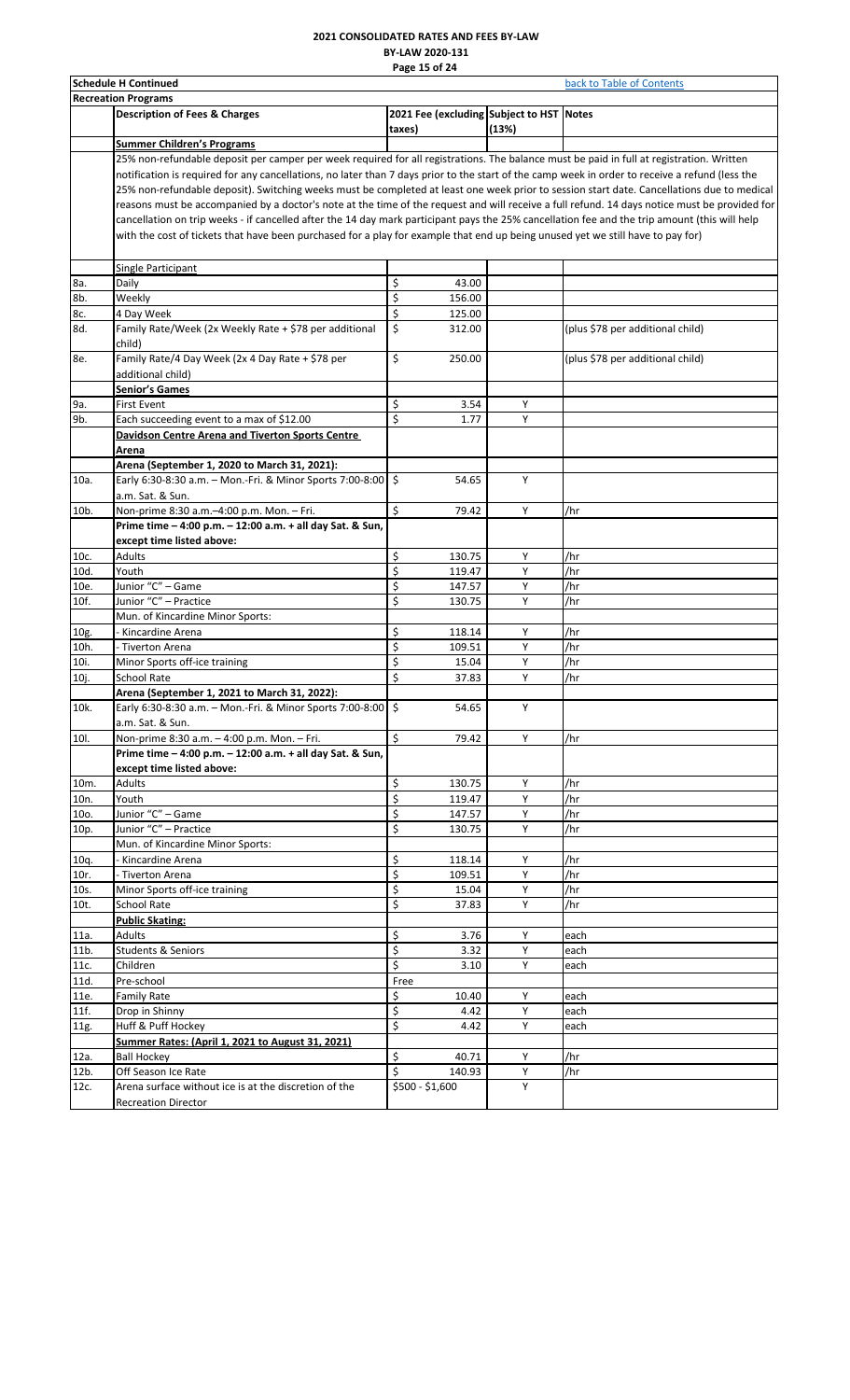#### **2021 CONSOLIDATED RATES AND FEES BY-LAW BY-LAW 2020-131 Page 15 of 24**

| <b>Schedule H Continued</b> | back to Table of Contents                                                                                                                       |                                                    |        |                                  |  |  |  |  |  |
|-----------------------------|-------------------------------------------------------------------------------------------------------------------------------------------------|----------------------------------------------------|--------|----------------------------------|--|--|--|--|--|
|                             | <b>Recreation Programs</b>                                                                                                                      |                                                    |        |                                  |  |  |  |  |  |
|                             | <b>Description of Fees &amp; Charges</b>                                                                                                        | 2021 Fee (excluding Subject to HST Notes<br>taxes) | (13%)  |                                  |  |  |  |  |  |
|                             | <b>Summer Children's Programs</b>                                                                                                               |                                                    |        |                                  |  |  |  |  |  |
|                             | 25% non-refundable deposit per camper per week required for all registrations. The balance must be paid in full at registration. Written        |                                                    |        |                                  |  |  |  |  |  |
|                             | notification is required for any cancellations, no later than 7 days prior to the start of the camp week in order to receive a refund (less the |                                                    |        |                                  |  |  |  |  |  |
|                             | 25% non-refundable deposit). Switching weeks must be completed at least one week prior to session start date. Cancellations due to medical      |                                                    |        |                                  |  |  |  |  |  |
|                             | reasons must be accompanied by a doctor's note at the time of the request and will receive a full refund. 14 days notice must be provided for   |                                                    |        |                                  |  |  |  |  |  |
|                             | cancellation on trip weeks - if cancelled after the 14 day mark participant pays the 25% cancellation fee and the trip amount (this will help   |                                                    |        |                                  |  |  |  |  |  |
|                             | with the cost of tickets that have been purchased for a play for example that end up being unused yet we still have to pay for)                 |                                                    |        |                                  |  |  |  |  |  |
|                             | <b>Single Participant</b>                                                                                                                       |                                                    |        |                                  |  |  |  |  |  |
| 8a.                         | Daily                                                                                                                                           | \$<br>43.00                                        |        |                                  |  |  |  |  |  |
| 8b.                         | Weekly                                                                                                                                          | \$<br>156.00                                       |        |                                  |  |  |  |  |  |
| 8c.                         | 4 Day Week                                                                                                                                      | \$<br>125.00                                       |        |                                  |  |  |  |  |  |
| 8d.                         | Family Rate/Week (2x Weekly Rate + \$78 per additional<br>child)                                                                                | \$<br>312.00                                       |        | (plus \$78 per additional child) |  |  |  |  |  |
| 8e.                         | Family Rate/4 Day Week (2x 4 Day Rate + \$78 per                                                                                                | \$<br>250.00                                       |        | (plus \$78 per additional child) |  |  |  |  |  |
|                             | additional child)                                                                                                                               |                                                    |        |                                  |  |  |  |  |  |
|                             | <b>Senior's Games</b>                                                                                                                           |                                                    |        |                                  |  |  |  |  |  |
| 9а.<br>9b.                  | <b>First Event</b><br>Each succeeding event to a max of \$12.00                                                                                 | \$<br>3.54<br>\$<br>1.77                           | Υ<br>Y |                                  |  |  |  |  |  |
|                             | Davidson Centre Arena and Tiverton Sports Centre                                                                                                |                                                    |        |                                  |  |  |  |  |  |
|                             |                                                                                                                                                 |                                                    |        |                                  |  |  |  |  |  |
|                             | Arena<br>Arena (September 1, 2020 to March 31, 2021):                                                                                           |                                                    |        |                                  |  |  |  |  |  |
| 10a.                        | Early 6:30-8:30 a.m. - Mon.-Fri. & Minor Sports 7:00-8:00 $\frac{1}{5}$                                                                         | 54.65                                              | Υ      |                                  |  |  |  |  |  |
|                             | a.m. Sat. & Sun.                                                                                                                                |                                                    |        |                                  |  |  |  |  |  |
| 10b.                        | Non-prime 8:30 a.m.-4:00 p.m. Mon. - Fri.                                                                                                       | Ś<br>79.42                                         | Y      | /hr                              |  |  |  |  |  |
|                             | Prime time - 4:00 p.m. - 12:00 a.m. + all day Sat. & Sun,                                                                                       |                                                    |        |                                  |  |  |  |  |  |
|                             | except time listed above:                                                                                                                       | \$<br>130.75                                       | Y      | /hr                              |  |  |  |  |  |
| 10c.<br>10d.                | Adults<br>Youth                                                                                                                                 | \$<br>119.47                                       | Υ      | /hr                              |  |  |  |  |  |
| 10e.                        | Junior "C" - Game                                                                                                                               | \$<br>147.57                                       | Υ      | /hr                              |  |  |  |  |  |
| 10f.                        | Junior "C" - Practice                                                                                                                           | \$<br>130.75                                       | Υ      | /hr                              |  |  |  |  |  |
|                             | Mun. of Kincardine Minor Sports:                                                                                                                |                                                    |        |                                  |  |  |  |  |  |
| 10g.                        | - Kincardine Arena                                                                                                                              | \$<br>118.14                                       | Y      | /hr                              |  |  |  |  |  |
| 10h.                        | - Tiverton Arena                                                                                                                                | \$<br>109.51                                       | Υ      | /hr                              |  |  |  |  |  |
| 10i.                        | Minor Sports off-ice training                                                                                                                   | \$<br>15.04                                        | Υ      | /hr                              |  |  |  |  |  |
| 10j.                        | School Rate                                                                                                                                     | \$<br>37.83                                        | Υ      | /hr                              |  |  |  |  |  |
|                             | Arena (September 1, 2021 to March 31, 2022):                                                                                                    |                                                    |        |                                  |  |  |  |  |  |
| 10k.                        | Early 6:30-8:30 a.m. - Mon.-Fri. & Minor Sports 7:00-8:00   \$                                                                                  | 54.65                                              | Y      |                                  |  |  |  |  |  |
|                             | a.m. Sat. & Sun.                                                                                                                                |                                                    |        |                                  |  |  |  |  |  |
| 10I.                        | Non-prime 8:30 a.m. - 4:00 p.m. Mon. - Fri.                                                                                                     | \$<br>79.42                                        | Y      | /hr                              |  |  |  |  |  |
|                             | Prime time - 4:00 p.m. - 12:00 a.m. + all day Sat. & Sun,                                                                                       |                                                    |        |                                  |  |  |  |  |  |
|                             | except time listed above:                                                                                                                       |                                                    |        |                                  |  |  |  |  |  |
| 10m.                        | Adults                                                                                                                                          | \$<br>130.75                                       | Y      | /hr                              |  |  |  |  |  |
| 10n.                        | Youth                                                                                                                                           | \$<br>119.47                                       | Υ      | /hr                              |  |  |  |  |  |
| 10o.                        | Junior "C" - Game                                                                                                                               | \$<br>147.57                                       | Υ      | /hr                              |  |  |  |  |  |
| 10p.                        | Junior "C" - Practice                                                                                                                           | \$<br>130.75                                       | Υ      | /hr                              |  |  |  |  |  |
|                             | Mun. of Kincardine Minor Sports:                                                                                                                |                                                    |        |                                  |  |  |  |  |  |
| 10q.                        | Kincardine Arena                                                                                                                                | \$<br>118.14                                       | Υ      | /hr                              |  |  |  |  |  |
| 10r.                        | - Tiverton Arena                                                                                                                                | \$<br>109.51                                       | Υ      | /hr                              |  |  |  |  |  |
| 10s.                        | Minor Sports off-ice training                                                                                                                   | \$<br>15.04                                        | Υ      | /hr                              |  |  |  |  |  |
| 10t.                        | School Rate                                                                                                                                     | \$<br>37.83                                        | Υ      | /hr                              |  |  |  |  |  |
|                             | <b>Public Skating:</b>                                                                                                                          |                                                    |        |                                  |  |  |  |  |  |
| 11a.                        | Adults                                                                                                                                          | \$<br>3.76                                         | Y      | each                             |  |  |  |  |  |
| 11b.                        | Students & Seniors                                                                                                                              | \$<br>3.32                                         | Υ      | each                             |  |  |  |  |  |
| 11c.                        | Children                                                                                                                                        | \$<br>3.10                                         | Y      | each                             |  |  |  |  |  |
| 11d.                        | Pre-school                                                                                                                                      | Free                                               |        |                                  |  |  |  |  |  |
| 11e.                        | <b>Family Rate</b>                                                                                                                              | \$<br>10.40                                        | Υ      | each                             |  |  |  |  |  |
| 11f.                        | Drop in Shinny                                                                                                                                  | \$<br>4.42                                         | Υ      | each                             |  |  |  |  |  |
| 11g.                        | Huff & Puff Hockey                                                                                                                              | \$<br>4.42                                         | Y      | each                             |  |  |  |  |  |
| 12a.                        | Summer Rates: (April 1, 2021 to August 31, 2021)<br><b>Ball Hockey</b>                                                                          | \$<br>40.71                                        | Y      | /hr                              |  |  |  |  |  |
| 12b.                        | Off Season Ice Rate                                                                                                                             | \$<br>140.93                                       | Υ      | /hr                              |  |  |  |  |  |
| 12c.                        | Arena surface without ice is at the discretion of the                                                                                           | \$500 - \$1,600                                    | Y      |                                  |  |  |  |  |  |
|                             | <b>Recreation Director</b>                                                                                                                      |                                                    |        |                                  |  |  |  |  |  |
|                             |                                                                                                                                                 |                                                    |        |                                  |  |  |  |  |  |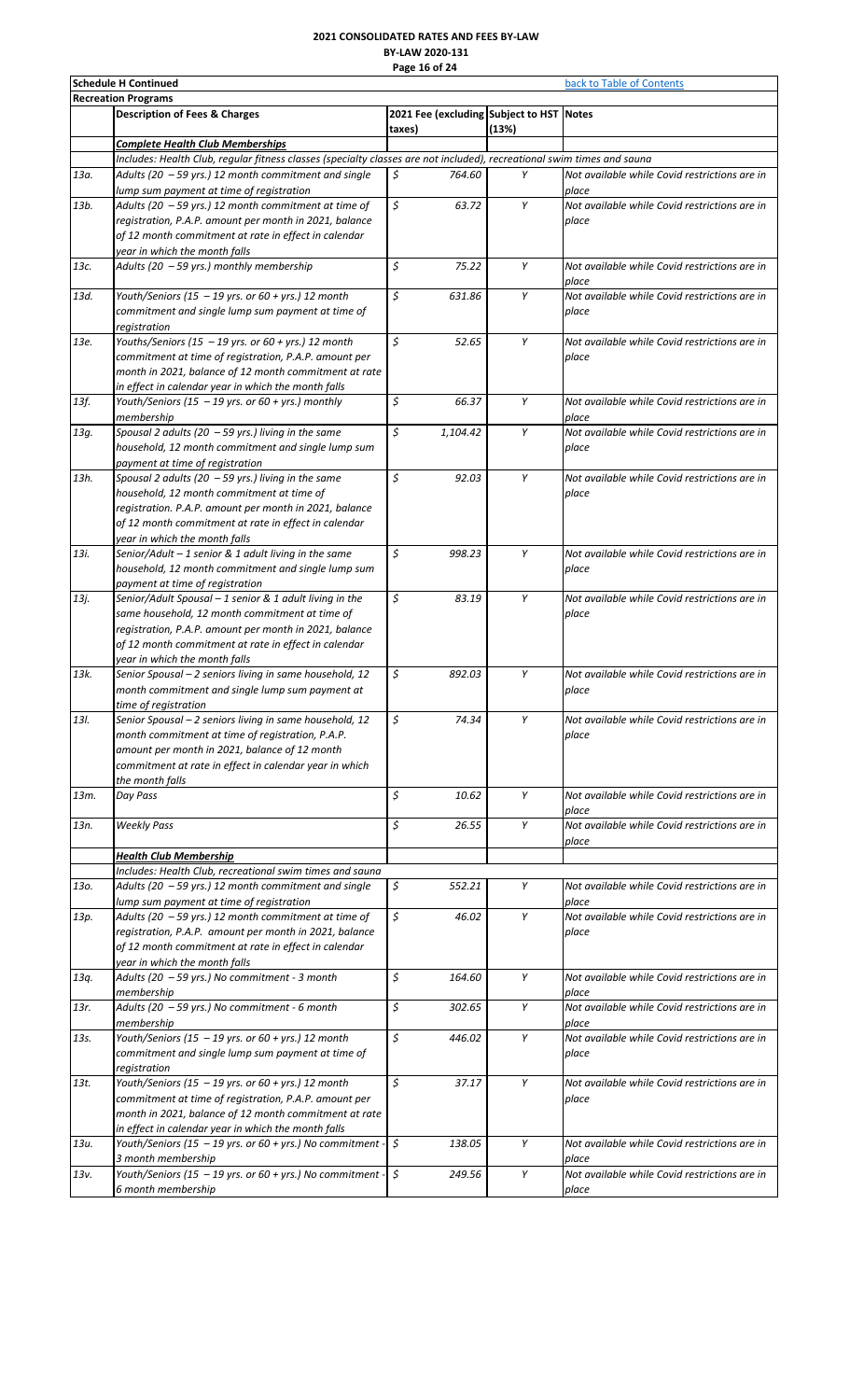# **2021 CONSOLIDATED RATES AND FEES BY-LAW BY-LAW 2020-131 Page 16 of 24**

|      | <b>Schedule H Continued</b>                                                                                            | back to Table of Contents |          |                                          |                                               |
|------|------------------------------------------------------------------------------------------------------------------------|---------------------------|----------|------------------------------------------|-----------------------------------------------|
|      | <b>Recreation Programs</b>                                                                                             |                           |          |                                          |                                               |
|      | <b>Description of Fees &amp; Charges</b>                                                                               |                           |          | 2021 Fee (excluding Subject to HST Notes |                                               |
|      | <b>Complete Health Club Memberships</b>                                                                                | taxes)                    |          | (13%)                                    |                                               |
|      | Includes: Health Club, regular fitness classes (specialty classes are not included), recreational swim times and sauna |                           |          |                                          |                                               |
| 13а. | Adults (20 $-59$ yrs.) 12 month commitment and single                                                                  | \$                        | 764.60   | Υ                                        | Not available while Covid restrictions are in |
|      | lump sum payment at time of registration                                                                               |                           |          |                                          | place                                         |
| 13b. | Adults (20 - 59 yrs.) 12 month commitment at time of                                                                   | \$                        | 63.72    | Y                                        | Not available while Covid restrictions are in |
|      | registration, P.A.P. amount per month in 2021, balance                                                                 |                           |          |                                          | place                                         |
|      | of 12 month commitment at rate in effect in calendar                                                                   |                           |          |                                          |                                               |
|      | year in which the month falls                                                                                          |                           |          |                                          |                                               |
| 13с. | Adults (20 - 59 yrs.) monthly membership                                                                               | \$                        | 75.22    | Υ                                        | Not available while Covid restrictions are in |
|      |                                                                                                                        |                           |          |                                          | place                                         |
| 13d. | Youth/Seniors (15 - 19 yrs. or 60 + yrs.) 12 month                                                                     | \$                        | 631.86   | Y                                        | Not available while Covid restrictions are in |
|      | commitment and single lump sum payment at time of                                                                      |                           |          |                                          | place                                         |
|      | registration                                                                                                           |                           |          |                                          |                                               |
| 13e. | Youths/Seniors (15 - 19 yrs. or 60 + yrs.) 12 month                                                                    | \$                        | 52.65    | Υ                                        | Not available while Covid restrictions are in |
|      | commitment at time of registration, P.A.P. amount per                                                                  |                           |          |                                          | place                                         |
|      | month in 2021, balance of 12 month commitment at rate                                                                  |                           |          |                                          |                                               |
|      | in effect in calendar year in which the month falls                                                                    |                           |          |                                          | Not available while Covid restrictions are in |
| 13f. | Youth/Seniors (15 - 19 yrs. or 60 + yrs.) monthly<br>membership                                                        | \$                        | 66.37    | Υ                                        | place                                         |
| 13g. | Spousal 2 adults (20 - 59 yrs.) living in the same                                                                     | \$                        | 1,104.42 | Υ                                        | Not available while Covid restrictions are in |
|      | household, 12 month commitment and single lump sum                                                                     |                           |          |                                          | place                                         |
|      | payment at time of registration                                                                                        |                           |          |                                          |                                               |
| 13h. | Spousal 2 adults (20 $-59$ yrs.) living in the same                                                                    | \$                        | 92.03    | Υ                                        | Not available while Covid restrictions are in |
|      | household, 12 month commitment at time of                                                                              |                           |          |                                          | place                                         |
|      | registration. P.A.P. amount per month in 2021, balance                                                                 |                           |          |                                          |                                               |
|      | of 12 month commitment at rate in effect in calendar                                                                   |                           |          |                                          |                                               |
|      | year in which the month falls                                                                                          |                           |          |                                          |                                               |
| 13i. | Senior/Adult - 1 senior & 1 adult living in the same                                                                   | \$                        | 998.23   | Y                                        | Not available while Covid restrictions are in |
|      | household, 12 month commitment and single lump sum                                                                     |                           |          |                                          | place                                         |
|      | payment at time of registration                                                                                        |                           |          |                                          |                                               |
| 13j. | Senior/Adult Spousal - 1 senior & 1 adult living in the                                                                | \$                        | 83.19    | Y                                        | Not available while Covid restrictions are in |
|      | same household, 12 month commitment at time of                                                                         |                           |          |                                          | place                                         |
|      | registration, P.A.P. amount per month in 2021, balance                                                                 |                           |          |                                          |                                               |
|      | of 12 month commitment at rate in effect in calendar                                                                   |                           |          |                                          |                                               |
|      | year in which the month falls                                                                                          |                           |          |                                          |                                               |
| 13k. | Senior Spousal - 2 seniors living in same household, 12                                                                | \$                        | 892.03   | Υ                                        | Not available while Covid restrictions are in |
|      | month commitment and single lump sum payment at                                                                        |                           |          |                                          | place                                         |
| 13I. | time of registration<br>Senior Spousal - 2 seniors living in same household, 12                                        | \$                        | 74.34    | Y                                        | Not available while Covid restrictions are in |
|      | month commitment at time of registration, P.A.P.                                                                       |                           |          |                                          | place                                         |
|      | amount per month in 2021, balance of 12 month                                                                          |                           |          |                                          |                                               |
|      | commitment at rate in effect in calendar year in which                                                                 |                           |          |                                          |                                               |
|      | the month falls                                                                                                        |                           |          |                                          |                                               |
| 13m. | Day Pass                                                                                                               | \$                        | 10.62    | Y                                        | Not available while Covid restrictions are in |
|      |                                                                                                                        |                           |          |                                          | place                                         |
| 13n. | <b>Weekly Pass</b>                                                                                                     | \$                        | 26.55    | Υ                                        | Not available while Covid restrictions are in |
|      |                                                                                                                        |                           |          |                                          | place                                         |
|      | <b>Health Club Membership</b>                                                                                          |                           |          |                                          |                                               |
|      | Includes: Health Club, recreational swim times and sauna                                                               |                           |          |                                          |                                               |
| 130. | Adults (20 - 59 yrs.) 12 month commitment and single                                                                   | \$                        | 552.21   | Υ                                        | Not available while Covid restrictions are in |
|      | lump sum payment at time of registration                                                                               |                           |          |                                          | place                                         |
| 13p. | Adults (20 $-59$ yrs.) 12 month commitment at time of                                                                  | \$                        | 46.02    | Υ                                        | Not available while Covid restrictions are in |
|      | registration, P.A.P. amount per month in 2021, balance                                                                 |                           |          |                                          | place                                         |
|      | of 12 month commitment at rate in effect in calendar                                                                   |                           |          |                                          |                                               |
|      | year in which the month falls<br>Adults (20 - 59 yrs.) No commitment - 3 month                                         | \$                        | 164.60   | Υ                                        | Not available while Covid restrictions are in |
| 13q. | membership                                                                                                             |                           |          |                                          | place                                         |
| 13r. | Adults (20 - 59 yrs.) No commitment - 6 month                                                                          | \$                        | 302.65   | Y                                        | Not available while Covid restrictions are in |
|      | membership                                                                                                             |                           |          |                                          | place                                         |
| 13s. | Youth/Seniors (15 - 19 yrs. or 60 + yrs.) 12 month                                                                     | \$                        | 446.02   | Y                                        | Not available while Covid restrictions are in |
|      | commitment and single lump sum payment at time of                                                                      |                           |          |                                          | place                                         |
|      | registration                                                                                                           |                           |          |                                          |                                               |
| 13t. | Youth/Seniors (15 - 19 yrs. or 60 + yrs.) 12 month                                                                     | \$                        | 37.17    | Υ                                        | Not available while Covid restrictions are in |
|      | commitment at time of registration, P.A.P. amount per                                                                  |                           |          |                                          | place                                         |
|      | month in 2021, balance of 12 month commitment at rate                                                                  |                           |          |                                          |                                               |
|      | in effect in calendar year in which the month falls                                                                    |                           |          |                                          |                                               |
| 13u. | Youth/Seniors (15 - 19 yrs. or 60 + yrs.) No commitment - $\frac{1}{5}$                                                |                           | 138.05   | Υ                                        | Not available while Covid restrictions are in |
|      | 3 month membership                                                                                                     |                           |          |                                          | place                                         |
| 13v. | Youth/Seniors (15 - 19 yrs. or 60 + yrs.) No commitment -                                                              | \$                        | 249.56   | Υ                                        | Not available while Covid restrictions are in |
|      | 6 month membership                                                                                                     |                           |          |                                          | place                                         |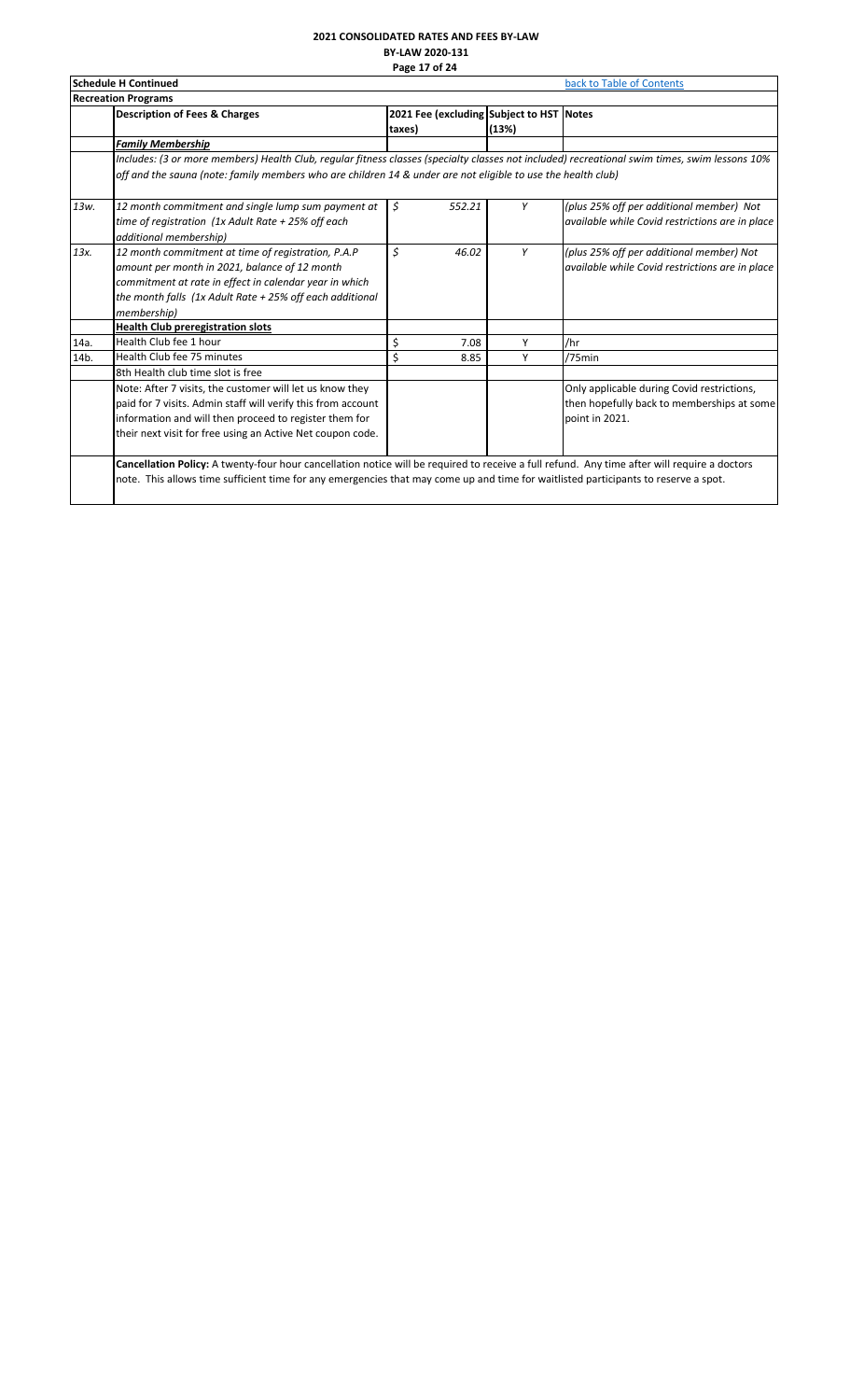#### **2021 CONSOLIDATED RATES AND FEES BY-LAW BY-LAW 2020-131 Page 17 of 24**

| <b>Recreation Programs</b><br><b>Description of Fees &amp; Charges</b><br><b>Family Membership</b><br>Includes: (3 or more members) Health Club, reqular fitness classes (specialty classes not included) recreational swim times, swim lessons 10%<br>off and the sauna (note: family members who are children 14 & under are not eligible to use the health club)<br>12 month commitment and single lump sum payment at<br>time of registration (1x Adult Rate + 25% off each<br>additional membership)<br>12 month commitment at time of registration, P.A.P<br>amount per month in 2021, balance of 12 month | taxes)<br>\$<br>\$ | 552.21<br>46.02 | 2021 Fee (excluding Subject to HST Notes<br>(13%)<br>Y | (plus 25% off per additional member) Not<br>available while Covid restrictions are in place                                                                                                                                                                                         |
|------------------------------------------------------------------------------------------------------------------------------------------------------------------------------------------------------------------------------------------------------------------------------------------------------------------------------------------------------------------------------------------------------------------------------------------------------------------------------------------------------------------------------------------------------------------------------------------------------------------|--------------------|-----------------|--------------------------------------------------------|-------------------------------------------------------------------------------------------------------------------------------------------------------------------------------------------------------------------------------------------------------------------------------------|
|                                                                                                                                                                                                                                                                                                                                                                                                                                                                                                                                                                                                                  |                    |                 |                                                        |                                                                                                                                                                                                                                                                                     |
|                                                                                                                                                                                                                                                                                                                                                                                                                                                                                                                                                                                                                  |                    |                 |                                                        |                                                                                                                                                                                                                                                                                     |
|                                                                                                                                                                                                                                                                                                                                                                                                                                                                                                                                                                                                                  |                    |                 |                                                        |                                                                                                                                                                                                                                                                                     |
|                                                                                                                                                                                                                                                                                                                                                                                                                                                                                                                                                                                                                  |                    |                 |                                                        |                                                                                                                                                                                                                                                                                     |
|                                                                                                                                                                                                                                                                                                                                                                                                                                                                                                                                                                                                                  |                    |                 |                                                        |                                                                                                                                                                                                                                                                                     |
|                                                                                                                                                                                                                                                                                                                                                                                                                                                                                                                                                                                                                  |                    |                 |                                                        |                                                                                                                                                                                                                                                                                     |
| commitment at rate in effect in calendar year in which<br>the month falls $(1x$ Adult Rate + 25% off each additional<br>membership)                                                                                                                                                                                                                                                                                                                                                                                                                                                                              |                    |                 | Y                                                      | (plus 25% off per additional member) Not<br>available while Covid restrictions are in place                                                                                                                                                                                         |
| <b>Health Club preregistration slots</b>                                                                                                                                                                                                                                                                                                                                                                                                                                                                                                                                                                         |                    |                 |                                                        |                                                                                                                                                                                                                                                                                     |
| Health Club fee 1 hour                                                                                                                                                                                                                                                                                                                                                                                                                                                                                                                                                                                           | \$                 | 7.08            | Y                                                      | /hr                                                                                                                                                                                                                                                                                 |
| Health Club fee 75 minutes                                                                                                                                                                                                                                                                                                                                                                                                                                                                                                                                                                                       | \$                 | 8.85            | Y                                                      | /75min                                                                                                                                                                                                                                                                              |
| 8th Health club time slot is free                                                                                                                                                                                                                                                                                                                                                                                                                                                                                                                                                                                |                    |                 |                                                        |                                                                                                                                                                                                                                                                                     |
| Note: After 7 visits, the customer will let us know they<br>paid for 7 visits. Admin staff will verify this from account<br>information and will then proceed to register them for<br>their next visit for free using an Active Net coupon code.                                                                                                                                                                                                                                                                                                                                                                 |                    |                 |                                                        | Only applicable during Covid restrictions,<br>then hopefully back to memberships at some<br>point in 2021.                                                                                                                                                                          |
|                                                                                                                                                                                                                                                                                                                                                                                                                                                                                                                                                                                                                  |                    |                 |                                                        | Cancellation Policy: A twenty-four hour cancellation notice will be required to receive a full refund. Any time after will require a doctors<br>note. This allows time sufficient time for any emergencies that may come up and time for waitlisted participants to reserve a spot. |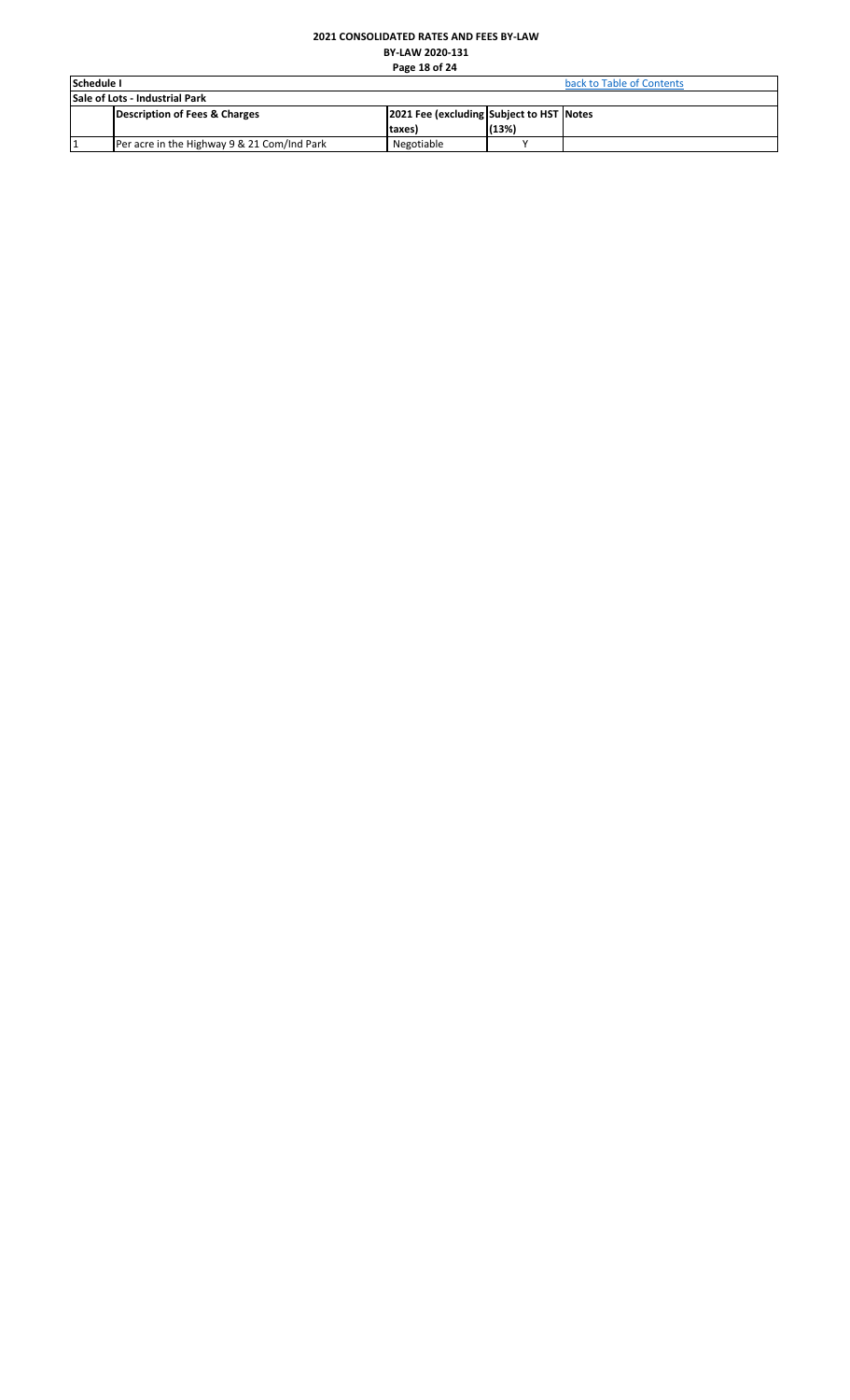# **2021 CONSOLIDATED RATES AND FEES BY-LAW BY-LAW 2020-131 Page 18 of 24**

<span id="page-18-0"></span>

| <b>Schedule I</b> |                                             | back to Table of Contents                |       |  |
|-------------------|---------------------------------------------|------------------------------------------|-------|--|
|                   | <b>Sale of Lots - Industrial Park</b>       |                                          |       |  |
|                   | Description of Fees & Charges               | 2021 Fee (excluding Subject to HST Notes |       |  |
|                   |                                             | (taxes                                   | (13%) |  |
|                   | Per acre in the Highway 9 & 21 Com/Ind Park | Negotiable                               |       |  |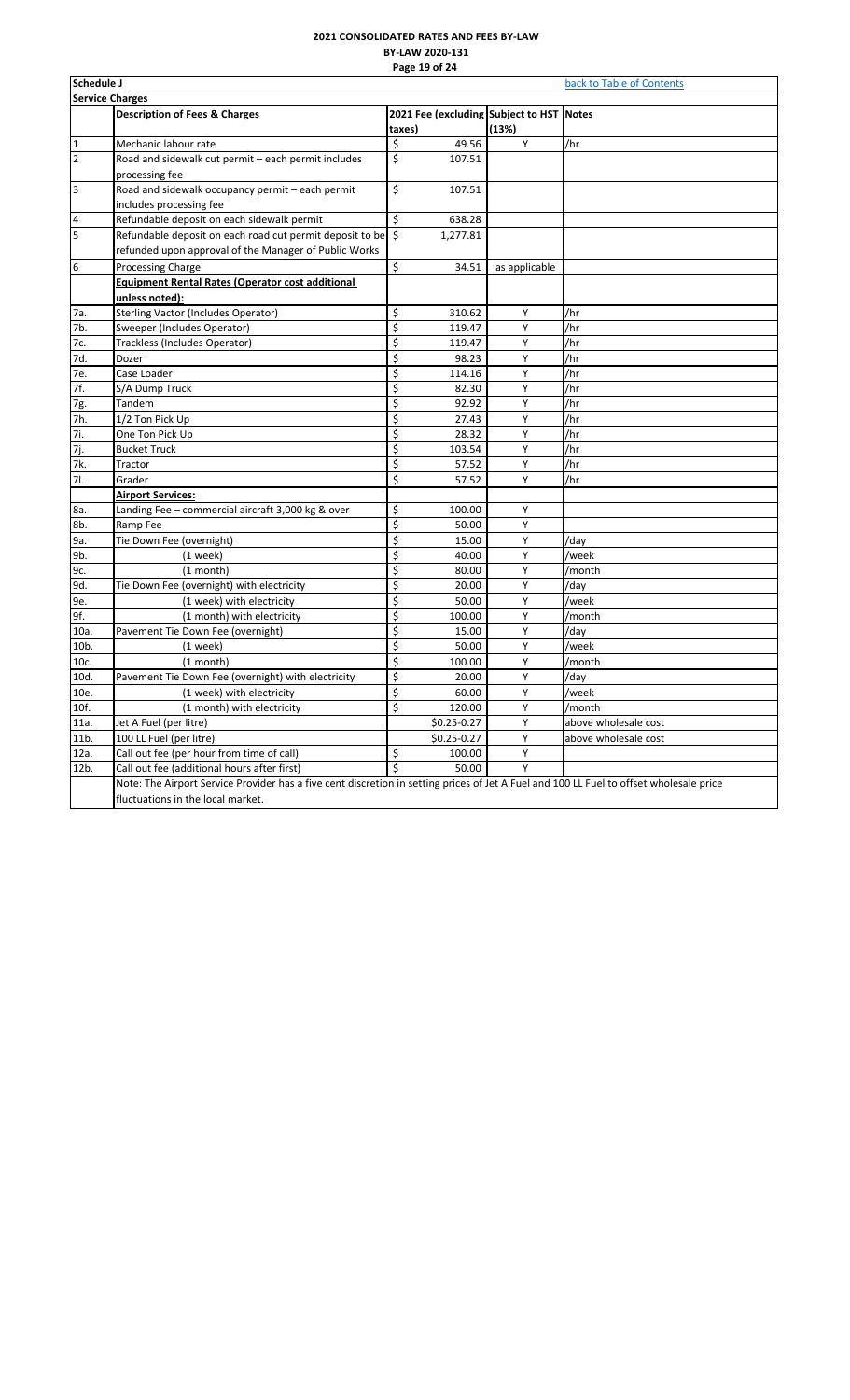# **2021 CONSOLIDATED RATES AND FEES BY-LAW BY-LAW 2020-131 Page 19 of 24**

<span id="page-19-0"></span>

|                        | Schedule J<br>back to Table of Contents                                                                                                 |        |                |                                          |                      |  |
|------------------------|-----------------------------------------------------------------------------------------------------------------------------------------|--------|----------------|------------------------------------------|----------------------|--|
| <b>Service Charges</b> |                                                                                                                                         |        |                |                                          |                      |  |
|                        | <b>Description of Fees &amp; Charges</b>                                                                                                |        |                | 2021 Fee (excluding Subject to HST Notes |                      |  |
|                        |                                                                                                                                         | taxes) |                | (13%)                                    |                      |  |
| 1                      | Mechanic labour rate                                                                                                                    | \$     | 49.56          | Y                                        | /hr                  |  |
| $\overline{2}$         | Road and sidewalk cut permit - each permit includes                                                                                     | \$     | 107.51         |                                          |                      |  |
|                        | processing fee                                                                                                                          |        |                |                                          |                      |  |
| 3                      | Road and sidewalk occupancy permit - each permit                                                                                        | \$     | 107.51         |                                          |                      |  |
|                        | includes processing fee                                                                                                                 |        |                |                                          |                      |  |
| 4                      | Refundable deposit on each sidewalk permit                                                                                              | \$     | 638.28         |                                          |                      |  |
| 5                      | Refundable deposit on each road cut permit deposit to be \$                                                                             |        | 1,277.81       |                                          |                      |  |
|                        | refunded upon approval of the Manager of Public Works                                                                                   |        |                |                                          |                      |  |
| 6                      | Processing Charge                                                                                                                       | \$     | 34.51          | as applicable                            |                      |  |
|                        | <b>Equipment Rental Rates (Operator cost additional</b>                                                                                 |        |                |                                          |                      |  |
|                        | unless noted):                                                                                                                          |        |                |                                          |                      |  |
| 7а.                    | <b>Sterling Vactor (Includes Operator)</b>                                                                                              | \$     | 310.62         | Υ                                        | /hr                  |  |
| 7b.                    | Sweeper (Includes Operator)                                                                                                             | \$     | 119.47         | Υ                                        | /hr                  |  |
| 7с.                    | Trackless (Includes Operator)                                                                                                           | \$     | 119.47         | Υ                                        | /hr                  |  |
| 7d.                    | Dozer                                                                                                                                   | \$     | 98.23          | Y                                        | /hr                  |  |
| 7е.                    | Case Loader                                                                                                                             | \$     | 114.16         | Y                                        | /hr                  |  |
| 7f.                    | S/A Dump Truck                                                                                                                          | \$     | 82.30          | Υ                                        | /hr                  |  |
| 7g.                    | Tandem                                                                                                                                  | \$     | 92.92          | Υ                                        | /hr                  |  |
| 7h.                    | 1/2 Ton Pick Up                                                                                                                         | \$     | 27.43          | Υ                                        | /hr                  |  |
| 7i.                    | One Ton Pick Up                                                                                                                         | \$     | 28.32          | Y                                        | /hr                  |  |
| 7j.                    | <b>Bucket Truck</b>                                                                                                                     | \$     | 103.54         | Y                                        | /hr                  |  |
| 7k.                    | Tractor                                                                                                                                 | \$     | 57.52          | Υ                                        | /hr                  |  |
| 71.                    | Grader                                                                                                                                  | \$     | 57.52          | Υ                                        | /hr                  |  |
|                        | <b>Airport Services:</b>                                                                                                                |        |                |                                          |                      |  |
| 8a.                    | Landing Fee – commercial aircraft 3,000 kg & over                                                                                       | \$     | 100.00         | Υ                                        |                      |  |
| 8b.                    | Ramp Fee                                                                                                                                | \$     | 50.00          | Υ                                        |                      |  |
| 9a.                    | Tie Down Fee (overnight)                                                                                                                | \$     | 15.00          | Y                                        | /dav                 |  |
| 9b.                    | $(1$ week)                                                                                                                              | \$     | 40.00          | Υ                                        | /week                |  |
| 9с.                    | (1 month)                                                                                                                               | \$     | 80.00          | Υ                                        | /month               |  |
| 9d.                    | Tie Down Fee (overnight) with electricity                                                                                               | \$     | 20.00          | Υ                                        | /day                 |  |
| 9e.                    | (1 week) with electricity                                                                                                               | \$     | 50.00          | Y                                        | /week                |  |
| 9f.                    | (1 month) with electricity                                                                                                              | \$     | 100.00         | Υ                                        | /month               |  |
| 10a.                   | Pavement Tie Down Fee (overnight)                                                                                                       | \$     | 15.00          | Υ                                        | /day                 |  |
| 10b.                   | $(1$ week)                                                                                                                              | \$     | 50.00          | Υ                                        | /week                |  |
| 10c.                   | $(1$ month)                                                                                                                             | \$     | 100.00         | Υ                                        | /month               |  |
| 10d.                   | Pavement Tie Down Fee (overnight) with electricity                                                                                      | \$     | 20.00          | Υ                                        | /day                 |  |
| 10e.                   | (1 week) with electricity                                                                                                               | \$     | 60.00          | Y                                        | /week                |  |
| 10f.                   | (1 month) with electricity                                                                                                              | \$     | 120.00         | Y                                        | /month               |  |
| 11a.                   | Jet A Fuel (per litre)                                                                                                                  |        | $$0.25 - 0.27$ | Υ                                        | above wholesale cost |  |
| 11b.                   | 100 LL Fuel (per litre)                                                                                                                 |        | $$0.25 - 0.27$ | Y                                        | above wholesale cost |  |
| 12a.                   | Call out fee (per hour from time of call)                                                                                               | \$     | 100.00         | Y                                        |                      |  |
| 12b.                   | Call out fee (additional hours after first)                                                                                             | \$     | 50.00          | Υ                                        |                      |  |
|                        | Note: The Airport Service Provider has a five cent discretion in setting prices of Jet A Fuel and 100 LL Fuel to offset wholesale price |        |                |                                          |                      |  |
|                        | fluctuations in the local market.                                                                                                       |        |                |                                          |                      |  |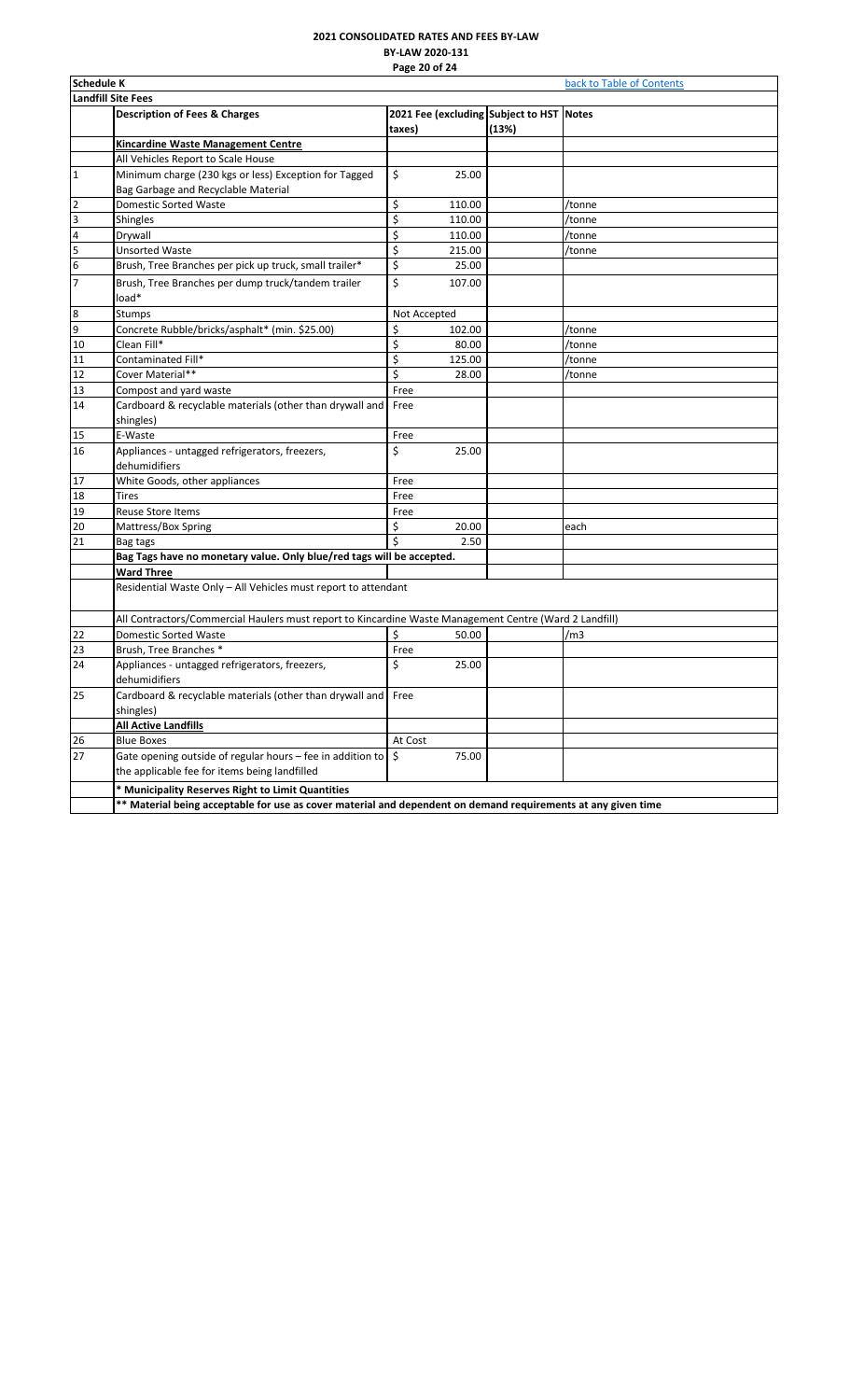# **2021 CONSOLIDATED RATES AND FEES BY-LAW BY-LAW 2020-131 Page 20 of 24**

<span id="page-20-0"></span>

|                         | Schedule K<br>back to Table of Contents                                                                       |              |        |                                          |        |  |  |
|-------------------------|---------------------------------------------------------------------------------------------------------------|--------------|--------|------------------------------------------|--------|--|--|
|                         | <b>Landfill Site Fees</b>                                                                                     |              |        |                                          |        |  |  |
|                         | <b>Description of Fees &amp; Charges</b>                                                                      |              |        | 2021 Fee (excluding Subject to HST Notes |        |  |  |
|                         |                                                                                                               | taxes)       |        | (13%)                                    |        |  |  |
|                         | Kincardine Waste Management Centre                                                                            |              |        |                                          |        |  |  |
|                         | All Vehicles Report to Scale House                                                                            |              |        |                                          |        |  |  |
| $\mathbf{1}$            | Minimum charge (230 kgs or less) Exception for Tagged                                                         | \$           | 25.00  |                                          |        |  |  |
|                         | Bag Garbage and Recyclable Material                                                                           |              |        |                                          |        |  |  |
| $\overline{\mathbf{c}}$ | Domestic Sorted Waste                                                                                         | \$           | 110.00 |                                          | /tonne |  |  |
| 3                       | Shingles                                                                                                      | \$           | 110.00 |                                          | /tonne |  |  |
| $\overline{\mathbf{4}}$ | Drywall                                                                                                       | \$           | 110.00 |                                          | /tonne |  |  |
| 5                       | <b>Unsorted Waste</b>                                                                                         | \$           | 215.00 |                                          | /tonne |  |  |
| $6\overline{6}$         | Brush, Tree Branches per pick up truck, small trailer*                                                        | \$           | 25.00  |                                          |        |  |  |
| $\overline{7}$          | Brush, Tree Branches per dump truck/tandem trailer                                                            | \$           | 107.00 |                                          |        |  |  |
|                         | load*                                                                                                         |              |        |                                          |        |  |  |
| 8                       | Stumps                                                                                                        | Not Accepted |        |                                          |        |  |  |
| 9                       | Concrete Rubble/bricks/asphalt* (min. \$25.00)                                                                | \$           | 102.00 |                                          | /tonne |  |  |
| 10                      | Clean Fill*                                                                                                   | \$           | 80.00  |                                          | /tonne |  |  |
| 11                      | Contaminated Fill*                                                                                            | \$           | 125.00 |                                          | /tonne |  |  |
| 12                      | Cover Material**                                                                                              | \$           | 28.00  |                                          | /tonne |  |  |
| 13                      | Compost and yard waste                                                                                        | Free         |        |                                          |        |  |  |
| 14                      | Cardboard & recyclable materials (other than drywall and                                                      | Free         |        |                                          |        |  |  |
|                         | shingles)                                                                                                     |              |        |                                          |        |  |  |
| 15                      | E-Waste                                                                                                       | Free         |        |                                          |        |  |  |
| 16                      | Appliances - untagged refrigerators, freezers,                                                                | \$           | 25.00  |                                          |        |  |  |
|                         | dehumidifiers                                                                                                 |              |        |                                          |        |  |  |
| 17                      | White Goods, other appliances                                                                                 | Free         |        |                                          |        |  |  |
| 18                      | <b>Tires</b>                                                                                                  | Free         |        |                                          |        |  |  |
| 19                      | <b>Reuse Store Items</b>                                                                                      | Free         |        |                                          |        |  |  |
| 20                      | Mattress/Box Spring                                                                                           | \$           | 20.00  |                                          | each   |  |  |
| 21                      | Bag tags                                                                                                      | Ś            | 2.50   |                                          |        |  |  |
|                         | Bag Tags have no monetary value. Only blue/red tags will be accepted.                                         |              |        |                                          |        |  |  |
|                         | <b>Ward Three</b>                                                                                             |              |        |                                          |        |  |  |
|                         | Residential Waste Only - All Vehicles must report to attendant                                                |              |        |                                          |        |  |  |
|                         |                                                                                                               |              |        |                                          |        |  |  |
|                         | All Contractors/Commercial Haulers must report to Kincardine Waste Management Centre (Ward 2 Landfill)        |              |        |                                          |        |  |  |
| 22                      | Domestic Sorted Waste                                                                                         | \$           | 50.00  |                                          | /m3    |  |  |
| 23                      | Brush, Tree Branches *                                                                                        | Free         |        |                                          |        |  |  |
| 24                      | Appliances - untagged refrigerators, freezers,                                                                | \$           | 25.00  |                                          |        |  |  |
|                         | dehumidifiers                                                                                                 |              |        |                                          |        |  |  |
| 25                      | Cardboard & recyclable materials (other than drywall and Free                                                 |              |        |                                          |        |  |  |
|                         | shingles)                                                                                                     |              |        |                                          |        |  |  |
|                         | <b>All Active Landfills</b>                                                                                   |              |        |                                          |        |  |  |
| 26                      | <b>Blue Boxes</b>                                                                                             | At Cost      |        |                                          |        |  |  |
| 27                      | Gate opening outside of regular hours - fee in addition to                                                    | S.           | 75.00  |                                          |        |  |  |
|                         | the applicable fee for items being landfilled                                                                 |              |        |                                          |        |  |  |
|                         | * Municipality Reserves Right to Limit Quantities                                                             |              |        |                                          |        |  |  |
|                         |                                                                                                               |              |        |                                          |        |  |  |
|                         | ** Material being acceptable for use as cover material and dependent on demand requirements at any given time |              |        |                                          |        |  |  |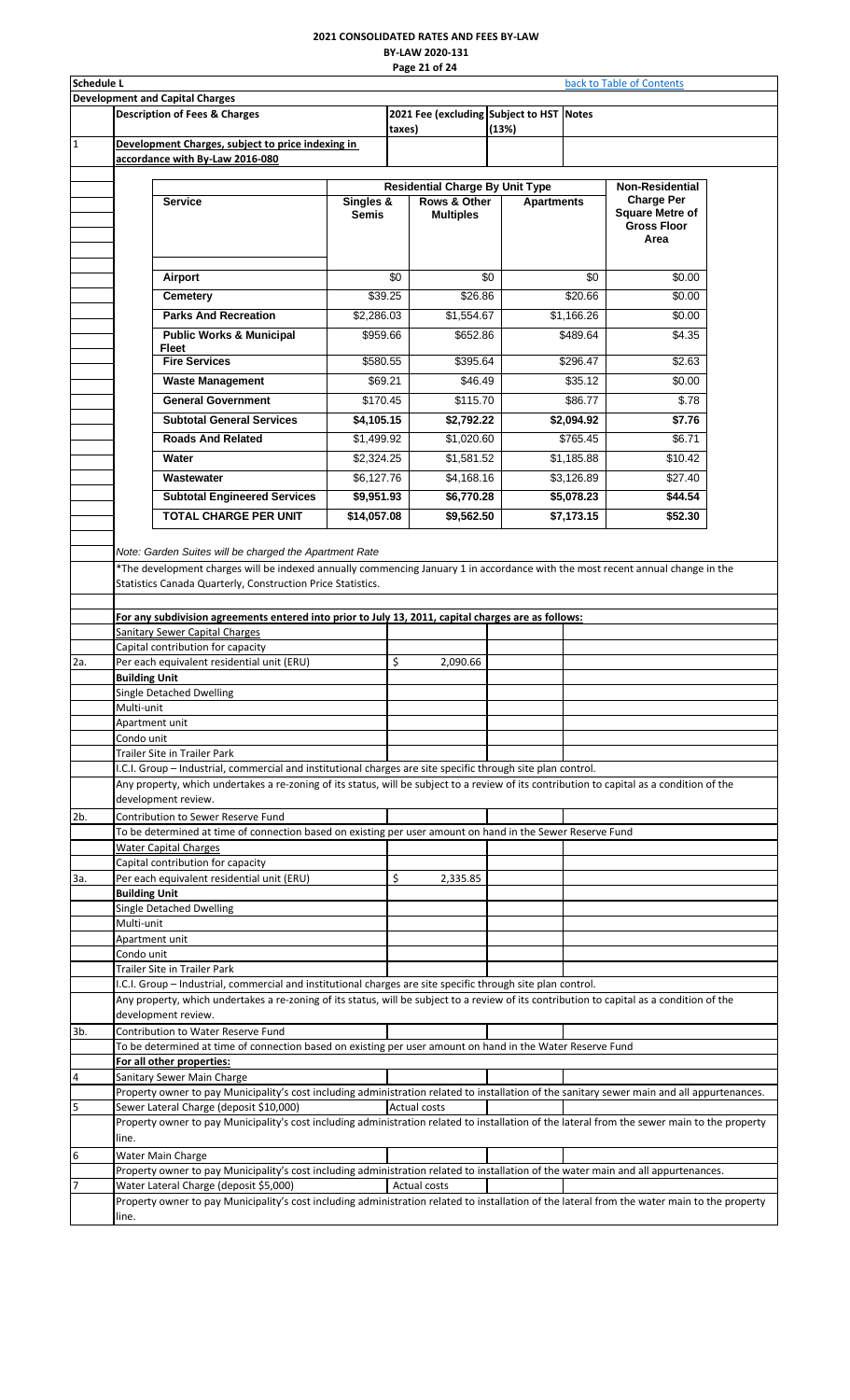#### **2021 CONSOLIDATED RATES AND FEES BY-LAW BY-LAW 2020-131 Page 21 of 24**

<span id="page-21-0"></span>

| <b>Schedule L</b> |                      |                                                                                                                                               |                           |        | Page 21 or 24                            |       |                   |            | back to Table of Contents                   |  |
|-------------------|----------------------|-----------------------------------------------------------------------------------------------------------------------------------------------|---------------------------|--------|------------------------------------------|-------|-------------------|------------|---------------------------------------------|--|
|                   |                      | <b>Development and Capital Charges</b>                                                                                                        |                           |        |                                          |       |                   |            |                                             |  |
|                   |                      | <b>Description of Fees &amp; Charges</b>                                                                                                      |                           |        | 2021 Fee (excluding Subject to HST Notes |       |                   |            |                                             |  |
|                   |                      |                                                                                                                                               |                           | taxes) |                                          | (13%) |                   |            |                                             |  |
| $\mathbf{1}$      |                      | Development Charges, subject to price indexing in<br>accordance with By-Law 2016-080                                                          |                           |        |                                          |       |                   |            |                                             |  |
|                   |                      |                                                                                                                                               |                           |        |                                          |       |                   |            |                                             |  |
|                   |                      |                                                                                                                                               |                           |        | <b>Residential Charge By Unit Type</b>   |       |                   |            | <b>Non-Residential</b>                      |  |
|                   |                      | <b>Service</b>                                                                                                                                | Singles &<br><b>Semis</b> |        | Rows & Other<br><b>Multiples</b>         |       | <b>Apartments</b> |            | <b>Charge Per</b><br><b>Square Metre of</b> |  |
|                   |                      |                                                                                                                                               |                           |        |                                          |       |                   |            | <b>Gross Floor</b>                          |  |
|                   |                      |                                                                                                                                               |                           |        |                                          |       |                   |            | Area                                        |  |
|                   |                      |                                                                                                                                               |                           |        |                                          |       |                   |            |                                             |  |
|                   |                      | Airport                                                                                                                                       | \$0                       |        |                                          | \$0   |                   | \$0        | \$0.00                                      |  |
|                   |                      | Cemetery                                                                                                                                      | \$39.25                   |        | \$26.86                                  |       |                   | \$20.66    | \$0.00                                      |  |
|                   |                      | <b>Parks And Recreation</b>                                                                                                                   | \$2,286.03                |        | \$1,554.67                               |       |                   | \$1,166.26 | \$0.00                                      |  |
|                   |                      | <b>Public Works &amp; Municipal</b><br><b>Fleet</b>                                                                                           | \$959.66                  |        | \$652.86                                 |       |                   | \$489.64   | \$4.35                                      |  |
|                   |                      | <b>Fire Services</b>                                                                                                                          | \$580.55                  |        | \$395.64                                 |       |                   | \$296.47   | \$2.63                                      |  |
|                   |                      | <b>Waste Management</b>                                                                                                                       | \$69.21                   |        | \$46.49                                  |       |                   | \$35.12    | \$0.00                                      |  |
|                   |                      | <b>General Government</b>                                                                                                                     | \$170.45                  |        | \$115.70                                 |       |                   | \$86.77    | \$.78                                       |  |
|                   |                      | <b>Subtotal General Services</b>                                                                                                              | \$4,105.15                |        | \$2,792.22                               |       |                   | \$2,094.92 | \$7.76                                      |  |
|                   |                      | <b>Roads And Related</b>                                                                                                                      | \$1,499.92                |        | \$1,020.60                               |       |                   | \$765.45   | \$6.71                                      |  |
|                   |                      | Water                                                                                                                                         | \$2,324.25                |        | \$1,581.52                               |       |                   | \$1,185.88 | \$10.42                                     |  |
|                   |                      | Wastewater                                                                                                                                    | \$6,127.76                |        | \$4,168.16                               |       |                   | \$3,126.89 | \$27.40                                     |  |
|                   |                      | <b>Subtotal Engineered Services</b>                                                                                                           | \$9,951.93                |        | \$6,770.28                               |       |                   | \$5,078.23 | \$44.54                                     |  |
|                   |                      | <b>TOTAL CHARGE PER UNIT</b>                                                                                                                  | \$14,057.08               |        | \$9,562.50                               |       |                   | \$7,173.15 | \$52.30                                     |  |
|                   |                      |                                                                                                                                               |                           |        |                                          |       |                   |            |                                             |  |
|                   |                      | Note: Garden Suites will be charged the Apartment Rate                                                                                        |                           |        |                                          |       |                   |            |                                             |  |
|                   |                      | *The development charges will be indexed annually commencing January 1 in accordance with the most recent annual change in the                |                           |        |                                          |       |                   |            |                                             |  |
|                   |                      | Statistics Canada Quarterly, Construction Price Statistics.                                                                                   |                           |        |                                          |       |                   |            |                                             |  |
|                   |                      | For any subdivision agreements entered into prior to July 13, 2011, capital charges are as follows:                                           |                           |        |                                          |       |                   |            |                                             |  |
|                   |                      | <b>Sanitary Sewer Capital Charges</b>                                                                                                         |                           |        |                                          |       |                   |            |                                             |  |
|                   |                      | Capital contribution for capacity                                                                                                             |                           |        |                                          |       |                   |            |                                             |  |
| 2a.               |                      | Per each equivalent residential unit (ERU)                                                                                                    |                           | \$     | 2,090.66                                 |       |                   |            |                                             |  |
|                   | <b>Building Unit</b> | Single Detached Dwelling                                                                                                                      |                           |        |                                          |       |                   |            |                                             |  |
|                   | Multi-unit           |                                                                                                                                               |                           |        |                                          |       |                   |            |                                             |  |
|                   | Apartment unit       |                                                                                                                                               |                           |        |                                          |       |                   |            |                                             |  |
|                   | Condo unit           | Trailer Site in Trailer Park                                                                                                                  |                           |        |                                          |       |                   |            |                                             |  |
|                   |                      | I.C.I. Group - Industrial, commercial and institutional charges are site specific through site plan control.                                  |                           |        |                                          |       |                   |            |                                             |  |
|                   |                      | Any property, which undertakes a re-zoning of its status, will be subject to a review of its contribution to capital as a condition of the    |                           |        |                                          |       |                   |            |                                             |  |
|                   |                      | development review.                                                                                                                           |                           |        |                                          |       |                   |            |                                             |  |
| 2 <sub>b</sub>    |                      | Contribution to Sewer Reserve Fund                                                                                                            |                           |        |                                          |       |                   |            |                                             |  |
|                   |                      | To be determined at time of connection based on existing per user amount on hand in the Sewer Reserve Fund<br><b>Water Capital Charges</b>    |                           |        |                                          |       |                   |            |                                             |  |
|                   |                      | Capital contribution for capacity                                                                                                             |                           |        |                                          |       |                   |            |                                             |  |
| За.               |                      | Per each equivalent residential unit (ERU)                                                                                                    |                           | \$     | 2,335.85                                 |       |                   |            |                                             |  |
|                   | <b>Building Unit</b> |                                                                                                                                               |                           |        |                                          |       |                   |            |                                             |  |
|                   | Multi-unit           | <b>Single Detached Dwelling</b>                                                                                                               |                           |        |                                          |       |                   |            |                                             |  |
|                   | Apartment unit       |                                                                                                                                               |                           |        |                                          |       |                   |            |                                             |  |
|                   | Condo unit           |                                                                                                                                               |                           |        |                                          |       |                   |            |                                             |  |
|                   |                      | Trailer Site in Trailer Park<br>I.C.I. Group - Industrial, commercial and institutional charges are site specific through site plan control.  |                           |        |                                          |       |                   |            |                                             |  |
|                   |                      | Any property, which undertakes a re-zoning of its status, will be subject to a review of its contribution to capital as a condition of the    |                           |        |                                          |       |                   |            |                                             |  |
|                   |                      | development review.                                                                                                                           |                           |        |                                          |       |                   |            |                                             |  |
| 3b.               |                      | Contribution to Water Reserve Fund                                                                                                            |                           |        |                                          |       |                   |            |                                             |  |
|                   |                      | To be determined at time of connection based on existing per user amount on hand in the Water Reserve Fund                                    |                           |        |                                          |       |                   |            |                                             |  |
| $\overline{a}$    |                      | For all other properties:<br>Sanitary Sewer Main Charge                                                                                       |                           |        |                                          |       |                   |            |                                             |  |
|                   |                      | Property owner to pay Municipality's cost including administration related to installation of the sanitary sewer main and all appurtenances.  |                           |        |                                          |       |                   |            |                                             |  |
| 5                 |                      | Sewer Lateral Charge (deposit \$10,000)                                                                                                       |                           |        | <b>Actual costs</b>                      |       |                   |            |                                             |  |
|                   |                      | Property owner to pay Municipality's cost including administration related to installation of the lateral from the sewer main to the property |                           |        |                                          |       |                   |            |                                             |  |
| 6                 | line.                | Water Main Charge                                                                                                                             |                           |        |                                          |       |                   |            |                                             |  |
|                   |                      | Property owner to pay Municipality's cost including administration related to installation of the water main and all appurtenances.           |                           |        |                                          |       |                   |            |                                             |  |
| 17                |                      | Water Lateral Charge (deposit \$5,000)                                                                                                        |                           |        | <b>Actual costs</b>                      |       |                   |            |                                             |  |
|                   |                      | Property owner to pay Municipality's cost including administration related to installation of the lateral from the water main to the property |                           |        |                                          |       |                   |            |                                             |  |
|                   | line.                |                                                                                                                                               |                           |        |                                          |       |                   |            |                                             |  |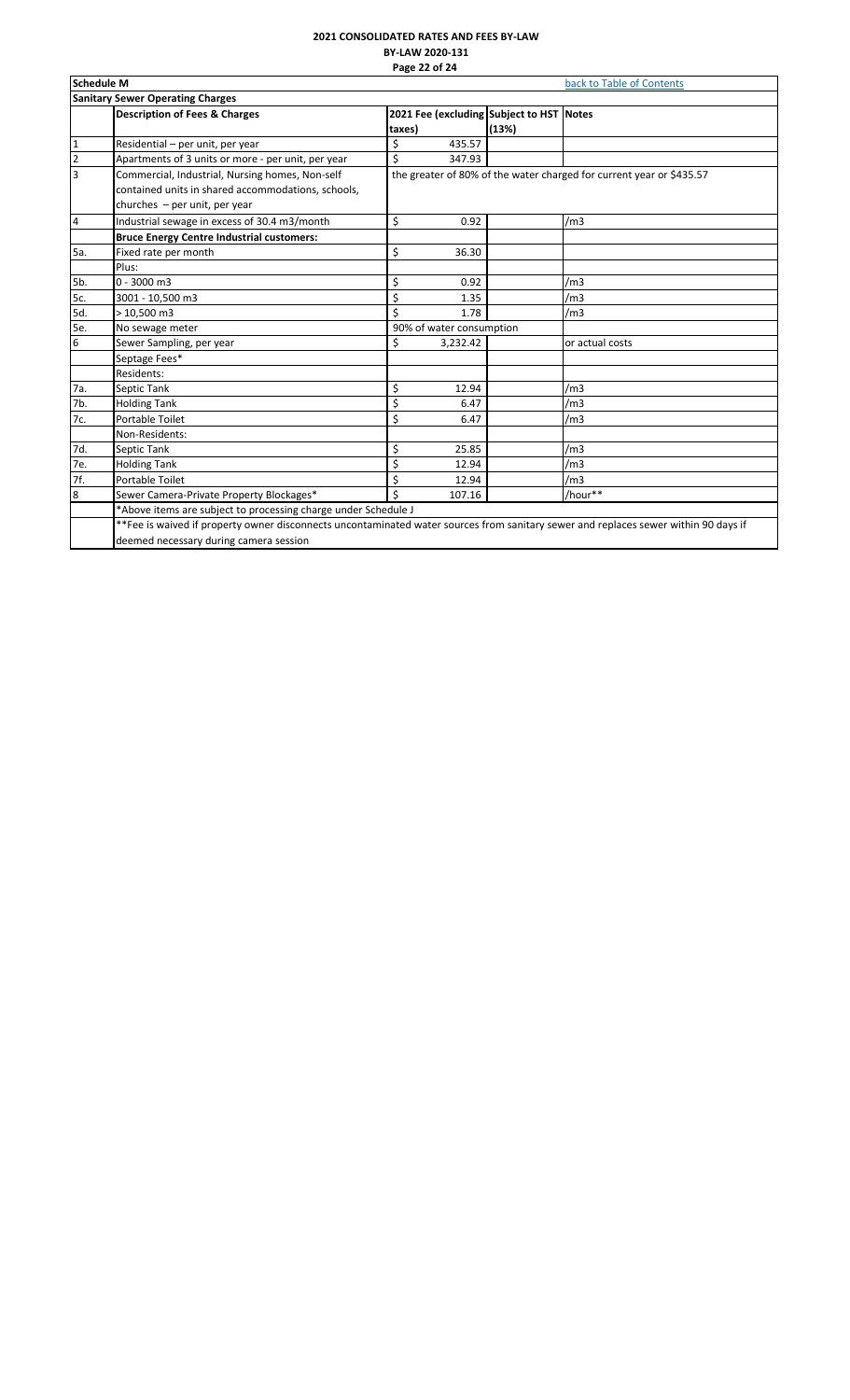# **2021 CONSOLIDATED RATES AND FEES BY-LAW BY-LAW 2020-131 Page 22 of 24**

<span id="page-22-0"></span>

|                         | <b>Schedule M</b><br>back to Table of Contents                                                                                           |                                                                      |       |                 |  |  |  |  |
|-------------------------|------------------------------------------------------------------------------------------------------------------------------------------|----------------------------------------------------------------------|-------|-----------------|--|--|--|--|
|                         | <b>Sanitary Sewer Operating Charges</b>                                                                                                  |                                                                      |       |                 |  |  |  |  |
|                         | <b>Description of Fees &amp; Charges</b>                                                                                                 | 2021 Fee (excluding Subject to HST Notes<br>taxes)                   | (13%) |                 |  |  |  |  |
| $\mathbf{1}$            | Residential - per unit, per year                                                                                                         | \$<br>435.57                                                         |       |                 |  |  |  |  |
| $\overline{2}$          | Apartments of 3 units or more - per unit, per year                                                                                       | \$<br>347.93                                                         |       |                 |  |  |  |  |
| $\overline{\mathbf{3}}$ | Commercial, Industrial, Nursing homes, Non-self<br>contained units in shared accommodations, schools,<br>churches $-$ per unit, per year | the greater of 80% of the water charged for current year or \$435.57 |       |                 |  |  |  |  |
| 4                       | Industrial sewage in excess of 30.4 m3/month                                                                                             | \$<br>0.92                                                           |       | /m <sub>3</sub> |  |  |  |  |
|                         | <b>Bruce Energy Centre Industrial customers:</b>                                                                                         |                                                                      |       |                 |  |  |  |  |
| 5a.                     | Fixed rate per month                                                                                                                     | \$<br>36.30                                                          |       |                 |  |  |  |  |
|                         | Plus:                                                                                                                                    |                                                                      |       |                 |  |  |  |  |
| 5b.                     | $0 - 3000$ m3                                                                                                                            | \$<br>0.92                                                           |       | /m3             |  |  |  |  |
| 5c.                     | 3001 - 10,500 m3                                                                                                                         | \$<br>1.35                                                           |       | /m <sub>3</sub> |  |  |  |  |
| 5d.                     | $>10,500 \text{ m}$ 3                                                                                                                    | Ś<br>1.78                                                            |       | /m3             |  |  |  |  |
| 5e.                     | No sewage meter                                                                                                                          | 90% of water consumption                                             |       |                 |  |  |  |  |
| 6                       | Sewer Sampling, per year                                                                                                                 | \$<br>3,232.42                                                       |       | or actual costs |  |  |  |  |
|                         | Septage Fees*                                                                                                                            |                                                                      |       |                 |  |  |  |  |
|                         | Residents:                                                                                                                               |                                                                      |       |                 |  |  |  |  |
| 7a.                     | Septic Tank                                                                                                                              | \$<br>12.94                                                          |       | /m <sub>3</sub> |  |  |  |  |
| 7b.                     | <b>Holding Tank</b>                                                                                                                      | \$<br>6.47                                                           |       | /m <sub>3</sub> |  |  |  |  |
| 7c.                     | Portable Toilet                                                                                                                          | \$<br>6.47                                                           |       | /m <sub>3</sub> |  |  |  |  |
|                         | Non-Residents:                                                                                                                           |                                                                      |       |                 |  |  |  |  |
| 7d.                     | Septic Tank                                                                                                                              | \$<br>25.85                                                          |       | /m <sub>3</sub> |  |  |  |  |
| 7e.                     | <b>Holding Tank</b>                                                                                                                      | \$<br>12.94                                                          |       | /m <sub>3</sub> |  |  |  |  |
| 7f.                     | Portable Toilet                                                                                                                          | \$<br>12.94                                                          |       | /m <sub>3</sub> |  |  |  |  |
| $\overline{8}$          | Sewer Camera-Private Property Blockages*                                                                                                 | \$<br>107.16                                                         |       | /hour**         |  |  |  |  |
|                         | *Above items are subject to processing charge under Schedule J                                                                           |                                                                      |       |                 |  |  |  |  |
|                         | **Fee is waived if property owner disconnects uncontaminated water sources from sanitary sewer and replaces sewer within 90 days if      |                                                                      |       |                 |  |  |  |  |
|                         | deemed necessary during camera session                                                                                                   |                                                                      |       |                 |  |  |  |  |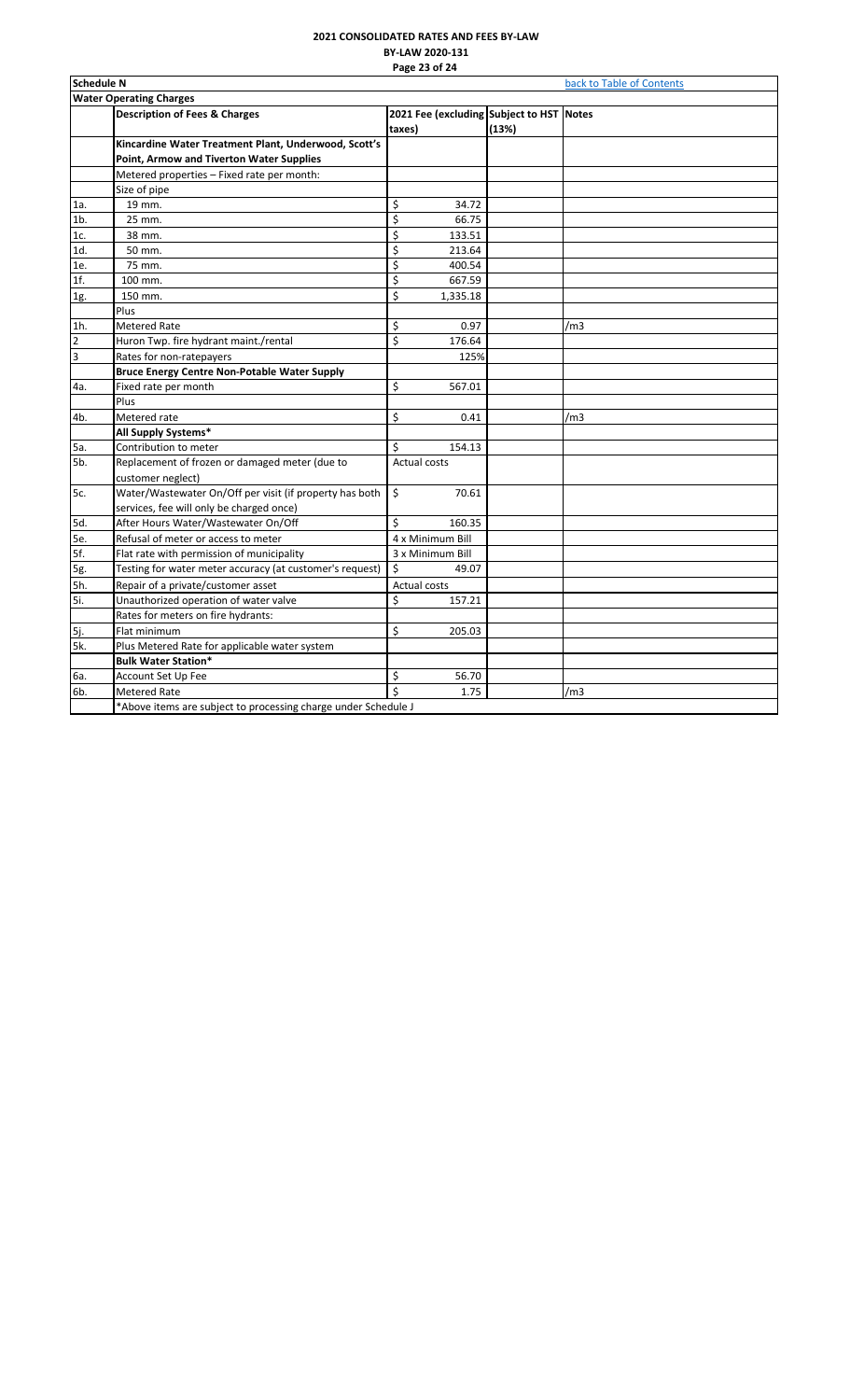# **2021 CONSOLIDATED RATES AND FEES BY-LAW BY-LAW 2020-131 Page 23 of 24**

<span id="page-23-0"></span>

|                         | <b>Schedule N</b><br>back to Table of Contents                 |                                          |       |     |  |  |  |
|-------------------------|----------------------------------------------------------------|------------------------------------------|-------|-----|--|--|--|
|                         | <b>Water Operating Charges</b>                                 |                                          |       |     |  |  |  |
|                         | <b>Description of Fees &amp; Charges</b>                       | 2021 Fee (excluding Subject to HST Notes |       |     |  |  |  |
|                         |                                                                | taxes)                                   | (13%) |     |  |  |  |
|                         | Kincardine Water Treatment Plant, Underwood, Scott's           |                                          |       |     |  |  |  |
|                         | Point, Armow and Tiverton Water Supplies                       |                                          |       |     |  |  |  |
|                         | Metered properties - Fixed rate per month:                     |                                          |       |     |  |  |  |
|                         | Size of pipe                                                   |                                          |       |     |  |  |  |
| 1a.                     | 19 mm.                                                         | \$<br>34.72                              |       |     |  |  |  |
| 1 <sub>b</sub>          | 25 mm.                                                         | \$<br>66.75                              |       |     |  |  |  |
| 1c.                     | 38 mm.                                                         | \$<br>133.51                             |       |     |  |  |  |
| 1d.                     | 50 mm.                                                         | \$<br>213.64                             |       |     |  |  |  |
| 1e.                     | 75 mm.                                                         | \$<br>400.54                             |       |     |  |  |  |
| 1f.                     | 100 mm.                                                        | \$<br>667.59                             |       |     |  |  |  |
| 1g.                     | 150 mm.                                                        | \$<br>1,335.18                           |       |     |  |  |  |
|                         | Plus                                                           |                                          |       |     |  |  |  |
| $1h$ .                  | <b>Metered Rate</b>                                            | \$<br>0.97                               |       | /m3 |  |  |  |
| $\overline{2}$          | Huron Twp. fire hydrant maint./rental                          | \$<br>176.64                             |       |     |  |  |  |
| $\overline{\mathbf{3}}$ | Rates for non-ratepayers                                       | 125%                                     |       |     |  |  |  |
|                         | <b>Bruce Energy Centre Non-Potable Water Supply</b>            |                                          |       |     |  |  |  |
| 4a.                     | Fixed rate per month                                           | \$<br>567.01                             |       |     |  |  |  |
|                         | Plus                                                           |                                          |       |     |  |  |  |
| 4b.                     | Metered rate                                                   | \$<br>0.41                               |       | /m3 |  |  |  |
|                         | All Supply Systems*                                            |                                          |       |     |  |  |  |
| 5a.                     | Contribution to meter                                          | Ś<br>154.13                              |       |     |  |  |  |
| 5b.                     | Replacement of frozen or damaged meter (due to                 | <b>Actual costs</b>                      |       |     |  |  |  |
|                         | customer neglect)                                              |                                          |       |     |  |  |  |
| 5c.                     | Water/Wastewater On/Off per visit (if property has both        | \$<br>70.61                              |       |     |  |  |  |
|                         | services, fee will only be charged once)                       |                                          |       |     |  |  |  |
| 5d.                     | After Hours Water/Wastewater On/Off                            | \$<br>160.35                             |       |     |  |  |  |
| 5e.                     | Refusal of meter or access to meter                            | 4 x Minimum Bill                         |       |     |  |  |  |
| 5f.                     | Flat rate with permission of municipality                      | 3 x Minimum Bill                         |       |     |  |  |  |
| 5g.                     | Testing for water meter accuracy (at customer's request)       | \$<br>49.07                              |       |     |  |  |  |
| 5h.                     | Repair of a private/customer asset                             | Actual costs                             |       |     |  |  |  |
| 5i.                     | Unauthorized operation of water valve                          | \$<br>157.21                             |       |     |  |  |  |
|                         | Rates for meters on fire hydrants:                             |                                          |       |     |  |  |  |
| 5j.                     | Flat minimum                                                   | \$<br>205.03                             |       |     |  |  |  |
| 5k.                     | Plus Metered Rate for applicable water system                  |                                          |       |     |  |  |  |
|                         | <b>Bulk Water Station*</b>                                     |                                          |       |     |  |  |  |
| 6a.                     | <b>Account Set Up Fee</b>                                      | \$<br>56.70                              |       |     |  |  |  |
| 6b.                     | <b>Metered Rate</b>                                            | \$<br>1.75                               |       | /m3 |  |  |  |
|                         | *Above items are subject to processing charge under Schedule J |                                          |       |     |  |  |  |